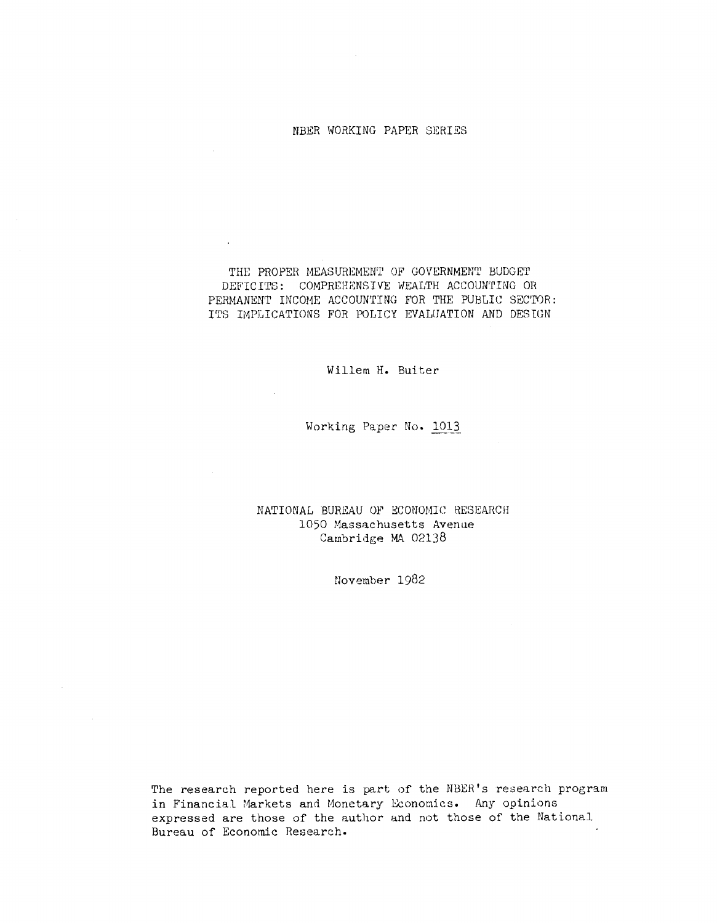#### NBER WORKING PAPER SERIES

THE PROPER MEASUREMENT OF GOVERNMENT BUDGET DEFICITS: COMPREHENSIVE WEALTH ACCOUNTING OR PERNANENT INCOME ACCOUNTING FOR THE PUBLIC SECTOR: ITS IMPLICATIONS FOR POLICY EVALUATION AND DESIGN

### Willem H. Buiter

### Working Paper No. <sup>1013</sup>

## NATIONAL BUREAU OF ECONOMIC RESEARCH 1050 Massachusetts Avenue Cambridge MA 02138

November 1982

The research reported here is part of the NBER's research program in Financial Markets and Monetary Economics. Any opinions expressed are those of the author and not those of the National Bureau of Economic Research.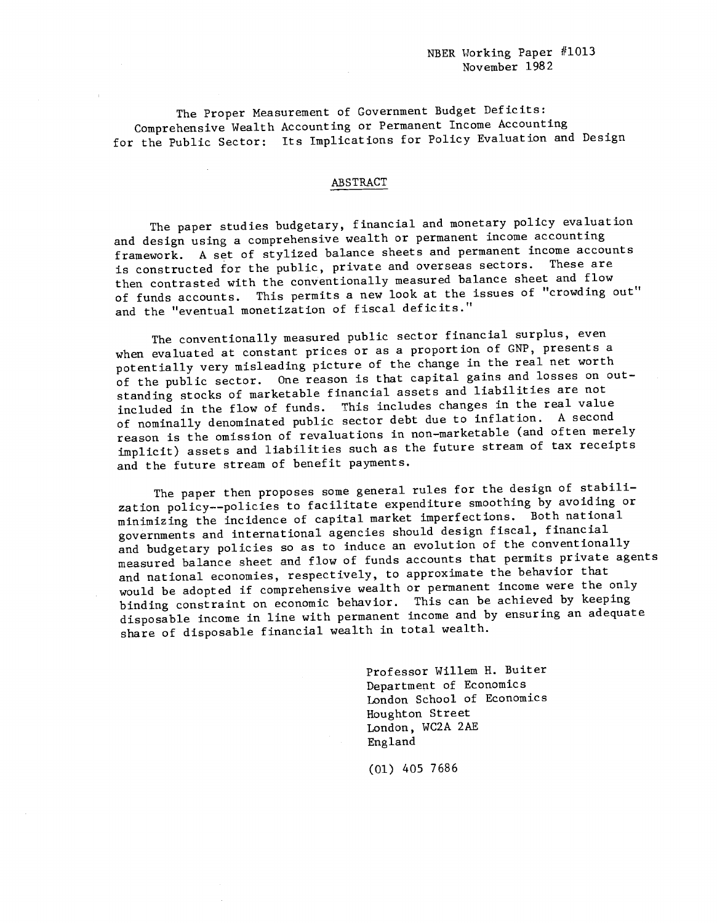The Proper Measurement of Government Budget Deficits: Comprehensive Wealth Accounting or Permanent Income Accounting for the Public Sector: Its Implications for Policy Evaluation and Design

#### ABSTRACT

The paper studies budgetary, financial and monetary policy evaluation and design using a comprehensive wealth or permanent income accounting framework. A set of stylized balance sheets and permanent income accounts is constructed for the public, private and overseas sectors. then contrasted with the conventionally measured balance sheet and flow of funds accounts. This permits a new look at the issues of "crowding out" and the "eventual monetization of fiscal deficits."

The conventionally measured public sector financial surplus, even when evaluated at constant prices or as a proportion of GNP, presents a potentially very misleading picture of the change in the real net worth of the public sector. One reason is that capital gains and losses on out standing stocks of marketable financial assets and liabilities are not included in the flow of funds. This includes changes in the real value of nominally denominated public sector debt due to inflation. A second reason is the omission of revaluations in non—marketable (and often merely implicit) assets and liabilities such as the future stream of tax receipts and the future stream of benefit payments.

The paper then proposes some general rules for the design of stabilization policy——policies to facilitate expenditure smoothing by avoiding or minimizing the incidence of capital market imperfections. Both national governments and international agencies should design fiscal, financial and budgetary policies so as to induce an evolution of the conventionally measured balance sheet and flow of funds accounts that permits private agents and national economies, respectively, to approximate the behavior that would be adopted if comprehensive wealth or permanent income were the only binding constraint on economic behavior. This can be achieved by keeping disposable income in line with permanent income and by ensuring an adequate share of disposable financial wealth in total wealth.

> Professor Willem H. Buiter Department of Economics London School of Economics Houghton Street London, WC2A 2AE England

(01) 405 7686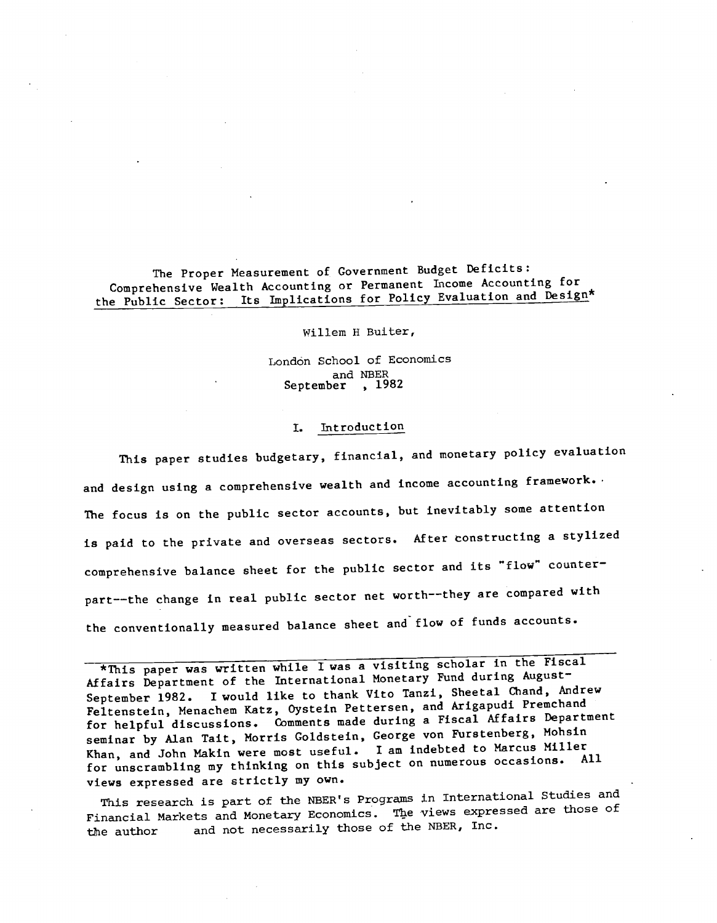The Proper Measurement of Government Budget Deficits: Comprehensive Wealth Accounting or Permanent Income Accounting for the Public Sector: Its Implications for Policy Evaluation and Design\*

Willem H Buiter,

London School of Economics and NBER September , 1982

#### I. Introduction

This paper studies budgetary, financial, and monetary policy evaluation and design using a comprehensive wealth and income accounting framework. The focus is on the public sector accounts, but inevitably some attention is paid to the private and overseas sectors. After constructing a stylized comprehensive balance sheet for the public sector and its "flow" counterpart——the change in real public sector net worth——they are compared with the conventionally measured balance sheet and flow of funds accounts.

\*This paper was written while I was a visiting scholar in the Fiscal Affairs Department of the International Monetary Fund during August September 1982. I would like to thank Vito Tanzi, Sheetal Chand, Andrew Feltenstein, Menachem Katz, Oystein Pettersen, and Arigapudi Premchand for helpful discussions. Comments made during a Fiscal Affairs Department seminar by Alan Tait, Morris Goldstein, George von Furstenberg, Mohs1n Khan, and John Makin were most useful. I am indebted to Marcus Miller for unscrambling my thinking on this subject on numerous occasions. All views expressed are strictly my own.

This research is part of the NBER's Programs in International Studies and Financial Markets and Monetary Economics. The views expressed are those of the author and not necessarily those of the NBER, Inc.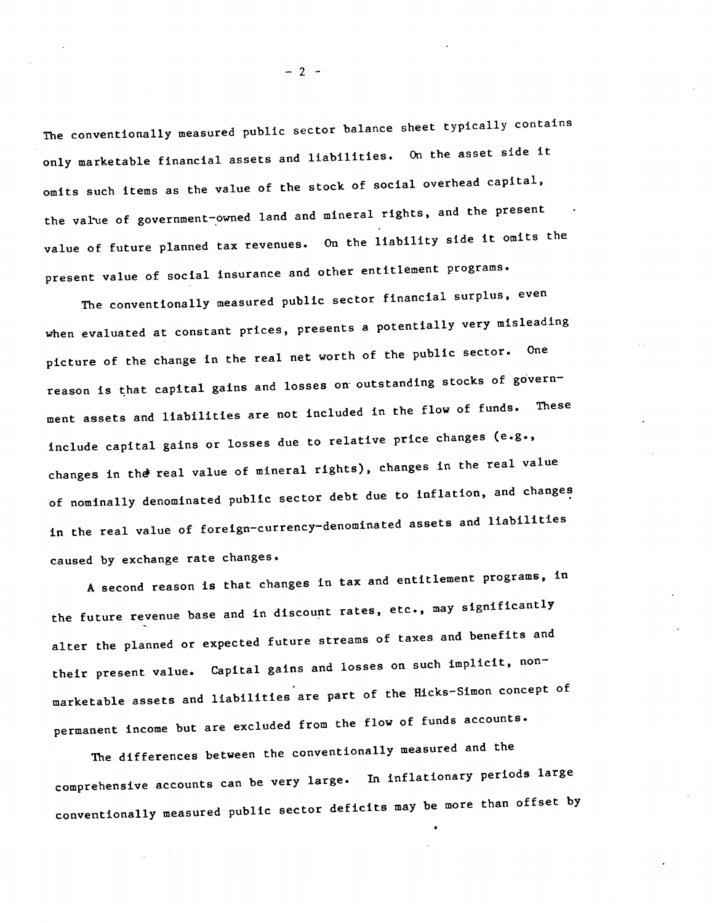The conventionally measured public sector balance sheet typically contains only marketable financial assets and liabilities. On the asset side it omits such items as the value of the stock of social overhead capital, the value of government—owned land and mineral rights, and the present value of future planned tax revenues. On the liability side it omits the present value of social insurance and other entitlement programs.

The conventionally measured public sector financial surplus, even when evaluated at constant prices, presents a potentially very misleading picture of the change in the real net worth of the public sector. One reason is that capital gains and losses on outstanding stocks of govern ment assets and liabilities are not included in the flow of funds. These include capital gains or losses due to relative price changes (e.g., changes in the real value of mineral rights), changes in the real value of nominally denominated public sector debt due to inflation, and changes in the real value of foreign-currency-denominated assets and liabilities caused by exchange rate changes.

A second reason is that changes in tax and entitlement programs, in the future revenue base and in discount rates, etc., may significantly alter the planned or expected future streams of taxes and benefits and their present value. Capital gains and losses on such implicit, nonmarketable assets and liabilities are part of the Hicks—Simon concept of permanent income but are excluded from the flow of funds accounts.

The differences between the conventionally measured and the comprehensive accounts can be very large. In inflationary periods large conventionally measured public sector deficits may be more than offset by

 $-2-$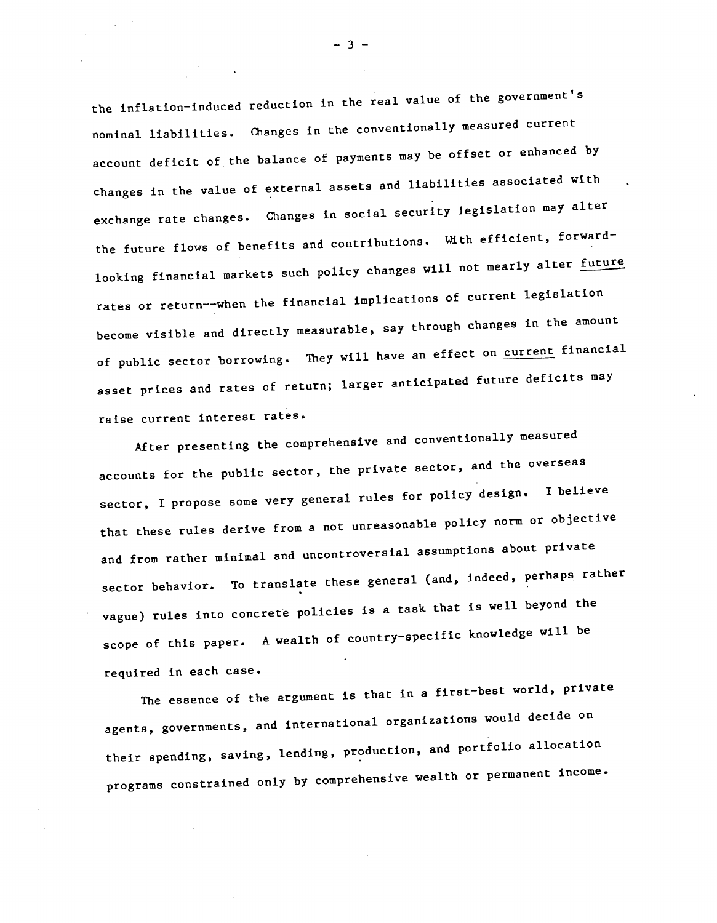the inflation—induced reduction in the real value of the government's nominal liabilities. Changes in the conventionallY measured current account deficit of the balance of payments may be offset or enhanced by changes in the value of external assets and liabilities associated with exchange rate changes. Changes in social security legislation may alter the future flows of benefits and contributions. With efficient, forwardlooking financial markets such policy changes will not mearly alter future rates or return——when the financial implications of current legislation become visible and directly measurable, say through changes in the amount of public sector borrowing. They will have an effect on current financial asset prices and rates of return; larger anticipated future deficits may raise current interest rates.

After presenting the comprehensive and conventionally measured accounts for the public sector, the private sector, and the overseas sector, I propose some very general rules for policy design. I believe that these rules derive from a not unreasonable policy norm or objective and from rather minimal and uncontroversial assumptions about private sector behavior. To translate these general (and, indeed, perhaps rather vague) rules into concrete policies is a task that is well beyond the scope of this paper. A wealth of country-specific knowledge will be required in each case.

The essence of the argument is that in a first-best world, private agents, governments, and international organizations would decide on their spending, saving, lending, production, and portfolio allocation programs constrained only by comprehensive wealth or permanent income.

 $-3 -$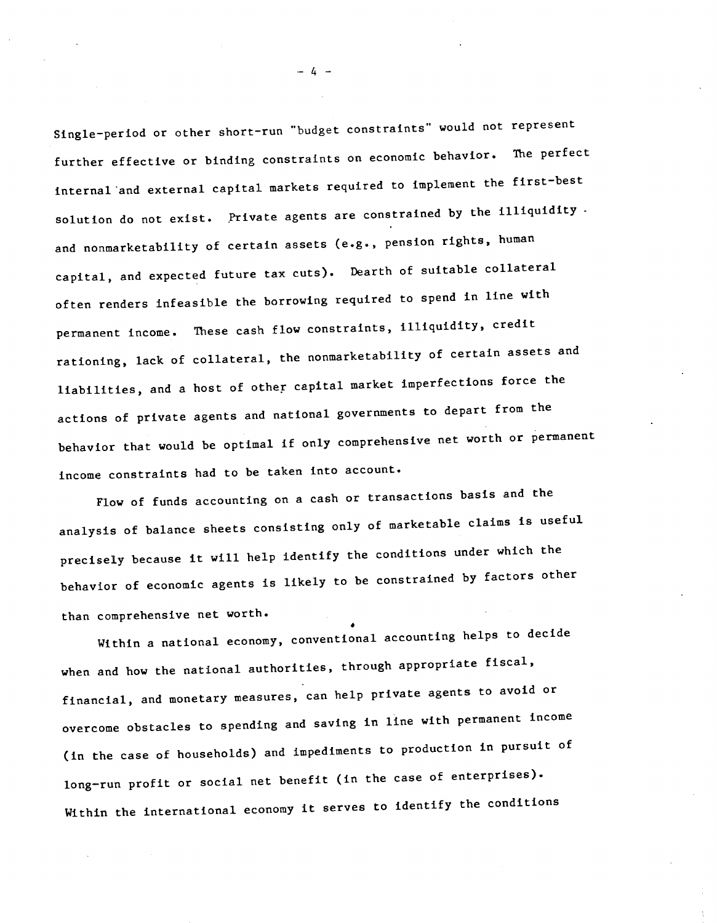Single—period or other short—run "budget constraints" would not represent further effective or binding constraints on economic behavior. The perfect internal and external capital markets required to implement the first—best solution do not exist. Private agents are constrained by the illiquidity. and nonmarketability of certain assets (e.g., pension rights, human capital, and expected future tax cuts). Dearth of suitable collateral often renders infeasible the borrowing required to spend in line with permanent income. These cash flow constraints, illiquidity, credit rationing, lack of collateral, the nonmarketability of certain assets and liabilities, and a host of other capital market imperfections force the actions of private agents and national governments to depart from the behavior that would be optimal if only comprehensive net worth or permanent income constraints had to be taken into account.

Flow of funds accounting on a cash or transactions basis and the analysis of balance sheets consisting only of marketable claims is useful precisely because it will help identify the conditions under which the behavior of economic agents is likely to be constrained by factors other than comprehensive net worth.

a Within a national economy, conventional accounting helps to decide when and how the national authorities, through appropriate fiscal, financial, and monetary measures, can help private agents to avoid or overcome obstacles to spending and saving in line with permanent income (in the case of households) and impediments to production in pursuit of long—run profit or social net benefit (in the case of enterprises). Within the international economy it serves to identify the conditions

 $-4-$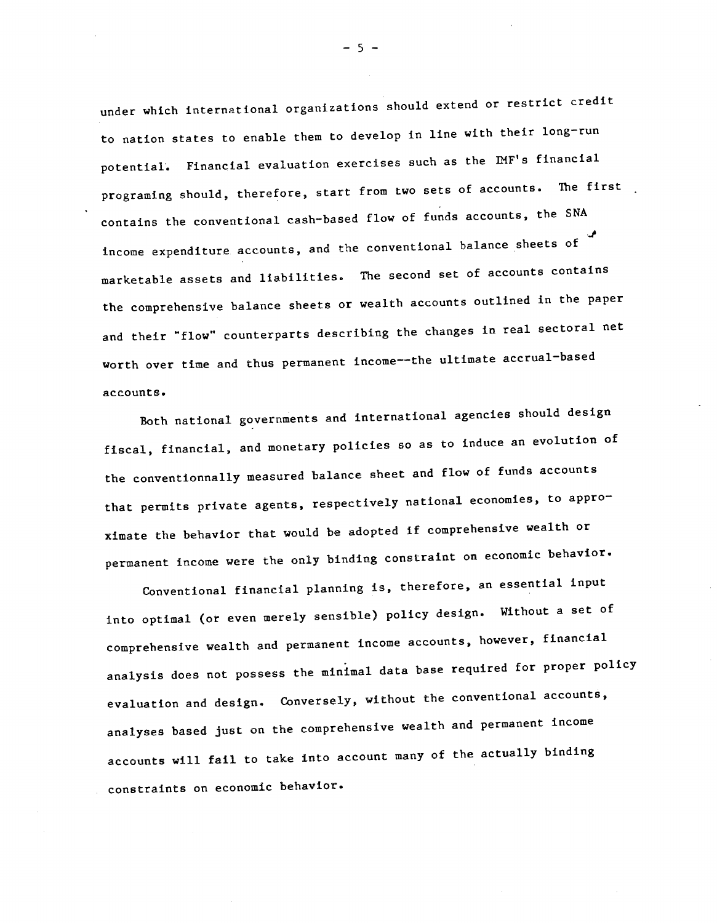under which international organizations should extend or restrict credit to nation states to enable them to develop in line with their long—run potential'. Financial evaluation exercises such as the IMF's financial programing should, therefore, start from two sets of accounts. The first contains the conventional cash—based flow of funds accounts, the SNA d<sub>e</sub> de la contrada de la contrada de la contrada de la contrada de la contrada de la contrada de la contrada de la contrada de la contrada de la contrada de la contrada de la contrada de la contrada de la contrada de la c income expenditure accounts, and the conventional balance sheets of marketable assets and liabilities. The second set of accounts contains the comprehensive balance sheets or wealth accounts outlined in the paper and their "flow" counterparts describing the changes in real sectoral net worth over time and thus permanent income——the ultimate accrual—based accounts.

Both national governments and international agencies should design fiscal, financial, and monetary policies so as to induce an evolution of the conventionnally measured balance sheet and flow of funds accounts that permits private agents, respectively national economies, to approximate the behavior that would be adopted if comprehensive wealth or permanent Income were the only binding constraint on economic behavior.

Conventional financial planning is, therefore, an essential input into optimal (or even merely sensible) policy design. Without a set of comprehensive wealth and permanent income accounts, however, financial analysis does not possess the minimal data base required for proper policy evaluation and design. Conversely, without the conventional accounts, analyses based just on the comprehensive wealth and permanent income accounts will fail to take into account many of the actually binding constraints on economic behavior.

—5—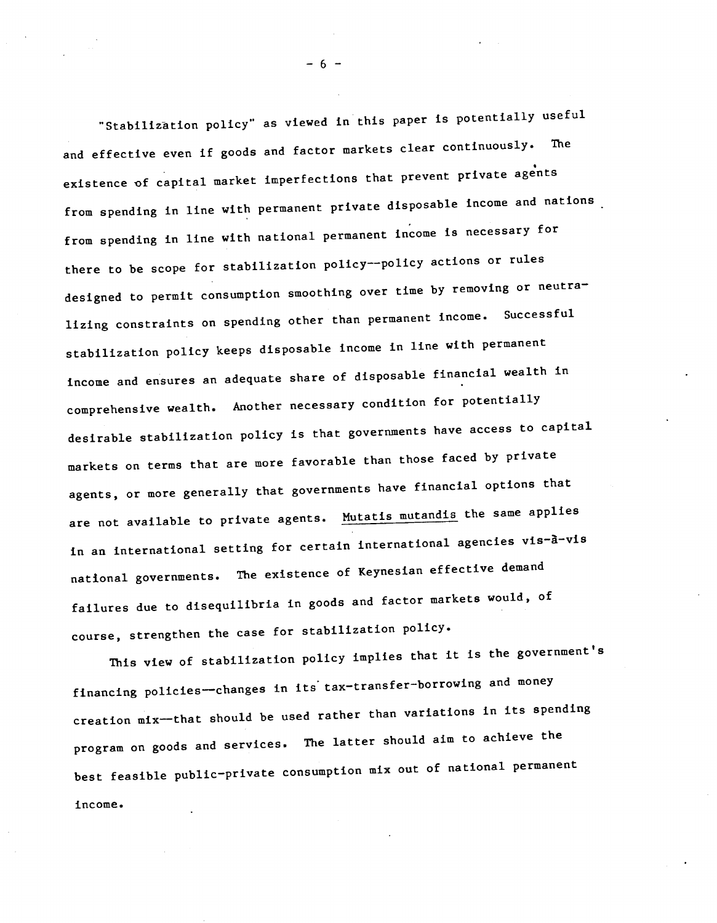"Stabilization policy" as viewed in this paper is potentially useful and effective even if goods and factor markets clear continuously. The existence of capital market imperfections that prevent private agents from spending in line with permanent private disposable income and nations from spending in line with national permanent income is necessary for there to be scope for stabilization policy--policy actions or rules designed to permit consumption smoothing over time by removing or neutralizing constraints on spending other than permanent income. Successful stabilization policy keeps disposable income in line with permanent income and ensures an adequate share of disposable financial wealth in comprehensive wealth. Another necessary condition for potentiallY desirable stabilization policy is that governments have access to capital markets on terms that are more favorable than those faced by private agents, or more generally that governments have financial options that are not available to private agents. Mutatis mutandis the same applies in an international setting for certain international agencies vis-à-vis national governments. The existence of Keynesian effective demand failures due to disequilibria in goods and factor markets would, of course, strengthen the case for stabilization policy.

This view of stabilization policy implies that it is the government's financing policies--changes in its tax-transfer-borrowing and money creation mix—that should be used rather than variations in its spending program on goods and services. The latter should aim to achieve the best feasible public—private consumption mix out of national permanent Income.

—6—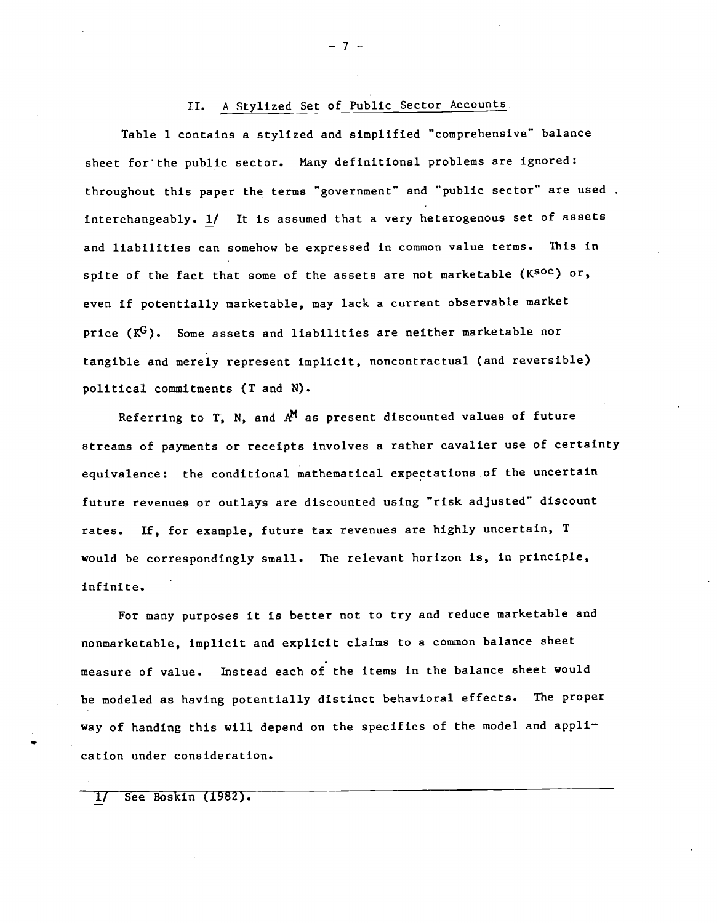# II. A Stylized Set of Public Sector Accounts

Table 1 contains a stylized and simplified "comprehensive" balance sheet for the public sector. Many definitional problems are ignored: throughout this paper the terms "government" and "public sector" are used interchangeably. 1/ It is assumed that a very heterogenous set of assets and liabilities can somehow be expressed in common value terms. This in spite of the fact that some of the assets are not marketable (KSOC) or, even if potentially marketable, may lack a current observable market price  $(K^G)$ . Some assets and liabilities are neither marketable nor tangible and merely represent implicit, noncontractual (and reversible) political commitments (T and N).

Referring to T, N, and  $A^M$  as present discounted values of future streams of payments or receipts involves a rather cavalier use of certainty equivalence: the conditional mathematical expectations .of the uncertain future revenues or outlays are discounted using "risk adjusted" discount rates. If, for example, future tax revenues are highly uncertain, T would be correspondingly small. The relevant horizon is, in principle, Infinite.

For many purposes it is better not to try and reduce marketable and nonmarketable, implicit and explicit claims to a common balance sheet measure of value. Instead each of the items in the balance sheet would be modeled as having potentially distinct behavioral effects. The proper way of handing this will depend on the specifics of the model and appli cation under consideration.

1/ See Boskin (1982).

—7—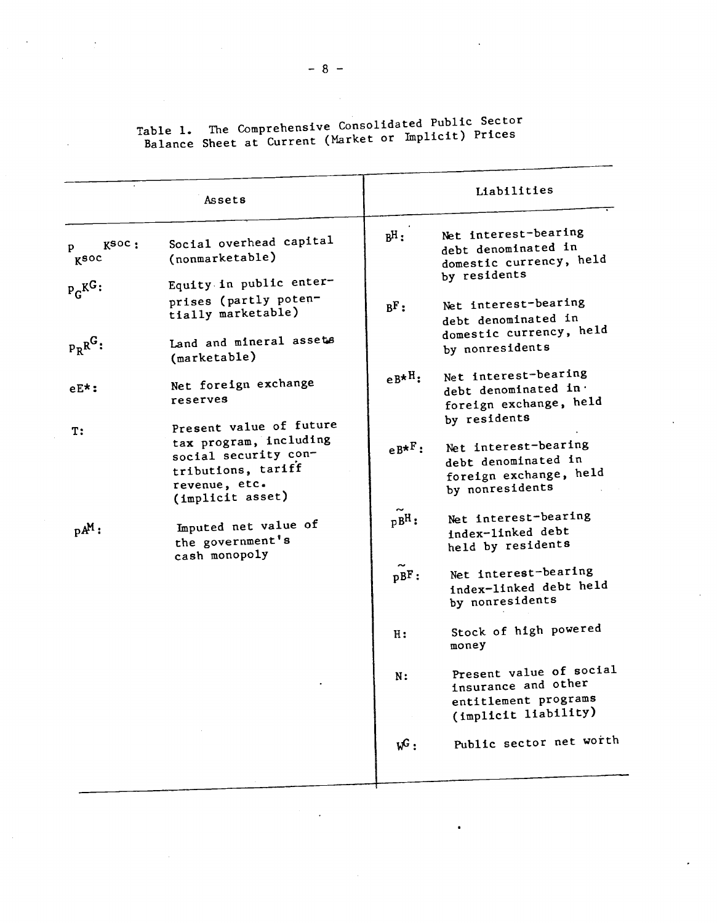| Table 1. The Comprehensive Consolidated Public Sector |
|-------------------------------------------------------|
|                                                       |
| Balance Sheet at Current (Market or Implicit) Prices  |

 $\label{eq:2} \frac{1}{\sqrt{2}}\left(\frac{1}{\sqrt{2}}\right)^2\left(\frac{1}{\sqrt{2}}\right)^2.$ 

|                    | Assets                                                                                                                               |                  | Liabilities                                                                                              |
|--------------------|--------------------------------------------------------------------------------------------------------------------------------------|------------------|----------------------------------------------------------------------------------------------------------|
| Ksoc:<br>p<br>Ksoc | Social overhead capital<br>(nonmarketable)                                                                                           | $B$ H:           | Net interest-bearing<br>debt denominated in<br>domestic currency, held<br>by residents                   |
| $P_C K^G$ :        | Equity in public enter-<br>prises (partly poten-<br>tially marketable)                                                               | BF:              | Net interest-bearing<br>debt denominated in                                                              |
| $P_RR^G$ :         | Land and mineral assets<br>(marketable)                                                                                              |                  | domestic currency, held<br>by nonresidents                                                               |
| $eE^{\star}$ :     | Net foreign exchange<br>reserves                                                                                                     | $eB^{\star H}$ : | Net interest-bearing<br>debt denominated in.<br>foreign exchange, held                                   |
| T:                 | Present value of future<br>tax program, including<br>social security con-<br>tributions, tariff<br>revenue, etc.<br>(implicit asset) | $e^{B\star F}$ : | by residents<br>Net interest-bearing<br>debt denominated in<br>foreign exchange, held<br>by nonresidents |
| $pA^M$ :           | Imputed net value of<br>the government's<br>cash monopoly                                                                            | $pB^H:$          | Net interest-bearing<br>index-linked debt<br>held by residents                                           |
|                    |                                                                                                                                      | pBF:             | Net interest-bearing<br>index-linked debt held<br>by nonresidents                                        |
|                    |                                                                                                                                      | H:               | Stock of high powered<br>money                                                                           |
|                    |                                                                                                                                      | N:               | Present value of social<br>insurance and other<br>entitlement programs<br>(implicit liability)           |
|                    |                                                                                                                                      | $w^G$ :          | Public sector net worth                                                                                  |

 $\label{eq:2.1} \mathcal{L}(\mathcal{L}) = \mathcal{L}(\mathcal{L}) \mathcal{L}(\mathcal{L}) \mathcal{L}(\mathcal{L})$ 

 $-8-$ 

 $\mathcal{L}(\mathcal{L}^{\mathcal{L}})$  and  $\mathcal{L}(\mathcal{L}^{\mathcal{L}})$  and  $\mathcal{L}(\mathcal{L}^{\mathcal{L}})$ 

 $\mathcal{L}^{\mathcal{L}}(\mathbf{A},\mathbf{A})$  and  $\mathcal{L}^{\mathcal{L}}(\mathbf{A},\mathbf{A})$ 

 $\label{eq:2.1} \frac{d\mathbf{r}}{d\mathbf{r}} = \frac{1}{2} \sum_{i=1}^n \frac{d\mathbf{r}}{d\mathbf{r}} \left[ \frac{d\mathbf{r}}{d\mathbf{r}} \right] \mathbf{r}_i \mathbf{r}_i \mathbf{r}_i \mathbf{r}_i \mathbf{r}_i \mathbf{r}_i \mathbf{r}_i \mathbf{r}_i \mathbf{r}_i \mathbf{r}_i \mathbf{r}_i \mathbf{r}_i \mathbf{r}_i \mathbf{r}_i \mathbf{r}_i \mathbf{r}_i \mathbf{r}_i \mathbf{r}_i \mathbf{r}_i \$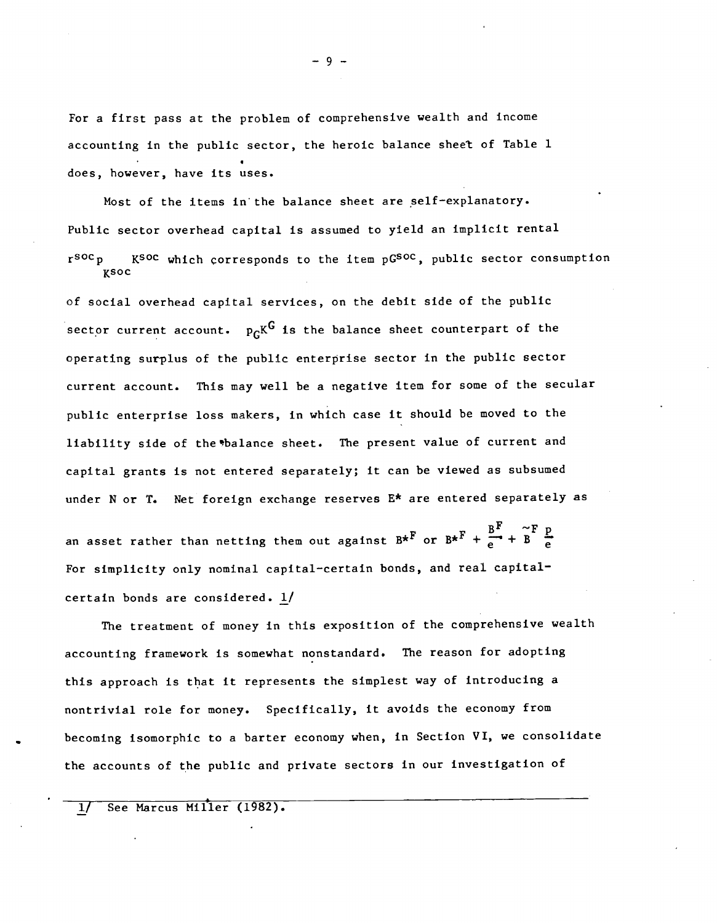For a first pass at the problem of comprehensive wealth and Income accounting in the public sector, the heroic balance sheet of Table 1 does, however, have its uses.

Most of the items in the balance sheet are self—explanatory. Public sector overhead capital is assumed to yield an implicit rental rsoc<sub>p</sub> Ksoc which corresponds to the item pGSOC, public sector consumption  $K$ soc

of social overhead capital services, on the debit side of the public sector current account.  $p_{\text{C}}K^{\text{G}}$  is the balance sheet counterpart of the operating surplus of the public enterprise sector in the public sector current account. This may well be a negative item for some of the secular public enterprise loss makers, in which case it should be moved to the liability side of the balance sheet. The present value of current and capital grants is not entered separately; it can be viewed as subsumed under N or T. Net foreign exchange reserves E\* are entered separately as

an asset rather than netting them out against  $B^{\star F}$  or  $B^{\star F}$  +  $\frac{B^{F}}{e^{+}}$  +  $\frac{B^{F}}{e^{-}}$ For simplicity only nominal capital—certain bonds, and real capital certain bonds are considered. 1/

The treatment of money in this exposition of the comprehensive wealth accounting framework is somewhat nonstandard. The reason for adopting this approach is that it represents the simplest way of introducing a nontrivial role for money. Specifically, it avoids the economy from becoming isomorphic to a barter economy when, in Section VI, we consolidate the accounts of the public and private sectors in our investigation of

1/ See Marcus Miller (1982).

 $-9-$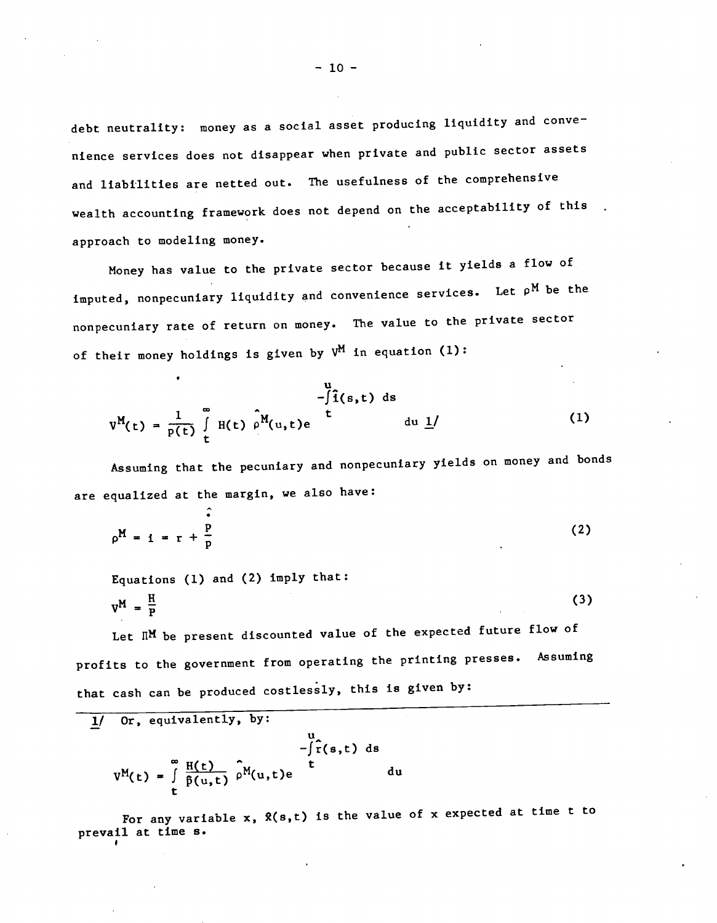debt neutrality: money as a social asset producing liquidity and convenience services does not disappear when private and public sector assets and liabilities are netted out. The usefulness of the comprehensive wealth accounting framework does not depend on the acceptability of this approach to modeling money.

Money has value to the private sector because it yields a flow of imputed, nonpecuniary liquidity and convenience services. Let  $\rho^M$  be the nonpecuniary rate of return on money. The value to the private sector of their money holdings is given by  $V^M$  in equation (1):

$$
v^{M}(t) = \frac{1}{p(t)} \int_{t}^{\infty} H(t) \rho^{M}(u, t)e^{u} du \underline{1}^{j}
$$
 (1)

Assuming that the pecuniary and nonpecuniary yields on money and bonds are equalized at the margin, we also have:

$$
\rho^{\mathbf{M}} = \mathbf{i} = \mathbf{r} + \frac{\dot{\mathbf{p}}}{\mathbf{p}}
$$
 (2)

Equations (1) and (2) imply that:

$$
V_{\mu} = \frac{H}{P}
$$
 (3)

Let  $\mathbb{R}^M$  be present discounted value of the expected future flow of profits to the government from operating the printing presses. Assuming that cash can be produced costlessly, this is given by:

$$
\frac{1}{\pi} \int_{-\int_{0}^{\infty} f(s,t) ds} \int_{-\int_{0}^{\infty} f(s,t) ds} -\int_{0}^{\infty} f(s,t) ds
$$
\n
$$
V^{M}(t) = \int_{0}^{\infty} \frac{H(t)}{\hat{p}(u,t)} \int_{0}^{M} f(u,t) e^{-\int_{0}^{t} du}
$$

For any variable  $x$ ,  $\hat{x}(s,t)$  is the value of  $x$  expected at time t to prevail at time s.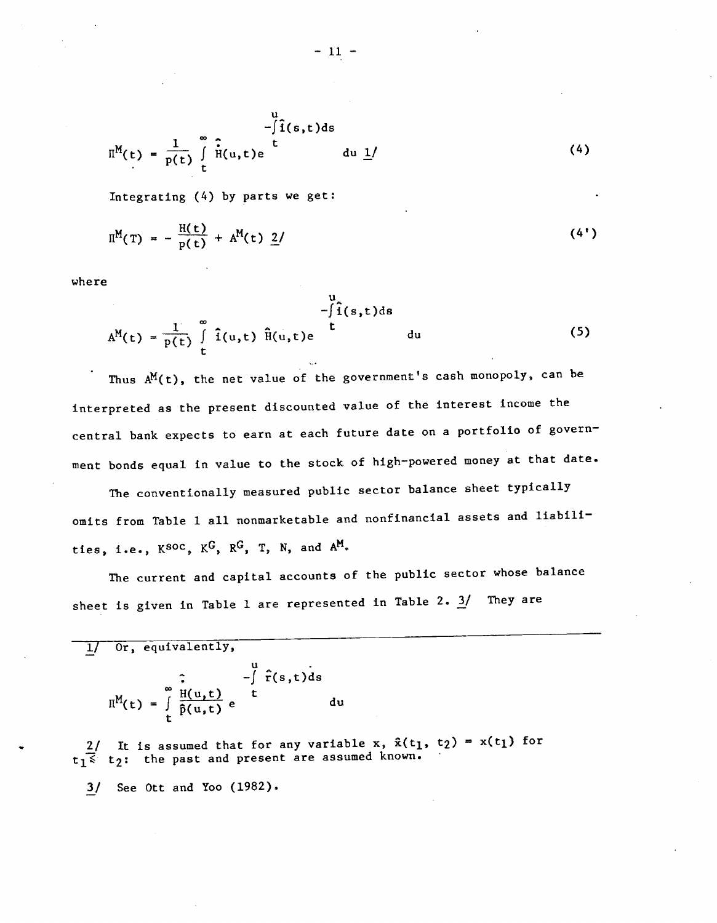$$
\Pi^{M}(t) = \frac{1}{p(t)} \int_{t}^{\infty} \hat{H}(u,t)e^{u} du \underline{1}^{f}
$$
 (4)

Integrating (4) by parts we get:

$$
\Pi^{M}(T) = -\frac{H(t)}{p(t)} + A^{M}(t) \underline{2} / \qquad (4')
$$

where

$$
A^{M}(t) = \frac{1}{p(t)} \int_{t}^{\infty} \hat{i}(u,t) \hat{H}(u,t)e^{i\theta} du
$$
 (5)

Thus  $A^M(t)$ , the net value of the government's cash monopoly, can be interpreted as the present discounted value of the Interest Income the central bank expects to earn at each future date on a portfolio of govern ment bonds equal in value to the stock of high-powered money at that date.

The conventionally measured public sector balance sheet typically omits from Table 1 all nonmarketable and nonfinancial assets and liabili ties, i.e.,  $K^{SOC}$ ,  $K^{G}$ ,  $R^{G}$ , T, N, and  $A^{M}$ .

The current and capital accounts of the public sector whose balance sheet is given in Table 1 are represented in Table 2.  $3/$  They are

| Or, equivalently,                                            |                        |    |
|--------------------------------------------------------------|------------------------|----|
| $\Pi^M(t) = \int_{t}^{\infty} \frac{H(u,t)}{\hat{p}(u,t)} e$ | $-\int \hat{r}(s,t)ds$ | du |

2/ It is assumed that for any variable x,  $\hat{x}(t_1, t_2) = x(t_1)$  for  $t_1$ <sup>2</sup> t<sub>2</sub>: the past and present are assumed known.

3/ See Ott and Yoo (1982).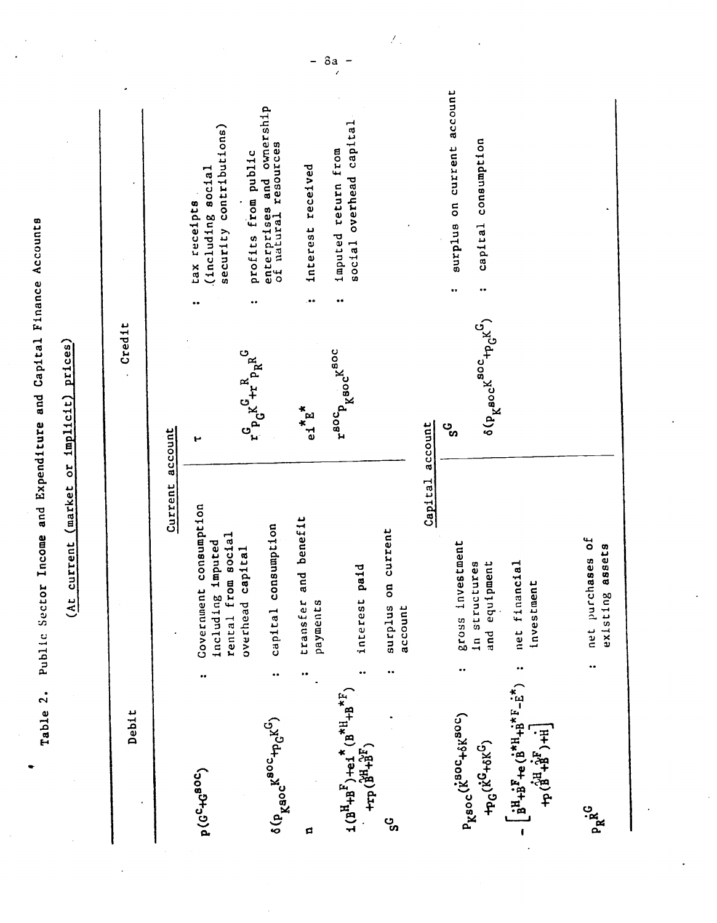| Table 2.                                                                                            |   | Public Sector Income and Expenditure and Capital Finance Accounts |                                                                                                             |                                                                    |
|-----------------------------------------------------------------------------------------------------|---|-------------------------------------------------------------------|-------------------------------------------------------------------------------------------------------------|--------------------------------------------------------------------|
|                                                                                                     |   | current (market or implicit) prices)<br>$\frac{1}{2}$             |                                                                                                             |                                                                    |
| Debit                                                                                               |   |                                                                   | Credit                                                                                                      |                                                                    |
|                                                                                                     |   | Current                                                           | account                                                                                                     |                                                                    |
| <b>5087+3076</b>                                                                                    |   | Covernment consumption<br>rental from social<br>including imputed | ۳                                                                                                           | security contributions)<br>(including social<br>tax receipts       |
| $\delta(p_{\text{K}^\text{SOC}}k^{\text{BOC}} + p_{\text{C}}k^\text{G})$                            |   | consumption<br>capital<br>overhead<br>Capital                     | $\mathbf{r}^G \mathbf{p}_G \mathbf{K} \overset{\mathbf{R}}{+ \mathbf{r}} \mathbf{p}_R \mathbf{R}^G$         | ownership<br>enterprises and owne<br>profits from public           |
| d                                                                                                   |   | and benefit<br>transfer<br>payments                               | $e_1$ <sup>*</sup> E <sup>*</sup>                                                                           | interest received<br>$\bullet \bullet$                             |
| $(18^{H}+B^{F})+e1^{*}(B^{*H}+B^{*F})$<br>+ $rP(18^{H}+B^{*F})$                                     |   | paid<br>interest                                                  | r <sup>80</sup> C <sub>p k<sup>80C</sup><sup>K80C</sup></sub>                                               | overhead capital<br>imputed return from<br>social                  |
| ್ಯ                                                                                                  |   | on current<br>surqius<br>account                                  |                                                                                                             |                                                                    |
|                                                                                                     |   | Capital                                                           | account                                                                                                     |                                                                    |
| $P_{K}$ soc $(k^{80C}+6k^{80C})$<br>$+ p_G(k^G + \delta K^G)$                                       |   | gross investment<br>equipment<br>structures<br>and<br>$\Xi$       | $\delta(p_{\chi\mathbf{60C}^{\mathrm{K}}}^{\mathrm{soC}} + p_{\mathrm{G}}^{\mathrm{K}})^{\mathrm{O}}$<br>ಀೢ | surplus on current account<br>capital consumption<br><br>$\bullet$ |
| $\frac{1}{2}H_{+B}F_{+e}$ (B <sup>*H</sup> +B <sup>*F</sup> -E <sup>*</sup> )<br>$F^+ (34 + 8)$ + H |   | net financial<br>investment                                       |                                                                                                             |                                                                    |
| PR <sup>G</sup>                                                                                     | ٠ | net purchases of<br>existing assets                               |                                                                                                             |                                                                    |

Ŷ,

 $-$  8a  $-$ 

 $\hat{\mathcal{F}}_{\mu}$ 

l,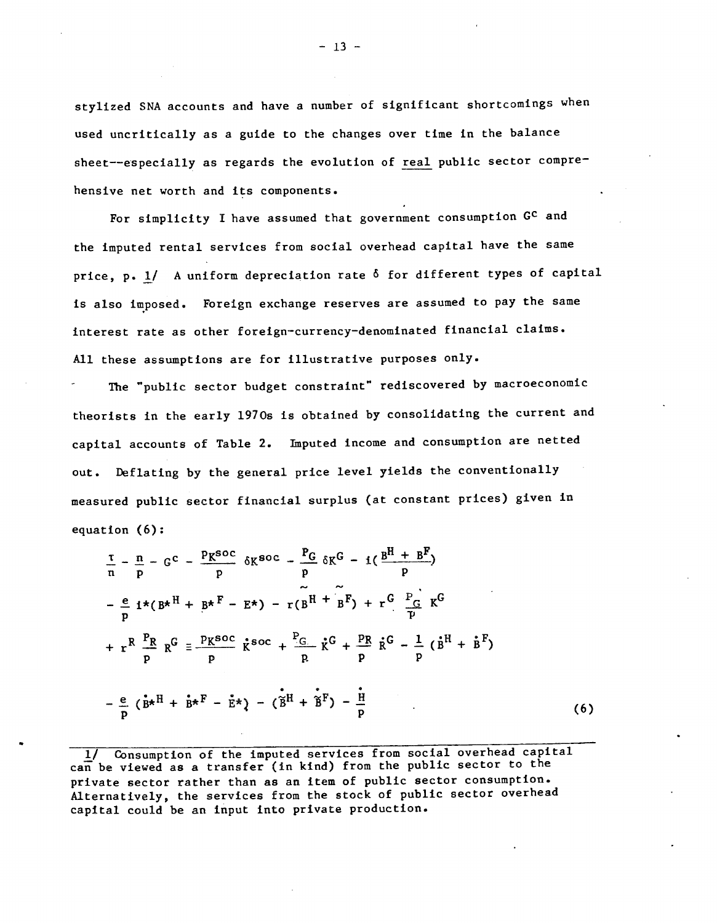stylized SNA accounts and have a number of significant shortcomings when used uncritically as a guide to the changes over time in the balance sheet--especially as regards the evolution of real public sector comprehensive net worth and its components.

For simplicity I have assumed that government consumption GC and the imputed rental services from social overhead capital have the same price, p. 1/ A uniform depreciation rate  $\delta$  for different types of capital is also imposed. Foreign exchange reserves are assumed to pay the same interest rate as other foreign—currency—denominated financial claims. All these assumptions are for illustrative purposes only.

The "public sector budget constraint" rediscovered by macroeconomic theorists in the early l970s is obtained by consolidating the current and capital accounts of Table 2. Imputed income and consumption are netted out. Deflating by the general price level yields the conventionally measured public sector financial surplus (at constant prices) given in equation (6):

$$
\frac{\tau}{n} - \frac{n}{p} - G^{C} - \frac{p_{K}soc}{p} \delta K^{60C} - \frac{p_{G}}{p} \delta K^{G} - i(\frac{B^{H} + B^{F}}{p})
$$
\n
$$
-\frac{e}{p} i \star (B \star^{H} + B \star^{F} - E \star) - r(B^{H} + B^{F}) + r^{G} \frac{P_{G}}{p} K^{G}
$$
\n
$$
+ r^{R} \frac{P_{R}}{p} R^{G} = \frac{p_{K}soc}{p} \dot{K}^{60C} + \frac{P_{G}}{p} \dot{K}^{G} + \frac{p_{R}}{p} \dot{R}^{G} - \frac{1}{p} (\dot{B}^{H} + \dot{B}^{F})
$$
\n
$$
- \frac{e}{p} (\dot{B} \star^{H} + \dot{B} \star^{F} - \dot{E} \star) - (\dot{B}^{H} + \dot{B}^{F}) - \frac{i}{p}
$$
\n(6)

1/ Consumption of the imputed services from social overhead capital can be viewed as a transfer (in kind) from the public sector to the private sector rather than as an item of public sector consumption. Alternatively, the services from the stock of public sector overhead capital could be an input into private production.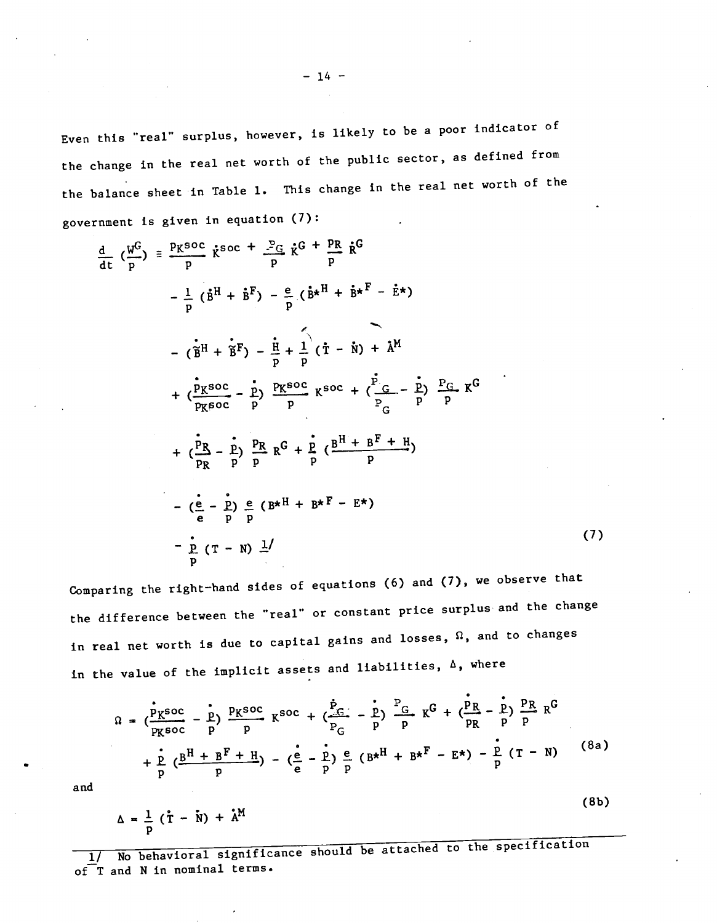Even this "real" surplus, however, is likely to be a poor indicator of the change in the real net worth of the public sector, as defined from the balance sheet in Table 1. This change in the real net worth of the government is given in equation (7):

$$
\frac{d}{dt} \left( \frac{w^G}{p} \right) = \frac{p_K \text{soc}}{p} \dot{\kappa}^{SOC} + \frac{p_G}{p} \dot{\kappa}^G + \frac{p_R}{p} \dot{\kappa}^G
$$
\n
$$
- \frac{1}{p} \left( \dot{B}^H + \dot{B}^F \right) - \frac{e}{p} \left( \dot{B}^{*H} + \dot{B}^{*F} - \dot{E}^{*} \right)
$$
\n
$$
- \left( \dot{B}^H + \dot{B}^F \right) - \frac{1}{p} + \frac{1}{p} \left( \dot{T} - \dot{N} \right) + \dot{A}^M
$$
\n
$$
+ \left( \frac{p_K \text{soc}}{p_K \text{soc}} - \frac{p}{p} \right) \frac{p_K \text{soc}}{p} \kappa^{SOC} + \left( \frac{p_G}{p_G} - \frac{p}{p} \right) \frac{p_G}{p} \kappa^G
$$
\n
$$
+ \left( \frac{p_B}{p_R} - \frac{\dot{p}}{p} \right) \frac{p_R}{p} \kappa^G + \frac{\dot{p}}{p} \left( \frac{B^H + B^F + H}{p} \right)
$$
\n
$$
- \left( \frac{\dot{e}}{e} - \frac{\dot{p}}{p} \right) \frac{e}{p} \left( B^{*H} + B^{*F} - E^{*} \right)
$$
\n
$$
- \frac{\dot{p}}{p} \left( T - N \right) \frac{1}{p}
$$
\n(7)

Comparing the right-hand sides of equations (6) and  $(7)$ , we observe that the difference between the "real" or constant price surplus and the change in real net worth is due to capital gains and losses,  $\Omega$ , and to changes in the value of the implicit assets and liabilities,  $\Delta$ , where

$$
\Omega = \left(\frac{\dot{P}_{K}^{SOC}}{P_{K}^{SOC}} - \frac{P}{P}\right) \frac{P_{K}^{SOC}}{P} K^{SOC} + \left(\frac{\dot{P}_{G}}{P_{G}} - \frac{P}{P}\right) \frac{P_{G}}{P} K^{G} + \left(\frac{P_{R}}{P_{R}} - \frac{P}{P}\right) \frac{P_{R}}{P} R^{G} + \frac{\dot{P}_{R}}{P_{R}^{SOC}} K^{G} + \left(\frac{P_{R}}{P_{R}} - \frac{P_{R}}{P}\right) \frac{P_{R}}{P} R^{G}
$$
\n
$$
+ \frac{\dot{P}}{P} \left(\frac{B^{H} + B^{F} + H}{P}\right) - \left(\frac{\dot{e}}{e} - \frac{\dot{P}}{P}\right) \frac{\dot{e}}{P} \left(B^{*H} + B^{*F} - E^{*}\right) - \frac{\dot{P}}{P} \left(T - N\right) \tag{8a}
$$

(8b)

and

$$
\Delta = \frac{1}{p} (\mathbf{\dot{r}} - \mathbf{\dot{N}}) + \mathbf{\dot{A}^{M}}
$$

1/ No behavioral significance should be attached to the specification<br>of T and N in nominal terms.  $\overline{1}I$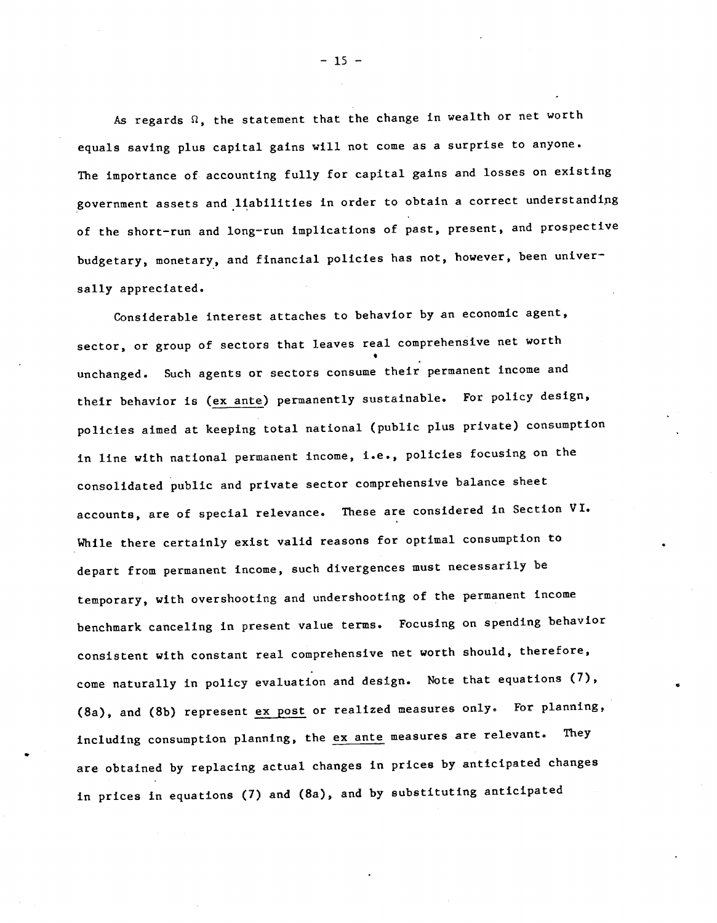As regards  $\Omega$ , the statement that the change in wealth or net worth equals saving plus capital gains will not come as a surprise to anyone. The importance of. accounting fully for capital gains and losses on existing government assets and liabilities in order to obtain a correct understandipg of the short—run and long—run implications of past, present, and prospective budgetary, monetary, and financial policies has not, however, been universally appreciated.

Considerable interest attaches to behavior by an economic agent, sector, or group of sectors that leaves real comprehensive net worth unchanged. Such agents or sectors consume their permanent income and their behavior is (ex ante) permanently sustainable. For policy design, policies aimed at keeping total national (public plus private) consumption In line with national permanent income, i.e., policies focusing on the consolidated public and private sector comprehensive balance sheet accounts, are of special relevance. These are considered in Section VI. While there certainly exist valid reasons for optimal consumption to depart from permanent income, such divergences must necessarily be temporary, with overshooting and undershooting of the permanent income benchmark canceling in present value terms. Focusing on spending behavior consistent with constant real comprehensive net worth should, therefore, come naturally in policy evaluation and design. Note that equations (7), (8a), and (8b) represent ex post or realized measures only. For planning, including consumption planning, the ex ante measures are relevant. They are obtained by replacing actual changes in prices by anticipated changes in prices in equations (7) and (8a), and by substituting anticipated

 $-15 -$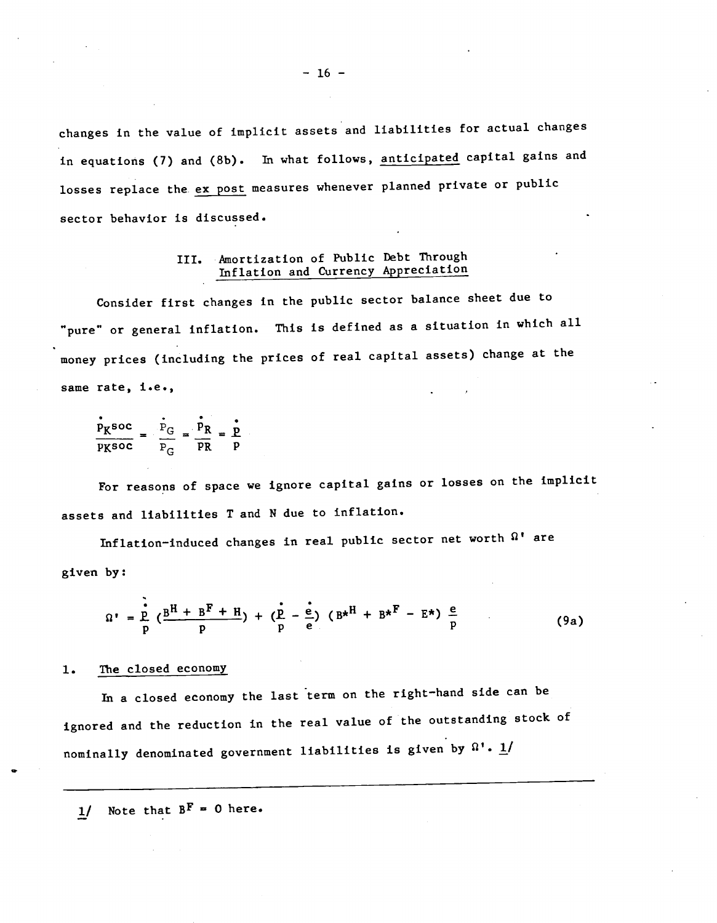changes in the value of implicit assets and liabilities for actual changes in equations (7) and (8b). In what follows, anticipated capital gains and losses replace the ex post measures whenever planned private or public sector behavior is discussed.

# III. Amortization of Public Debt Through Inflation and Currency Appreciation

Consider first changes in the public sector balance sheet due to "pure' or general inflation. This is defined as a situation in which all money prices (including the prices of real capital assets) change at the same rate, i.e.,

$$
\frac{\dot{P}_{K} \text{soc}}{P_{K} \text{soc}} = \frac{\dot{P}_{G}}{P_{G}} = \frac{\dot{P}_{R}}{PR} = \frac{\dot{P}}{P}
$$

For reasons of space we ignore capital gains or losses on the implicit assets and liabilities T and N due to inflation.

Inflation-induced changes in real public sector net worth  $\Omega^*$  are given by:

$$
\Omega' = \frac{p}{p} \left( \frac{B^H + B^F + H}{p} \right) + \left( \frac{p}{p} - \frac{e}{e} \right) \left( B^{*H} + B^{*F} - E^* \right) \frac{e}{p}
$$
 (9a)

## 1. The closed economy

In a closed economy the last term on the right-hand side can be ignored and the reduction in the real value of the outstanding stock of nominally denominated government liabilities is given by  $\Omega$ '.  $\underline{1}/$ 

1/ Note that  $B^F = 0$  here.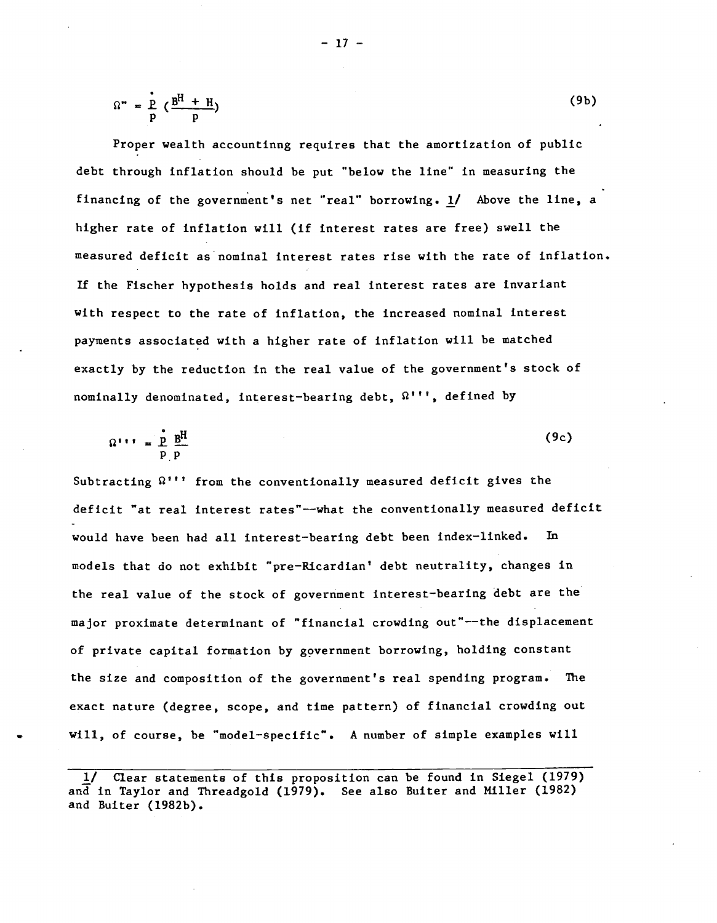$$
\Omega^* = \frac{p}{p} \left( \frac{B^H + H}{p} \right) \tag{9b}
$$

Proper wealth accountinng requires that the amortization of public debt through inflation should be put "below the line" in measuring the financing of the government's net "real" borrowing. 1/ Above the line, a higher rate of inflation will (if interest rates are free) swell the measured deficit as nominal interest rates rise with the rate of inflation. If the Fischer hypothesis holds and real interest rates are invariant with respect to the rate of inflation, the increased nominal interest payments associated with a higher rate of inflation will be matched exactly by the reduction in the real value of the government's stock of nominally denominated, interest—bearing debt, Q''', defined by

$$
\Omega^{++} = \frac{\dot{p}}{p} \frac{B^H}{p}
$$
 (9c)

Subtracting  $\Omega$ <sup>''</sup>' from the conventionally measured deficit gives the deficit "at real interest rates"—what the conventionally measured deficit would have been had all interest—bearing debt been index—linked. In models that do not exhibit "pre-Ricardian' debt neutrality, changes in the real value of the stock of government interest—bearing debt are the major proximate determinant of "financial crowding out"—the displacement of private capital formation by government borrowing, holding constant the size and composition of the government's real spending program. The exact nature (degree, scope, and time pattern) of financial crowding out will, of course, be "model—specific". A number of simple examples will

 $-17 -$ 

Clear statements of this proposition can be found in Siegel (1979) and in Taylor and Threadgold (1979). See also Buiter and Miller (1982) and Buiter (l982b).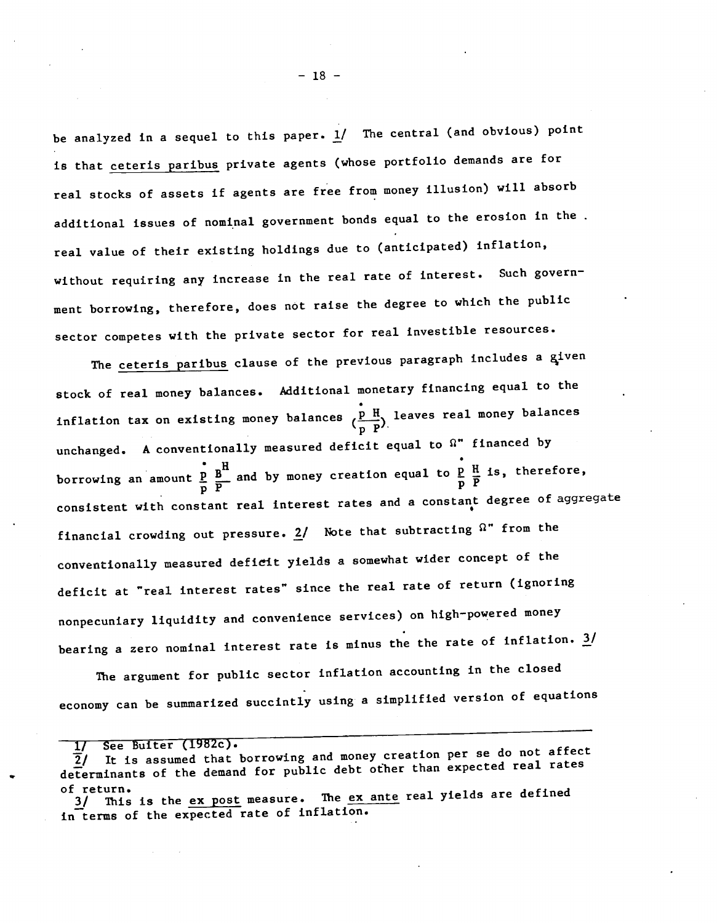be analyzed in a sequel to this paper.  $1/$  The central (and obvious) point is that ceteris paribus private agents (whose portfolio demands are for real stocks of assets if agents are free from money illusion) will absorb additional issues of nominal government bonds equal to the erosion in the. real value of their existing holdings due to (anticipated) inflation, without requiring any increase in the real rate of interest. Such government borrowing, therefore, does not raise the degree to which the public sector competes with the private sector for real investible resources.

The ceteris paribus clause of the previous paragraph includes a given stock of real money balances. Additional monetary financing equal to the inflation tax on existing money balances  $\{\frac{p-H}{p}\}$  leaves real money balances  $\mathbf{p}$   $\mathbf{P'}$ unchanged. A conventionally measured deficit equal to  $\Omega$ " financed by borrowing an amount  $\frac{p}{p}$   $\frac{B}{p}$  and by money creation equal to  $\frac{p}{p}$   $\frac{H}{p}$  is, therefore, consistent with constant real interest rates and a constant degree of aggregate financial crowding out pressure.  $2/$  Note that subtracting  $\Omega$ " from the conventionally measured deficit yields a somewhat wider concept of the deficit at "real interest rates" since the real rate of return (ignoring nonpecuniary liquidity and convenience services) on high-powered money bearing a zero nominal interest rate is minus the the rate of inflation.  $3/$ 

The argument for public sector inflation accounting in the closed economy can be summarized succintly using a simplified version of equations

1/ See Buiter (1982c).<br>
2/ It is assumed that borrowing and money creation per se do not affect<br>
2/ It is assumed that borrowing and money creation per se do not affect  $\overline{2}$ / It is assumed that borrowing and money creation per our action determinants of the demand for public debt other than expected real rates

of return.<br>3/ This is the <u>ex post</u> measure. The <u>ex ante</u> real yields are defined in terms of the expected rate of inflation.

 $-18 -$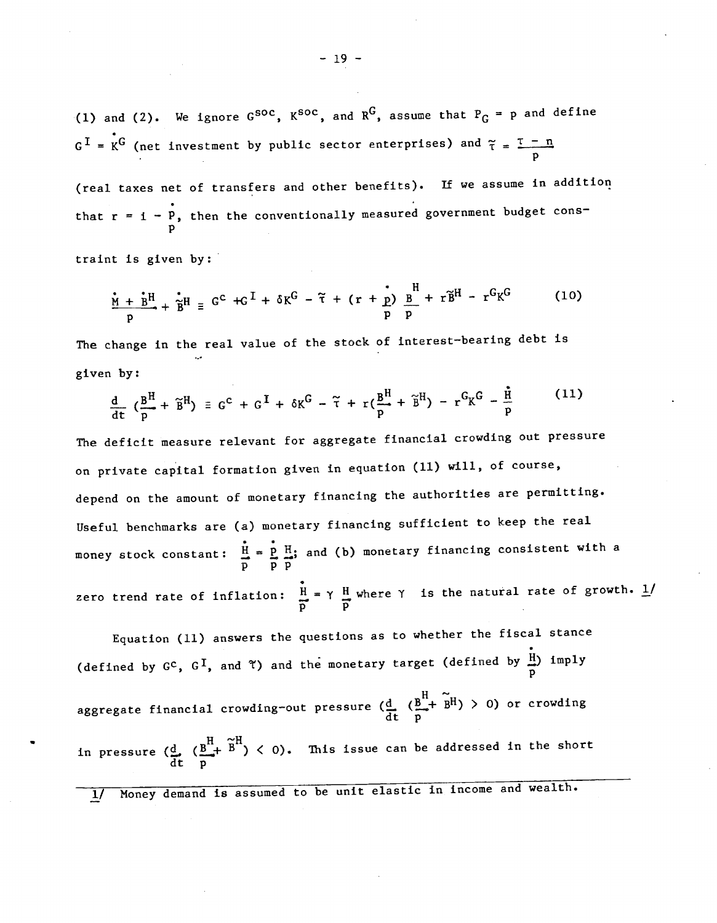— 19 —

(1) and (2). We ignore  $G^{SOC}$ ,  $K^{SOC}$ , and  $R^G$ , assume that  $P_G = p$  and define  $G<sup>I</sup> = K<sup>G</sup>$  (net investment by public sector enterprises) and  $\tilde{\tau} = \frac{\tau - n}{p}$ 

(real taxes net of transfers and other benefits). If we assume in addition that  $r = i - P$ , then the conventionally measured government budget consp

traint is given by:

$$
\frac{\dot{M} + \dot{B}^{H}}{p} + \ddot{B}^{H} \equiv G^{C} + G^{I} + \delta K^{G} - \tilde{\tau} + (r + \frac{\dot{r}}{p}) \frac{B}{p} + r \tilde{B}^{H} - r^{G} K^{G}
$$
 (10)

The change in the real value of the stock of interest—bearing debt is given by:

$$
\frac{\mathrm{d}}{\mathrm{d}t} \left( \frac{\mathrm{B}^{\mathrm{H}}}{p} + \widetilde{\mathrm{B}}^{\mathrm{H}} \right) = \mathrm{G}^{\mathrm{C}} + \mathrm{G}^{\mathrm{I}} + \delta \mathrm{K}^{\mathrm{G}} - \widetilde{\tau} + \mathrm{r} \left( \frac{\mathrm{B}^{\mathrm{H}}}{p} + \widetilde{\mathrm{B}}^{\mathrm{H}} \right) - \mathrm{r}^{\mathrm{G}} \mathrm{K}^{\mathrm{G}} - \frac{\mathrm{H}}{p} \tag{11}
$$

The deficit measure relevant for aggregate financial crowding out pressure on private capital formation given in equation (11) will, of course, depend on the amount of monetary financing the authorities are permitting. Useful benchmarks are (a) monetary financing sufficient to keep the real money stock constant:  $\frac{H}{p} = \frac{p}{p} \frac{H}{p}$ ; and (b) monetary financing consistent with a zero trend rate of inflation:  $\frac{H}{H} = \gamma \frac{H}{m}$  where  $\gamma$  is the natural rate of growth. 1/ p p

Equation (11) answers the questions as to whether the fiscal stance (defined by  $G^c$ ,  $G^I$ , and  $\tilde{\tau}$ ) and the monetary target (defined by  $\frac{H}{D}$ ) imply (defined by  $G^c$ ,  $G^1$ , and  $T$ ) and the monetary target (defined by  $\frac{D}{p}$ )  $\frac{L}{p}$ ,  $\frac{D}{p}$ )  $\frac{L}{p}$ ,  $\frac{D}{p}$ in pressure  $(\frac{d}{dt} (\frac{B^H}{p} + \tilde{B}^H) < 0)$ . This issue can be addressed in the short

1/ Money demand is assumed to be unit elastic in income and wealth.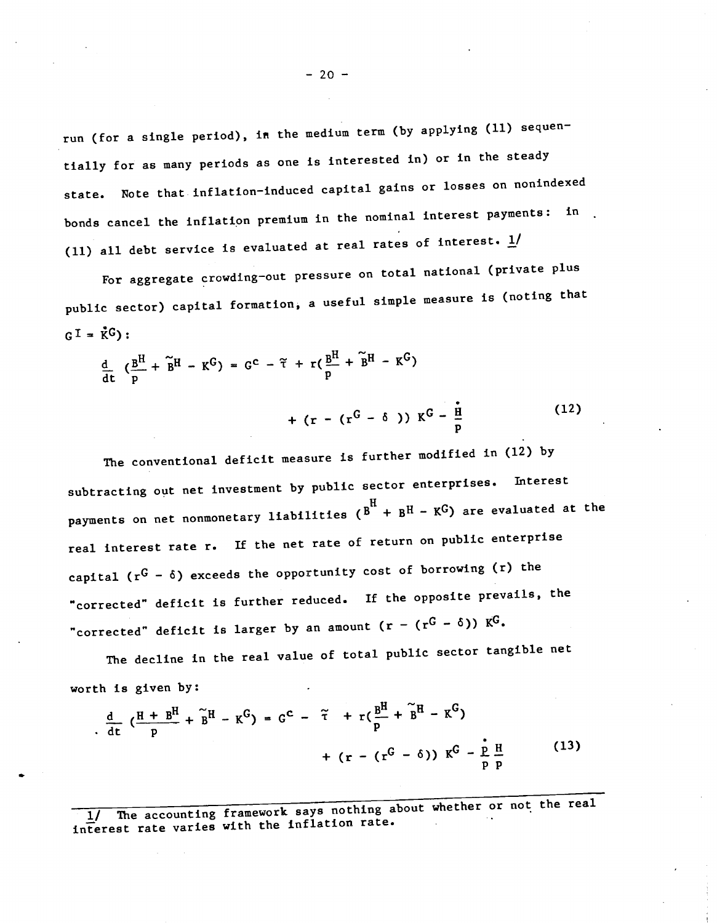run (for a single period), in the medium term (by applying (11) sequentially for as many periods as one is interested in) or In the steady state. Note that inflation—induced capital gains or losses on nonindexed bonds cancel the inflation premium in the nominal interest payments: in. (11) all debt service is evaluated at real rates of interest.  $\underline{1}$ /

For aggregate crowding—out pressure on total national (private plus public sector) capital formation, a useful simple measure is (noting that  $GI = \mathring{K}G$ :

$$
\frac{d}{dt} \left( \frac{B^H}{p} + \tilde{B}^H - K^G \right) = G^C - \tilde{\tau} + r \left( \frac{B^H}{p} + \tilde{B}^H - K^G \right)
$$

+ (r – (r<sup>G</sup> –  $\delta$ )) K<sup>G</sup> –  $\frac{H}{p}$  (12)

The conventional deficit measure is further modified in (12) by subtracting out net investment by public sector enterprises. Interest payments on net nonmonetary liabilities  $(B^H + B^H - K^G)$  are evaluated at the real interest rate r. If the net rate of return on public enterprise capital  $(r^G - \delta)$  exceeds the opportunity cost of borrowing (r) the "corrected" deficit is further reduced. If the opposite prevails, the "corrected" deficit is larger by an amount  $(r - (r^G - \delta)) K^G$ .

The decline in the real value of total public sector tangible net worth Is given by:

$$
\frac{d}{dt} \left( \frac{H + B^H}{p} + \tilde{B}^H - K^G \right) = G^C - \tilde{\tau} + r \left( \frac{B^H}{p} + \tilde{B}^H - K^G \right) + (r - (r^G - \delta)) K^G - \frac{\dot{p}}{p} \frac{H}{p}
$$
(13)

1/ The accounting framework says nothing about whether or not the real<br>interest rate varies with the inflation rate.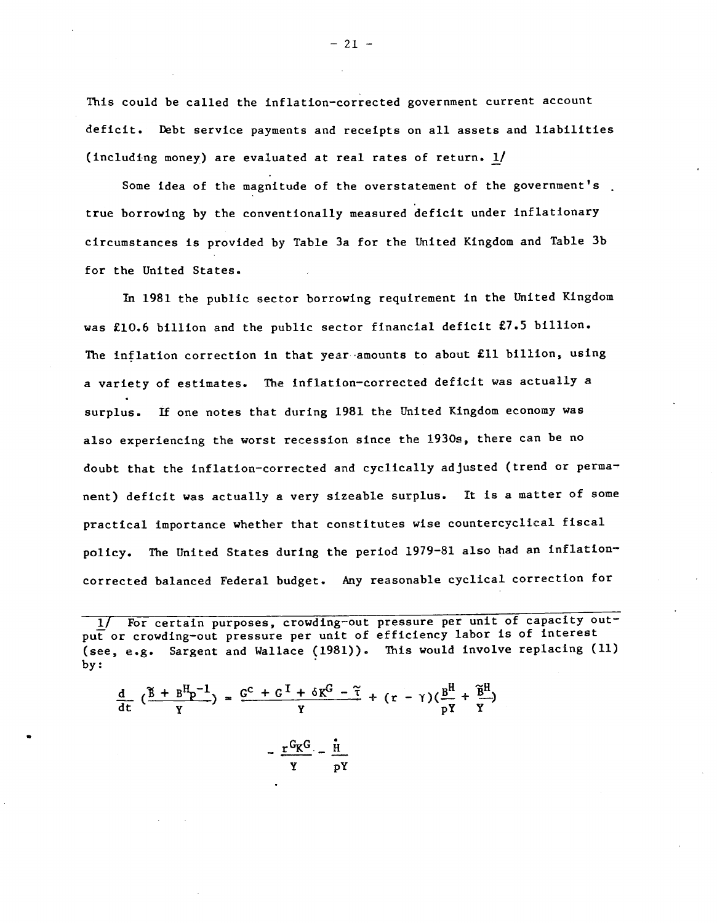This could be called the inflation-corrected government current account deficit. Debt service payments and receipts on all assets and liabilities (including money) are evaluated at real rates of return. 1/

Some idea of the magnitude of the overstatement of the government's true borrowing by the conventionally measured deficit under inflationary circumstances is provided by Table 3a for the United Kingdom and Table 3b for the United States.

In 1981 the public sector borrowing requirement in the United Kingdom was £10.6 billion and the public sector financial deficit £7.5 billion. The inflation correction in that year amounts to about £11 billion, using a variety of estimates. The inflation—corrected deficit was actually a surplus. If one notes that during 1981 the United Kingdom economy was also experiencing the worst recession since the 1930s, there can be no doubt that the inflation-corrected and cyclically adjusted (trend or permanent) deficit was actually a very sizeable surplus. It is a matter of some practical importance whether that constitutes wise countercyclical fiscal policy. The United States during the period 1979—81 also had an inflation corrected balanced Federal budget. Any reasonable cyclical correction for

$$
\frac{d}{dt} \left( \frac{\tilde{B} + B^H p^{-1}}{\gamma} \right) = \frac{G^C + G^T + \delta K^G - \tilde{\tau}}{\gamma} + (r - \gamma) \left( \frac{B^H}{p\gamma} + \frac{\tilde{B}^H}{\gamma} \right)
$$

 $-\frac{r^G K^G}{v} - \frac{H}{pY}$ 

 $-21 -$ 

<sup>1/</sup> For certain purposes, crowding-out pressure per unit of capacity output or crowding—out pressure per unit of efficiency labor is of interest (see, e.g. Sargent and Wallace (1981)). This would involve replacing (11)<br>by:<br> $\frac{d}{dt} (\frac{\beta + B^{H}_{p} - 1}{Y}) = \frac{G^{C} + G^{T} + \delta X^{G} - \tilde{\tau}}{Y} + (r - \gamma)(\frac{B^{H}}{pY} + \frac{\tilde{B}^{H}}{Y})$ by: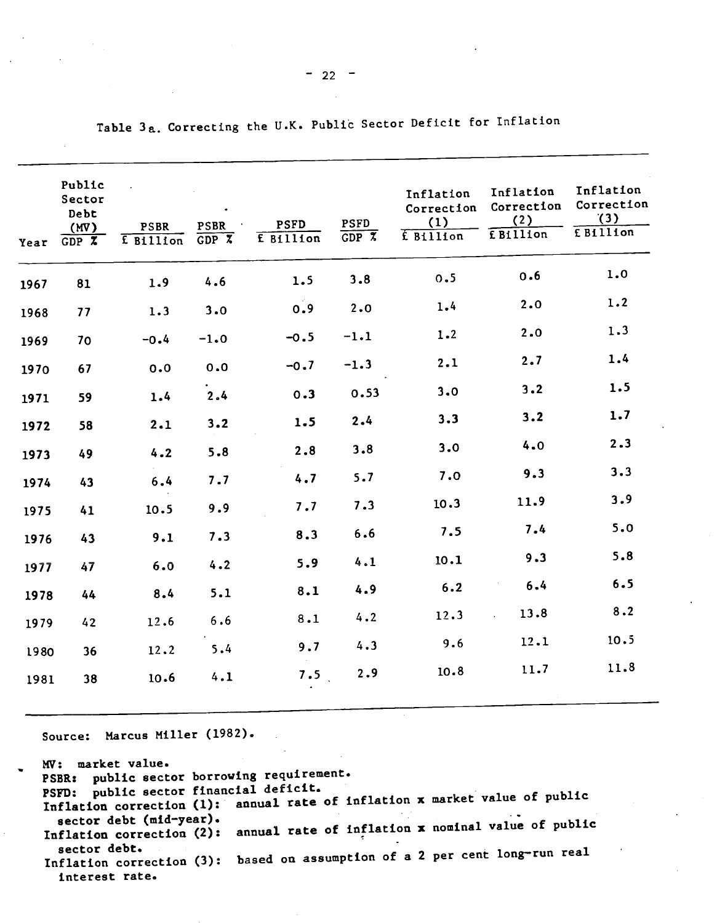| Year | Public<br>Sector<br>Debt<br>(MV)<br>GDPZ | <b>PSBR</b><br>E Billion | <b>PSBR</b><br>GDPZ | PSFD<br>E Billion | <b>PSFD</b><br>$GDP \, X$ | Inflation<br>Correction<br>(1)<br>f Billion | Inflation<br>Correction<br>(2)<br>E Billion | Inflation<br>Correction<br>(3)<br>E Billion |
|------|------------------------------------------|--------------------------|---------------------|-------------------|---------------------------|---------------------------------------------|---------------------------------------------|---------------------------------------------|
| 1967 | 81                                       | 1.9                      | 4.6                 | 1.5               | 3.8                       | 0.5                                         | 0.6                                         | 1.0                                         |
| 1968 | 77                                       | 1.3                      | 3.0                 | 0.9               | 2.0                       | 1.4                                         | 2.0                                         | 1.2                                         |
| 1969 | 70                                       | $-0.4$                   | $-1.0$              | $-0.5$            | $-1.1$                    | 1.2                                         | 2.0                                         | 1.3                                         |
| 1970 | 67                                       | 0.0                      | 0.0                 | $-0.7$            | $-1.3$                    | 2.1                                         | 2.7                                         | 1.4                                         |
| 1971 | 59                                       | 1.4                      | 2.4                 | 0.3               | 0.53                      | 3.0                                         | 3.2                                         | 1.5                                         |
| 1972 | 58                                       | 2.1                      | 3.2                 | 1.5               | 2.4                       | 3.3                                         | 3.2                                         | 1.7                                         |
| 1973 | 49                                       | 4.2                      | 5.8                 | 2.8               | 3.8                       | 3.0                                         | 4.0                                         | 2.3                                         |
| 1974 | 43                                       | 6.4                      | 7.7                 | 4.7               | 5.7                       | 7.0                                         | 9.3                                         | 3.3                                         |
| 1975 | 41                                       | 10.5                     | 9.9                 | 7.7               | 7.3                       | 10.3                                        | 11.9                                        | 3.9                                         |
| 1976 | 43                                       | 9.1                      | 7.3                 | 8.3               | 6.6                       | 7.5                                         | 7.4                                         | 5.0                                         |
| 1977 | 47                                       | 6.0                      | 4.2                 | 5.9               | 4.1                       | 10.1                                        | 9.3                                         | 5.8                                         |
| 1978 | 44                                       | 8.4                      | 5.1                 | 8.1               | 4.9                       | 6.2                                         | 6.4                                         | 6.5                                         |
| 1979 | 42                                       | 12.6                     | $6.6$               | 8.1               | 4.2                       | 12.3                                        | 13.8                                        | 8.2                                         |
| 1980 | 36                                       | 12.2                     | 5.4                 | 9.7               | 4.3                       | 9.6                                         | 12.1                                        | 10.5                                        |
| 1981 | 38                                       | 10.6                     | 4.1                 | 7.5               | 2.9                       | 10.8                                        | 11.7                                        | 11.8                                        |

Table 3a. Correcting the U.K. Public Sector Deficit for Inflation

Source: Marcus Miller (1982).

| MV: market value.<br>PSBR: public sector borrowing requirement.                                                       |
|-----------------------------------------------------------------------------------------------------------------------|
| PSFD: public sector financial deficit.<br>Inflation correction (1): annual rate of inflation x market value of public |
| sector debt (mid-year).                                                                                               |
| Inflation correction (2): annual rate of inflation x nominal value of public                                          |
| sector debt.<br>Inflation correction (3): based on assumption of a 2 per cent long-run real                           |
| interest rate.                                                                                                        |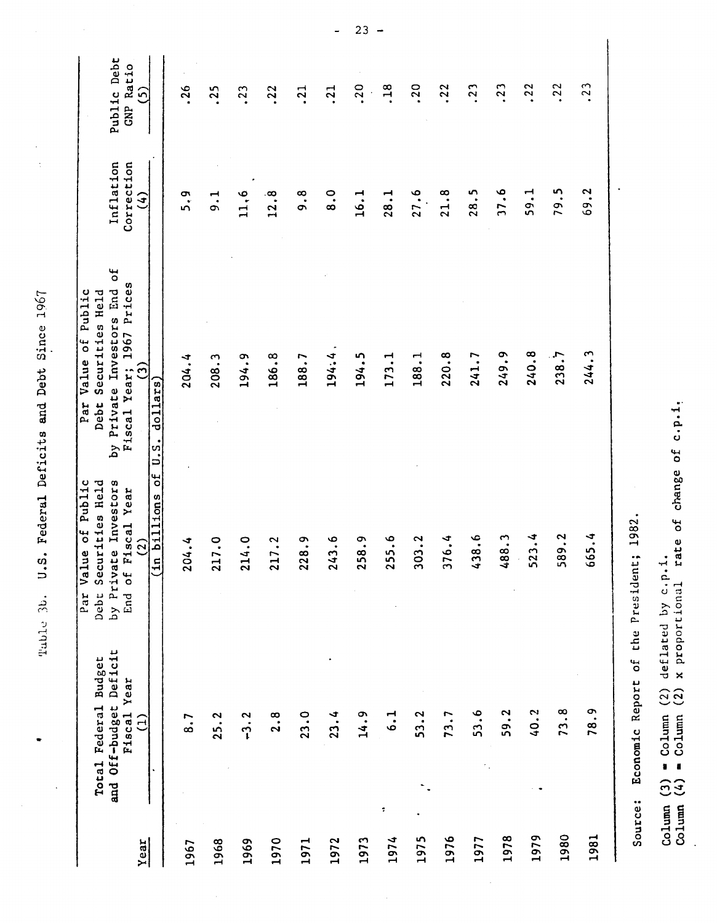| .<br>הלה<br>$\vdots$          |  |
|-------------------------------|--|
| $\overline{D}$<br>)<br>)<br>) |  |
| ים<br>ה<br>;<br>;             |  |
| $a + a + a$<br>フローコワー         |  |
| まりづけり<br>adar.<br>ſ           |  |
| $\frac{1}{2}$<br>c<br>:       |  |
| $\ddot{\phantom{0}}$          |  |
| ן<br>כ                        |  |

 $\ddot{\phantom{0}}$ 

 $\ddot{\phantom{0}}$ 

 $\ddot{\phantom{0}}$  $\frac{1}{2}$   $\frac{1}{2}$ 

|      | and Off-budget Deficit<br>Total Federal Budget<br>Fiscal Year | of Public<br>Investors<br>rities Held<br>iscal Year<br>$\mathbf{Q}$<br>$\bullet$<br>Par Valu<br>Debt Secu<br>by Privat<br>End of F | Ъ<br>Fiscal Year; 1967 Prices<br>by Private Investors End<br>Par Value of Public<br>Securities Held<br>Debt | Inflation<br>Correction | Public Debt<br><b>GNP Ratio</b> |
|------|---------------------------------------------------------------|------------------------------------------------------------------------------------------------------------------------------------|-------------------------------------------------------------------------------------------------------------|-------------------------|---------------------------------|
| Year | $\widehat{E}$<br>$\bullet$                                    | đ<br>billions<br>$\widetilde{c}$<br>딬                                                                                              | $\widehat{c}$<br>dollars<br>$\ddot{u}$                                                                      | $\mathfrak{S}$          | ပ်                              |
| 1967 | 8.7                                                           | 4.4<br>$\overline{2}$                                                                                                              | 204.4                                                                                                       | 5.9                     | .26                             |
| 1968 | 25.2                                                          | 7.0<br>21                                                                                                                          | 208.3                                                                                                       | $\frac{1}{9}$           | .25                             |
| 1969 | $-3.2$                                                        | 4.0<br>21                                                                                                                          | 194.9                                                                                                       | 11, 6                   | .23                             |
| 1970 | 2.8                                                           | 7.2<br>$\overline{c}$                                                                                                              | 186.8                                                                                                       | 12.8                    | .22                             |
| 1971 | 23.0                                                          | $\ddot{8}$ .<br>22                                                                                                                 | 188.7                                                                                                       | $\frac{8}{9}$           | $\frac{21}{2}$                  |
| 1972 | 23.4                                                          | $\frac{6}{3}$<br>$\frac{24}{5}$                                                                                                    | 194:4                                                                                                       | $\frac{0}{8}$           | $\cdot$ <sub>21</sub>           |
| 1973 | 14.9                                                          | $\ddot{a}$<br>25                                                                                                                   | 194.5                                                                                                       | 16.1                    | .20                             |
| 1974 | $\frac{1}{6}$<br>$\ddot{\phantom{0}}$                         | ه.<br>^<br>$\frac{5}{2}$                                                                                                           | 173.1                                                                                                       | 28.1                    | .18                             |
| 1975 | 53.2                                                          | 13.2<br>$\frac{5}{2}$                                                                                                              | 188.1                                                                                                       | 27.6                    | .20                             |
| 1976 | 73.7                                                          | 6.4<br>57                                                                                                                          | 220.8                                                                                                       | 21.8                    | .22                             |
| 1977 | 53.6                                                          | 0.6<br>္ဒ                                                                                                                          | 241.7                                                                                                       | 28.5                    | $\cdot$ 23                      |
| 1978 | 59.2                                                          | 488.3                                                                                                                              | 249.9                                                                                                       | 17.6                    | .23                             |
| 1979 | 40.2                                                          | 523.4<br>л.                                                                                                                        | 240.8                                                                                                       | 59.1                    | .22                             |
| 1980 | 73.8                                                          | 589.2                                                                                                                              | 238.7                                                                                                       | 79.5                    | .22                             |
| 1981 | 78.9                                                          | 665.4                                                                                                                              | 244.3                                                                                                       | 69.2                    | .23                             |
|      |                                                               |                                                                                                                                    |                                                                                                             |                         |                                 |

Source: Economic Report of the President; 1982. Source: Economic Report of the President; 1982.

 $\frac{1}{2}$ 

 $\hat{\mathcal{A}}$ 

Column (3)  $\bullet$  Column (2) deflated by c.p.1.<br>Column (4)  $\bullet$  Column (2) x proportional rate of change of c.p.1. Column (4) = Column (2) x proportional rate of change of c.p.i.  $Colum$  (3)  $\equiv$  Column (2) deflated by c.p.1.

 $\ddot{\phantom{a}}$ 

 $23 \overline{a}$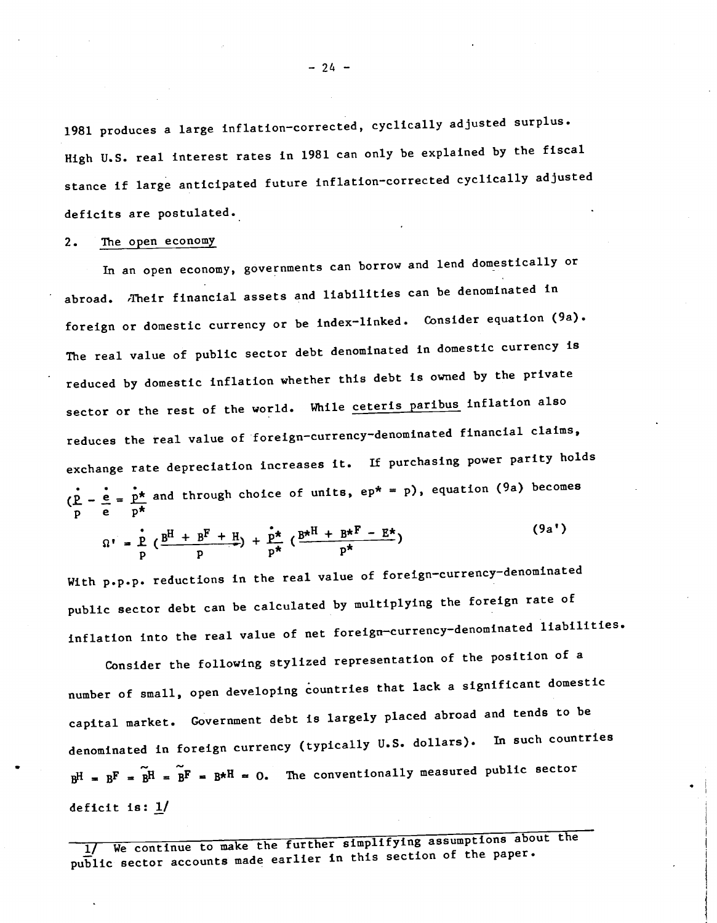1981 produces a large inflation—corrected, cyclically adjusted surplus. High U.S. real interest rates in 1981 can only be explained by the fiscal stance if large anticipated future inflation—Corrected cyclically adjusted deficits are postulated.

#### 2. The open economy

In an open economy, governments can borrow and lend domesticallY or abroad. Their financial assets and liabilities can be denominated in foreign or domestic currency or be index—linked. Consider equation (9a). The real value of public sector debt denominated in domestic currency is reduced by domestic inflation whether this debt is owned by the private sector or the rest of the world. While ceteris paribus inflation also reduces the real value of foreign-currency-denominated financial claims, exchange rate depreciation increases it. If purchasing power parity holds  $\frac{1}{\pi}$  e  $\frac{1}{\pi}$  and through choice of units, ep\* = p), equation (9a) becomes  $p = \frac{p}{p}$  e  $p^*$ 

$$
\Omega' = \frac{\dot{p}}{p} \left( \frac{B^H + B^F + H}{p} \right) + \frac{\dot{p}^{\star}}{p^{\star}} \left( \frac{B^{\star H} + B^{\star F} - E^{\star}}{p^{\star}} \right)
$$
\n(9a')

With p.p.p. reductions in the real value of foreign-currency-denominated public sector debt can be calculated by multiplying the foreign rate of inflation into the real value of net foreign-currency-denominated liabilities.

Consider the following stylized representation of the position of a number of small, open developing countries that lack a significant domestic capital market. Government debt is largely placed abroad and tends to be denominated in foreign currency (typically U.S. dollars). In such countries  $B^H = B^F = \widetilde{B}^H = \widetilde{B}^F = B^{*H} = 0$ . The conventionally measured public sector deficit is: 1/

1/ We continue to make the further simplifying assumptions about the public sector accounts made earlier in this section of the paper.

— 24 —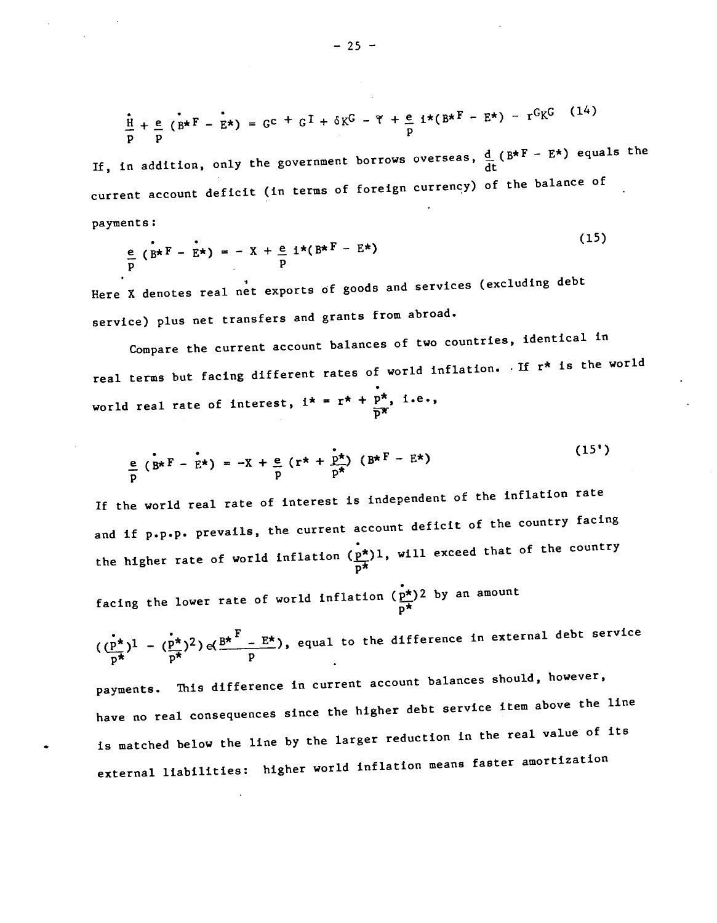$$
\frac{\mathbf{r}}{\mathbf{p}} + \frac{\mathbf{e}}{\mathbf{p}} \left( \mathbf{B}^{\star} \mathbf{F} - \mathbf{E}^{\star} \right) = \mathbf{G}^{\mathbf{C}} + \mathbf{G}^{\mathbf{T}} + \delta \mathbf{K}^{\mathbf{G}} - \mathbf{\tilde{\tau}} + \frac{\mathbf{e}}{\mathbf{p}} \mathbf{i}^{\star} (\mathbf{B}^{\star} \mathbf{F} - \mathbf{E}^{\star}) - \mathbf{r}^{\mathbf{G}} \mathbf{K}^{\mathbf{G}} \tag{14}
$$

 $\overline{a}$   $\overline{a}$   $\overline{a}$   $\overline{b}$ 

 $\lambda = -\frac{1}{2}$ 

If, in addition, only the government borrows overseas,  $\frac{d}{dt}$  (B\*F – E\*) equals the current account deficit (in terms of foreign currency) of the balance of payments:

$$
\frac{e}{p} \left( B^{\star} F - E^{\star} \right) = - X + \frac{e}{p} i^{\star} (B^{\star} F - E^{\star})
$$
\n(15)

Here X denotes real net exports of goods and services (excluding debt service) plus net transfers and grants from abroad.

Compare the current account balances of two countries, identical in real terms but facing different rates of world inflation. If r\* is the world world real rate of interest,  $i^* = r^* + p^*, i.e.,$ 

$$
\frac{e}{p} \left( B^{\star} \right) = -X + \frac{e}{p} \left( r^{\star} + \frac{p^{\star}}{p^{\star}} \right) \left( B^{\star} \right) \tag{15'}
$$

If the world real rate of interest is independent of the inflation rate and if p.p.p. prevails, the current accounce account deficit of the country facing the higher rate of world inflation  $\frac{\overline{p^*}}{p^*}$ , will exceed that of the country

facing the lower rate of world inflation  $(\frac{p^*}{p^*})^2$  by an amount

$$
(\frac{p^*}{p^*})^1 - (\frac{p^*}{p^*})^2) \cdot (\frac{B^*}{p^*} - E^*),
$$
 equal to the difference in external debt service

payments. This difference in current account balances should, however, have no real consequences since the higher debt service item above the line is matched below the line by the larger reduction in the real value of its external liabilities: higher world inflation means faster amortization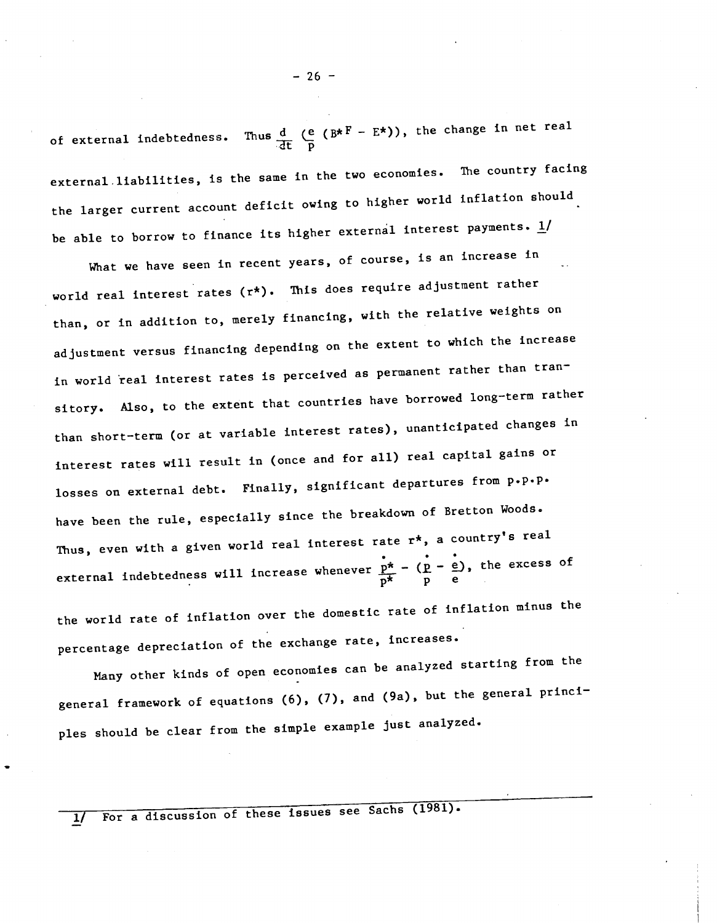of external indebtedness. Thus  $\frac{d}{dt}$  (e (B\*F – E\*)), the change in net real external.liabilities, is the same in the two economies. The country facing the larger current account deficit owing to higher world inflation should be able to borrow to finance its higher external interest payments.  $\underline{1}/$ 

What we have seen in recent years, of course, is an increase in world real interest rates (r\*). This does require adjustment rather than, or in addition to, merely financing, with the relative weights on adjustment versus financing depending on the extent to which the increase in world real interest rates is perceived as permanent rather than transitory. Also, to the extent that countries have borrowed long—term rather than short—term (or at variable interest rates), unanticipated changes in interest rates will result in (once and for all) real capital gains or losses on external debt. Finally, significant departures from p.p.p. have been the rule, especially since the breakdown of Bretton Woods. Thus, even with a given world real interest rate  $r^*$ , a country's real external indebtedness will increase whenever  $\frac{\dot{p}^*}{p^*} - (\frac{\dot{p}}{p} - \frac{\dot{e}}{e})$ , the excess of

the world rate of inflation over the domestic rate of inflation minus the percentage depreciation of the exchange rate, increases.

Nany other kinds of open economies can be analyzed starting from the general framework of equations (6), (7), and (9a), but the general princi ples should be clear from the simple example just analyzed.

For a discussion of these issues see Sachs (1981).  $1/$ 

 $-26 -$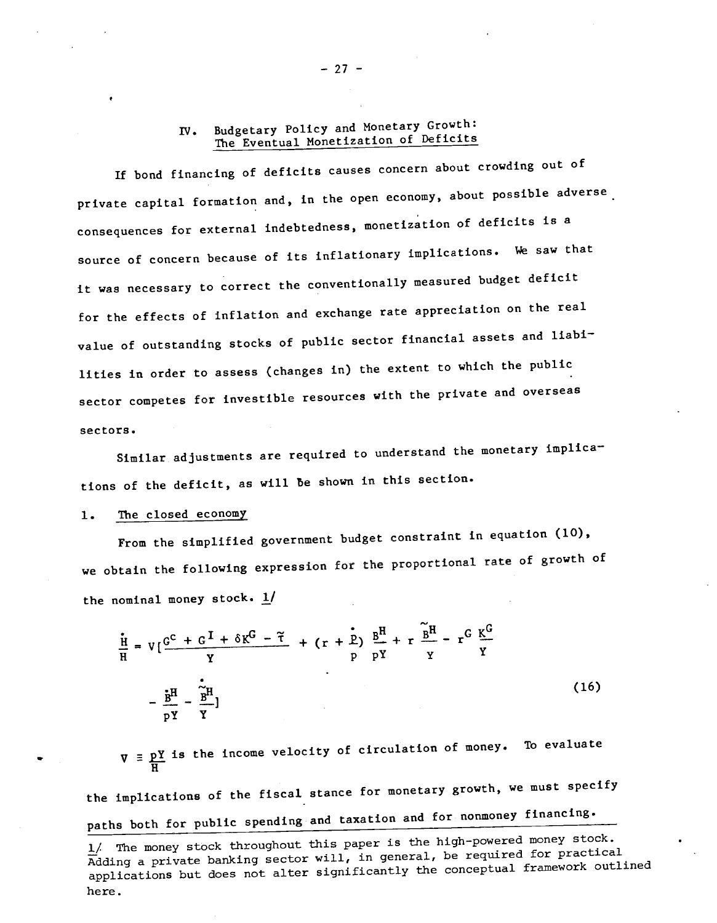# IV. Budgetary Policy and Monetary Growth: The Eventual Monetization of Deficits

If bond financing of deficits causes concern about crowding out of private capital formation and, in the open economy, about possible adverse. consequences for external indebtedness, monetization of deficits is a source of concern because of its inflationary implications. We saw that it was necessary to correct the conventionallY measured budget deficit for the effects of inflation and exchange rate appreciation on the real value of outstanding stocks of public sector financial assets and liabilities in order to assess (changes in) the extent to which the public sector competes for investible resources with the private and overseas sectors

Similar adjustments are required to understand the monetary implications of the deficit, as will be shown in this section.

#### 1. The closed economy

From the simplified government budget constraint in equation (10), we obtain the following expression for the proportional rate of growth of the nominal money stock.  $1/$ 

$$
\frac{\dot{H}}{H} = V\left[\frac{G^{C} + G^{T} + \delta K^{G} - \tilde{\tau}}{Y} + (r + \frac{\dot{r}}{p})\frac{B^{H}}{pY} + r\frac{\tilde{B}^{H}}{Y} - r^{G}\frac{K^{G}}{Y}\right]
$$
\n
$$
-\frac{\dot{r}^{H}}{pY} - \frac{\dot{r}^{H}}{Y}
$$
\n(16)

 $\nabla$  =  $\underline{pY}$  is the income velocity of circulation of money. To evaluate  $\overline{H}$ 

the implications of the fiscal stance for monetary growth, we must specify paths both for public spending and taxation and for nonmoney financing.

 $-27 -$ 

<sup>1/</sup> The money stock throughout this paper is the high-powered money stock. Adding a private banking sector will, in general, be required for practical applications but does not alter significantly the conceptual framework outlined here.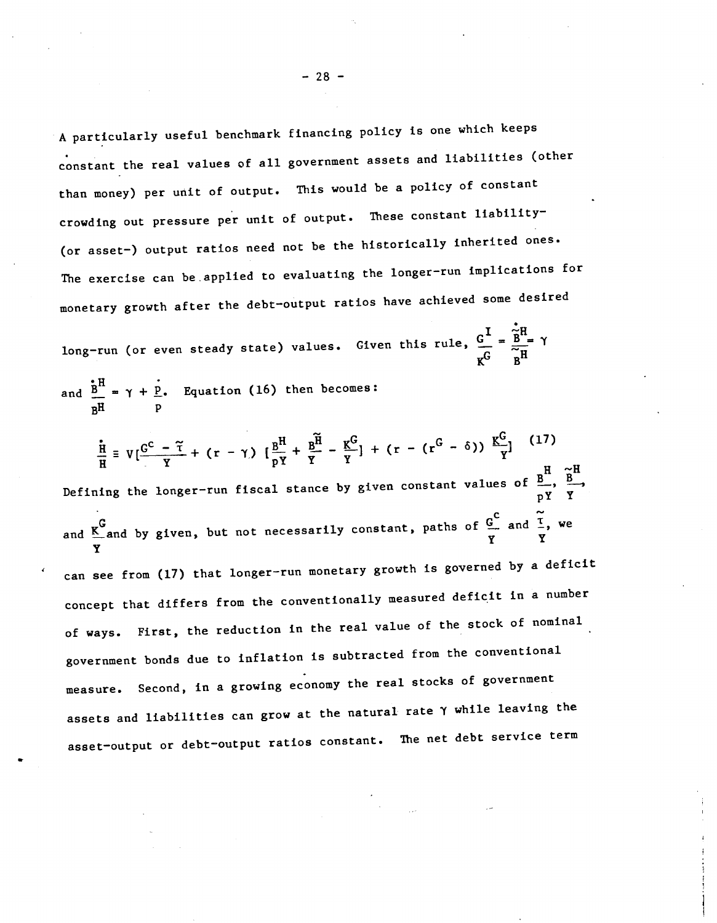<sup>A</sup> particularly useful benchmark financing policy Is one which keeps constant the real values of all government assets and liabilities (other than money) per unit of output. This would be a policy of constant crowding out pressure per unit of output. These constant liability-(or asset—) output ratios need not be the historically inherited ones. The exercise can be applied to evaluating the longer—run implications for monetary growth after the debt—output ratios have achieved some desired

long-run (or even steady state) values. Given this rule,  $\frac{G^I}{C} = \frac{\widetilde{B}^H}{\widetilde{H}}$   $\gamma$  $K^G$   $B^H$ 

and  $\frac{B}{2} = \gamma + P$ . Equation (16) then becomes: p

Y<sub>y</sub>

$$
\frac{1}{H} = V\left[\frac{G^{C} - \tilde{\tau}}{Y} + (r - \gamma)\right] \left[\frac{B^{H}}{pY} + \frac{B^{H}}{Y} - \frac{K^{G}}{Y}\right] + (r - (r^{G} - \delta)) \frac{K^{G}}{Y}\right]^{(17)}
$$
\nDefining the longer-run fiscal stance by given constant values of  $\frac{B}{pY} \times \frac{B}{Y}$ 

\nand  $\frac{K^{G}}{Y}$  and by given, but not necessarily constant, paths of  $\frac{G^{C}}{Y}$  and  $\frac{\tilde{\tau}}{Y}$ , we

can see from (17) that longer—run monetary growth is governed by a deficit concept that differs from the conventionally measured deficit in a number of ways. First, the reduction in the real value of the stock of nominal government bonds due to inflation is subtracted from the conventional measure. Second, in a growing economy the real stocks of government assets and liabilities can grow at the natural rate Y while leaving the asset—output or debt—output ratios constant. The net debt service term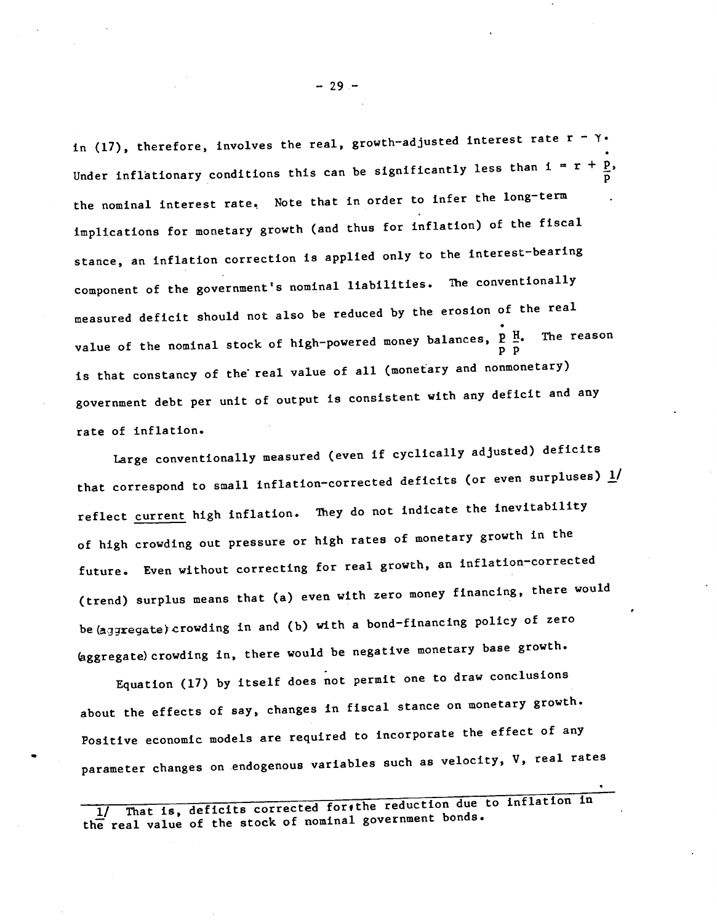in (17), therefore, involves the real, growth-adjusted interest rate r - Y. Under inflationary conditions this can be significantly less than  $i = r +$ p the nominal interest rate. Note that in order to infer the long-term implications for monetary growth (and thus for inflation) of the fiscal stance, an inflation correction is applied only to the interest-bearing component of the government's nominal liabilities. The conventionally measured deficit should not also be reduced by the erosion of the real value of the nominal stock of high-powered money balances,  $\frac{p}{p}$   $\frac{H}{p}$ . The reason is that constancy of the real value of all (monetary and nonmonetary) government debt per unit of output is consistent with any deficit and any rate of inflation.

Large conventionally measured (even if cyclically adjusted) deficits that correspond to small inflation-corrected deficits (or even surpluses)  $\underline{1}/$ reflect current high inflation. They do not indicate the inevitability of high crowding out pressure or high rates of monetary growth in the future. Even without correcting for real growth, an inflation-corrected (trend) surplus means that (a) even with zero money financing, there would be (aggregate) crowding in and (b) with a bond-financing policy of zero (aggregate) crowding in, there would be negative monetary base growth.

Equation (17) by itself does not permit one to draw conclusions about the effects of say, changes in fiscal stance on monetary growth. Positive economic models are required to incorporate the effect of any parameter changes on endogenous variables such as velocity, V, real rates

1/ That is, deficits corrected for the reduction due to inflation in the real value of the stock of nominal government bonds.

—29—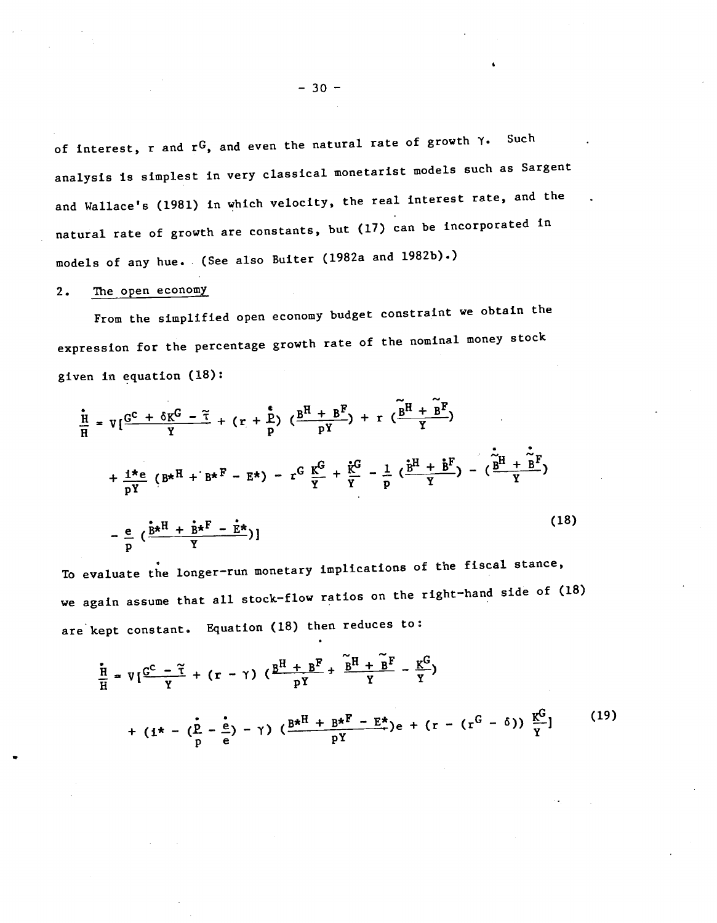of interest, r and  $r^G$ , and even the natural rate of growth  $\gamma$ . Such analysis Is simplest in very classical monetarist models such as Sargent and Wallace's (1981) in which velocity, the real interest rate, and the natural rate of growth are constants, but (17) can be incorporated in models of any hue. (See also Buiter (1982a and 1982b).)

### 2. The open economy

From the simplified open economy budget constraint we obtain the expression for the percentage growth rate of the nominal money stock given in equation (18):

$$
\frac{\dot{n}}{H} = V\left[\frac{G^{C} + \delta K^{C} - \tilde{\tau}}{Y} + (r + \frac{\epsilon}{p}) \left(\frac{B^{H} + B^{F}}{pY}\right) + r \left(\frac{\tilde{B}^{H} + \tilde{B}^{F}}{Y}\right) \right]
$$
\n
$$
+ \frac{1 \star e}{pY} \left(B \star^{H} + B \star^{F} - E \star\right) - r^{G} \frac{K^{G}}{Y} + \frac{\tilde{\tau}^{G}}{Y} - \frac{1}{p} \left(\frac{\tilde{B}^{H} + \tilde{B}^{F}}{Y}\right) - \left(\frac{\tilde{\tau}^{H} + \tilde{B}^{F}}{Y}\right)
$$
\n
$$
- \frac{e}{p} \left(\frac{\tilde{B} \star^{H} + \tilde{B} \star^{F} - \tilde{E} \star}{Y}\right)
$$
\n(18)

To evaluate the longer-run monetary implications of the fiscal stance, we again assume that all stock—flow ratios on the right—hand side of (18) are kept constant. Equation (18) then reduces to:

$$
\frac{\bar{H}}{H} = V\left[\frac{G^{C} - \tilde{\tau}}{Y} + (r - \gamma) \left(\frac{B^{H} + B^{F}}{pY} + \frac{\tilde{B}^{H} + \tilde{B}^{F}}{Y} - \frac{K^{C}}{Y}\right) + (i^{*} - (\tilde{P} - \frac{\dot{e}}{p}) - \gamma) \left(\frac{B^{*H} + B^{*F} - E^{*}}{pY}\right) e + (r - (r^{G} - \delta)) \frac{K^{C}}{Y}\right]
$$
\n(19)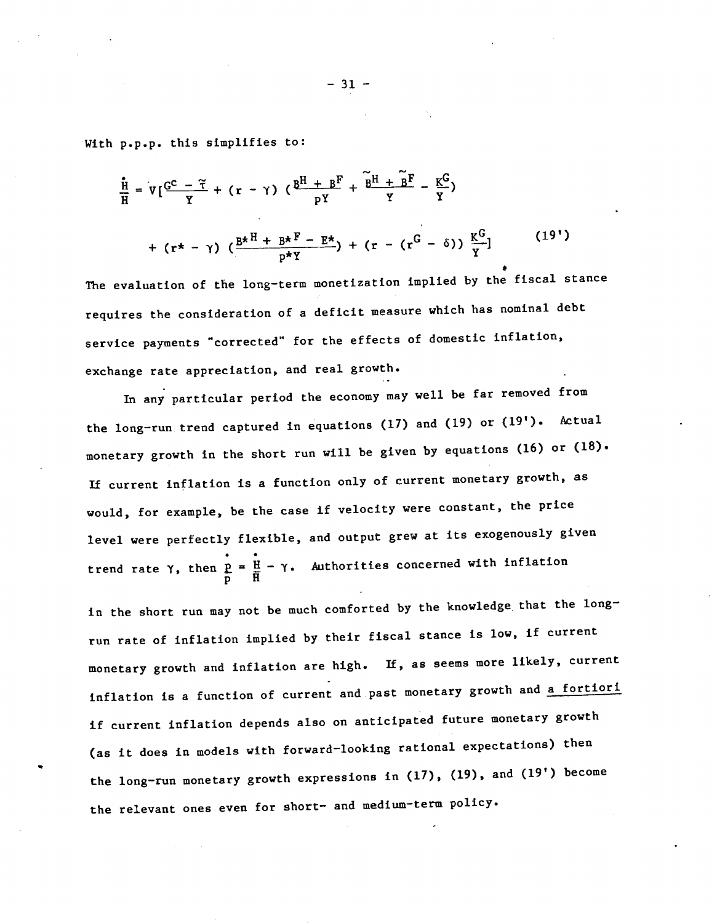With p.p.p. this simplifies to:

$$
\frac{\mathbf{H}}{H} = V\left[\frac{C^{C} - \tilde{\tau}}{Y} + (r - \gamma) \left(\frac{B^{H} + B^{F}}{pY} + \frac{\tilde{B}^{H} + \tilde{B}^{F}}{Y} - \frac{K^{C}}{Y}\right) + (r \star - \gamma) \left(\frac{B^{*H} + B^{*F} - E^{*}}{p^{*Y}}\right) + (r - (r^{G} - \delta)) \frac{K^{G}}{Y}\right]
$$
\n(19')

a The evaluation of the long—term monetization implied by the fiscal stance requires the consideration of a deficit measure which has nominal debt service payments "corrected" for the effects of domestic inflation, exchange rate appreciation, and real growth.

In any particular period the economy may well be far removed from the long—run trend captured in equations (17) and (19) or (19'). Actual monetary growth in the short run will be given by equations (16) or (18). If current inflation is a function only of current monetary growth, as would, for example, be the case if velocity were constant, the price level were perfectly flexible, and output grew at its exogenously given trend rate  $\gamma$ , then  $\frac{1}{k}$  =  $\frac{1}{k}$  -  $\gamma$ . Authorities concerned with inflation  $\overline{p}$  H  $\overline{H}$ 

in the short run may not be much comforted by the knowledge that the longrun rate of inflation implied by their fiscal stance is low, if current monetary growth and inflation are high. If, as seems more likely, current inflation is a function of current and past monetary growth and a fortiori if current inflation depends also on anticipated future monetary growth (as it does in models with forward—looking rational expectations) then the long—run monetary growth expressions in (17), (19), and (19') become the relevant ones even for short- and medium-term policy.

 $-31$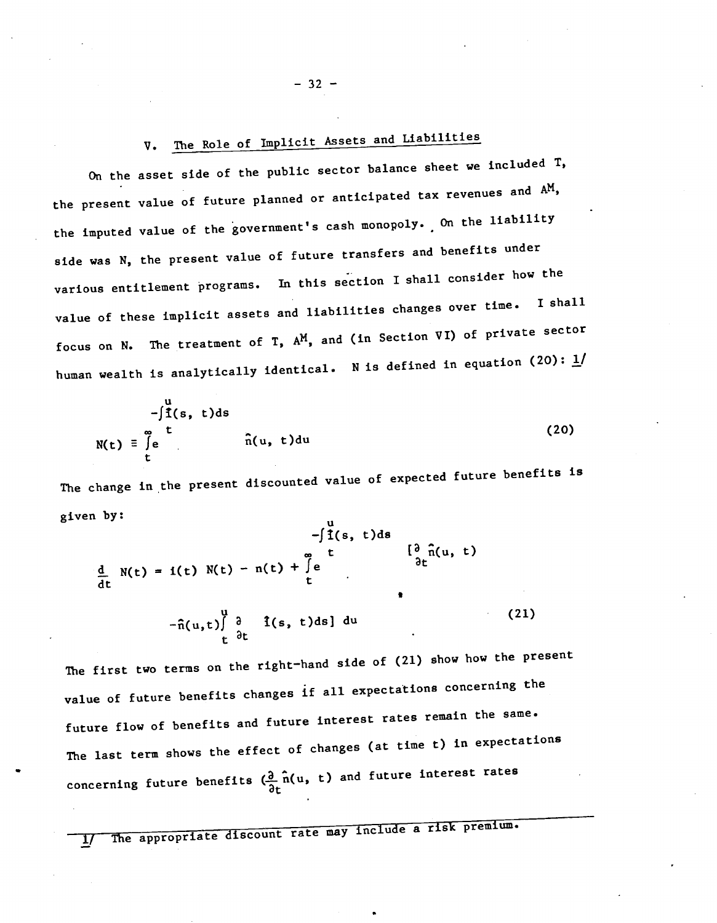# V. The Role of Implicit Assets and Liabilities

On the asset side of the public sector balance sheet we included T, the present value of future planned or anticipated tax revenues and AM, the imputed value of the government's cash monopoly. On the liability side was N, the present value of future transfers and benefits under various entitlement programs. In this section I shall consider how the value of these implicit assets and liabilities changes over time. I shall focus on N. The treatment of T,  $A^M$ , and (in Section VI) of private sector human wealth is analytically identical. N is defined in equation (20):  $\underline{1}$ /

$$
-\int_{\tilde{I}(s,t)ds}^{u} f(s,t)ds
$$
  
\n
$$
N(t) = \int_{t}^{\infty} e^{t} \hat{n}(u,t)du
$$
\n(20)

The change in the present discounted value of expected future benefits is given by:

$$
-\int_{\frac{d}{dt}}^{\frac{d}{2}} f(s, t) ds
$$
\n
$$
\frac{d}{dt} N(t) = i(t) N(t) - n(t) + \int_{t}^{\infty} e^{t} \frac{\int_{\frac{d}{dt}}^{\infty} \hat{n}(u, t)}{\int_{t}^{\infty} h(t)} -\hat{n}(u, t) \int_{t}^{\frac{d}{2}} \frac{i(s, t) ds}{\int_{t}^{\infty} du}
$$
\n(21)

The first two terms on the right—hand side of (21) show how the present value of future benefits changes if all expectations concerning the future flow of benefits and future interest rates remain the same. The last term shows the effect of changes (at time t) in expectations concerning future benefits  $(\frac{\partial}{\partial t} \hat{\mathbf{n}}(u, t)$  and future interest rates

The appropriate discount rate may include a risk premium.

 $-32 -$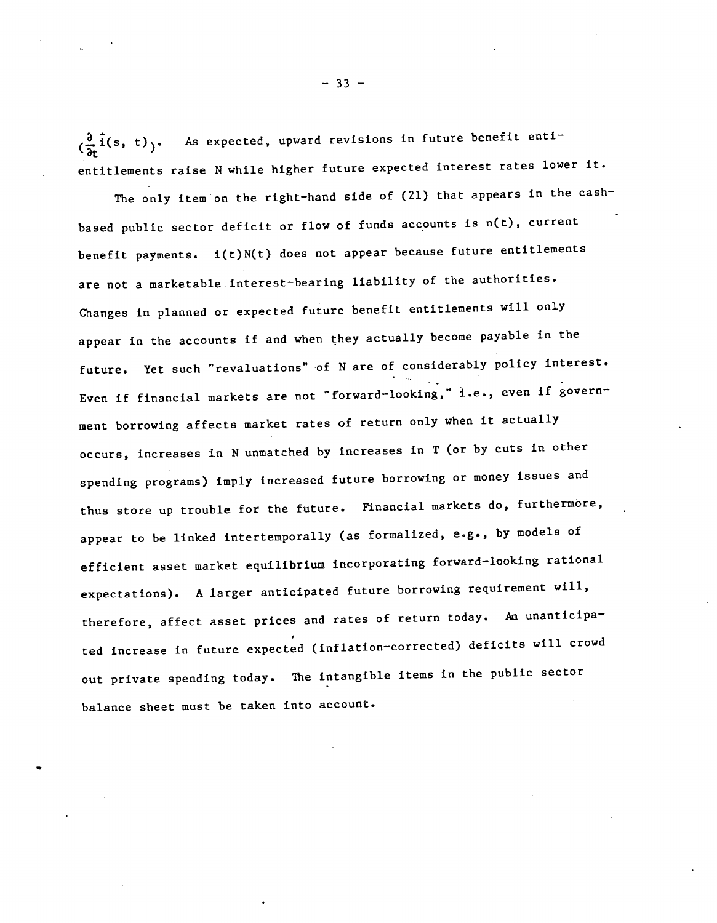$\left(\frac{\partial}{\partial t}\hat{i}(s, t)\right)$ . As expected, upward revisions in future benefit enti entitlements raise N while higher future expected interest rates lower it.

The only item on the right-hand side of (21) that appears in the cashbased public sector deficit or flow of funds accounts is  $n(t)$ , current benefit payments. i(t)N(t) does not appear because future entitlements are not a marketable interest-bearing liability of the authorities. Changes in planned or expected future benefit entitlements will only appear in the accounts if and when they actually become payable in the future. Yet such "revaluations" of N are of considerably policy interest. Even if financial markets are not "forward—looking," i.e., even if government borrowing affects market rates of return only when it actually occurs, increases in N unmatched by increases in T (or by cuts in other spending programs) imply increased future borrowing or money Issues and thus store up trouble for the future. Financial markets do, furthermore, appear to be linked intertemporally (as formalized, e.g., by models of efficient asset market equilibrium incorporating forward—looking rational expectations). A larger anticipated future borrowing requirement will, therefore, affect asset prices and rates of return today. An unanticipated increase in future expected (inflation—corrected) deficits will crowd out private spending today. The intangible items in the public sector balance sheet must be taken into account.

 $-33 -$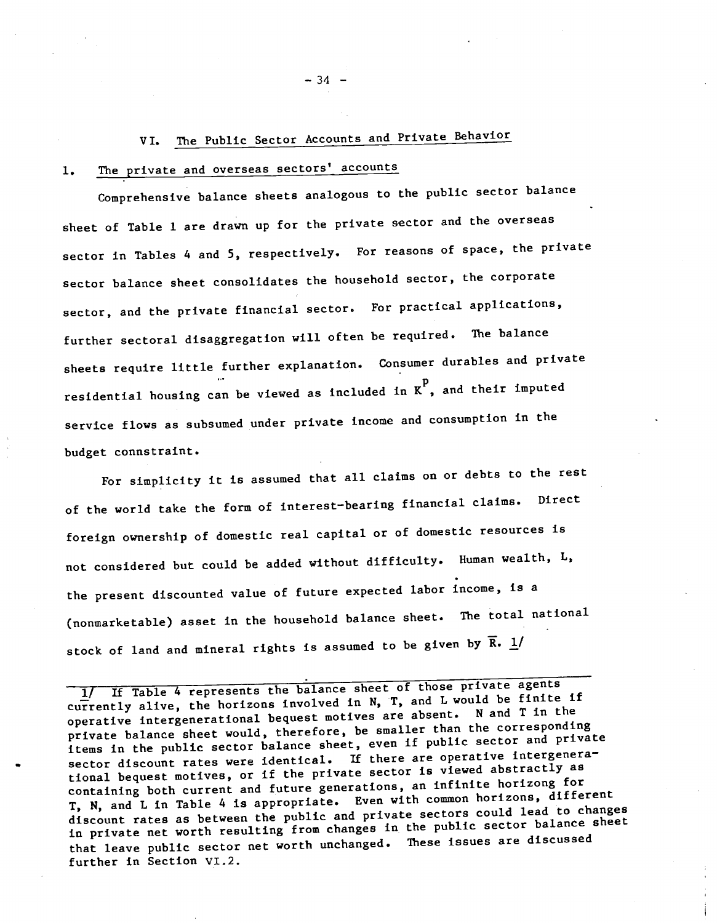# VI. The Public Sector Accounts and Private Behavior

# 1. The private and overseas sectors' accounts

Comprehensive balance sheets analogous to the public sector balance sheet of Table 1 are drawn up for the private sector and the overseas sector in Tables 4 and 5, respectively. For reasons of space, the private sector balance sheet consolidates the household sector, the corporate sector, and the private financial sector. For practical applications, further sectoral disaggregation will often be required. The balance sheets require little further explanation. Consumer durables and private residential housing can be viewed as included in  $\kappa^p$ , and their imputed service flows as subsumed under private income and consumption in the budget connstraint.

For simplicity it is assumed that all claims on or debts to the rest of the world take the form of interest—bearing financial claims. Direct foreign ownership of domestic real capital or of domestic resources is not considered but could be added without dIfficulty. Human wealth, L, the present discounted value of future expected labor income, is a (nonmarketable) asset in the household balance sheet. The total national stock of land and mineral rights is assumed to be given by  $\overline{R}$ .  $\underline{1}/$ 

1/ If Table 4 represents the balance sheet of those private agents currently alive, the horizons involved in N, T, and L would be finite if operative intergenerational bequest motives are absent. N and T in the private balance sheet would, therefore, be smaller than the corresponding items in the public sector balance sheet, even if public sector and private sector discount rates were identical. If there are operative intergenerational bequest motives, or if the private sector is viewed abstractly as containing both current and future generations, an infinite horizong for T, N, and L In Table 4 is appropriate. Even with common horizons, different discount rates as between the public and private sectors could lead to changes in private net worth resulting from changes in the public sector balance sheet that leave public sector net worth unchanged. These issues are discussed further in Section VI.2.

 $-34$  –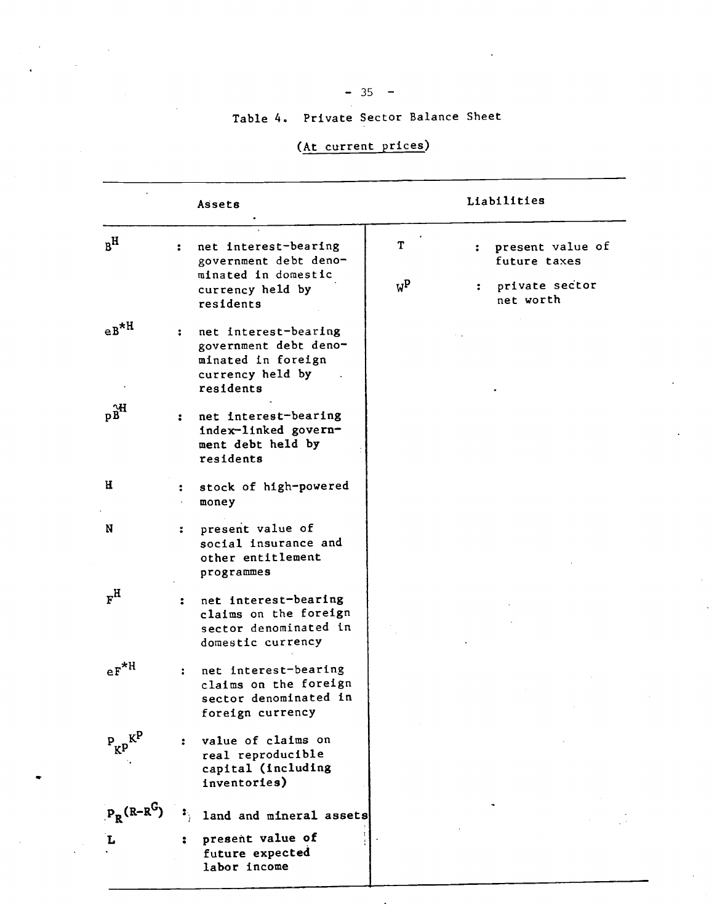# $-35 -$

# Table 4. Private Sector Balance Sheet

# (At current prices)

|                                    |                      | Assets                                                                                               |                       |   | Liabilities                                        |
|------------------------------------|----------------------|------------------------------------------------------------------------------------------------------|-----------------------|---|----------------------------------------------------|
| $R^{\rm H}$                        | $\ddot{\phantom{a}}$ | net interest-bearing<br>government debt deno-<br>minated in domestic<br>currency held by             | T<br>$W^{\mathbf{p}}$ | ÷ | present value of<br>future taxes<br>private sector |
|                                    |                      | residents                                                                                            |                       |   | net worth                                          |
| $e^{B*H}$                          | ÷                    | net interest-bearing<br>government debt deno-<br>minated in foreign<br>currency held by<br>residents |                       |   |                                                    |
| pB                                 | $\ddot{\phantom{a}}$ | net interest-bearing<br>index-linked govern-<br>ment debt held by<br>residents                       |                       |   |                                                    |
| н                                  | $\ddot{\phantom{a}}$ | stock of high-powered<br>money                                                                       |                       |   |                                                    |
| N                                  | :                    | present value of<br>social insurance and<br>other entitlement<br>programmes                          |                       |   |                                                    |
| $F_{\rm H}$                        | $\ddot{\cdot}$       | net interest-bearing<br>claims on the foreign<br>sector denominated in<br>domestic currency          |                       |   |                                                    |
| $eF^{\star H}$                     | $\ddot{\cdot}$       | net interest-bearing<br>claims on the foreign<br>sector denominated in<br>foreign currency           |                       |   |                                                    |
| $P_{KP}^{R}$                       |                      | value of claims on<br>real reproducible<br>capital (including<br>inventories)                        |                       |   |                                                    |
| $P_R$ <sup>(R-R<sup>G</sup>)</sup> |                      | land and mineral assets                                                                              |                       |   |                                                    |
| L                                  |                      | present value of<br>future expected<br>labor income                                                  |                       |   |                                                    |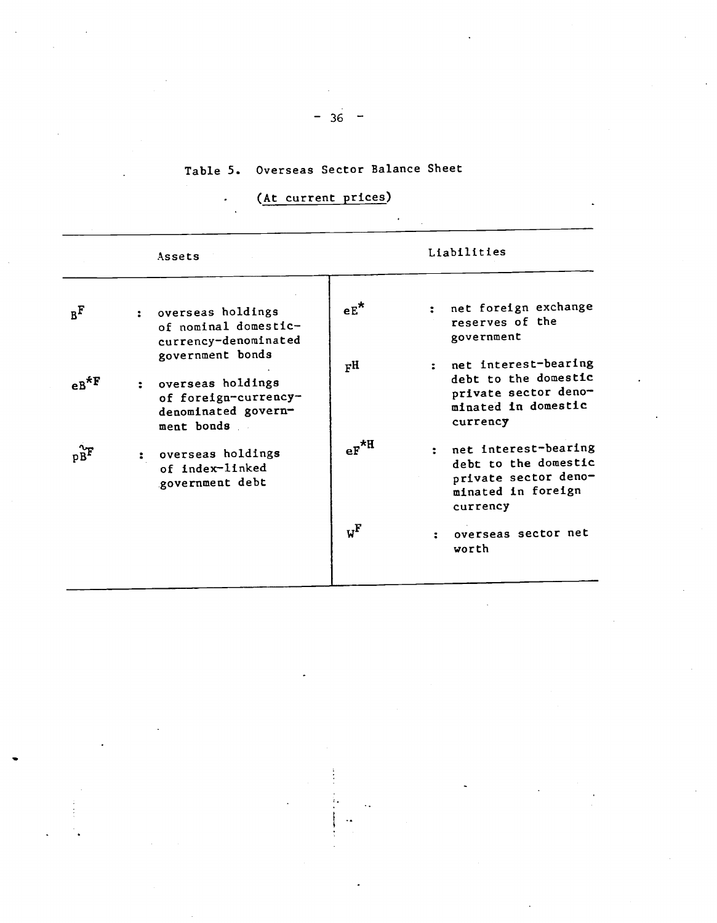# Table 5. Overseas Sector Balance Sheet

# (At current prices)

 $\overline{\phantom{a}}$ 

|                | Assets                                                                                  |                                  | Liabilities                                                                                             |
|----------------|-----------------------------------------------------------------------------------------|----------------------------------|---------------------------------------------------------------------------------------------------------|
| B <sub>E</sub> | : overseas holdings<br>of nominal domestic-<br>currency-denominated<br>government bonds | $eE^{\star}$                     | net foreign exchange<br>reserves of the<br>government                                                   |
| $e^{B*F}$      | overseas holdings<br>of foreign-currency-<br>denominated govern-<br>ment bonds          | F <sub>H</sub>                   | net interest-bearing<br>debt to the domestic<br>private sector deno-<br>minated in domestic<br>currency |
|                | overseas holdings<br>$\ddot{\bullet}$<br>of index-linked<br>government debt             | $\mathrm{eF}^{\star \mathrm{H}}$ | net interest-bearing<br>debt to the domestic<br>private sector deno-<br>minated in foreign<br>currency  |
|                |                                                                                         | $w^{\mathrm{F}}$                 | overseas sector net<br>vorth                                                                            |

# $-36 -$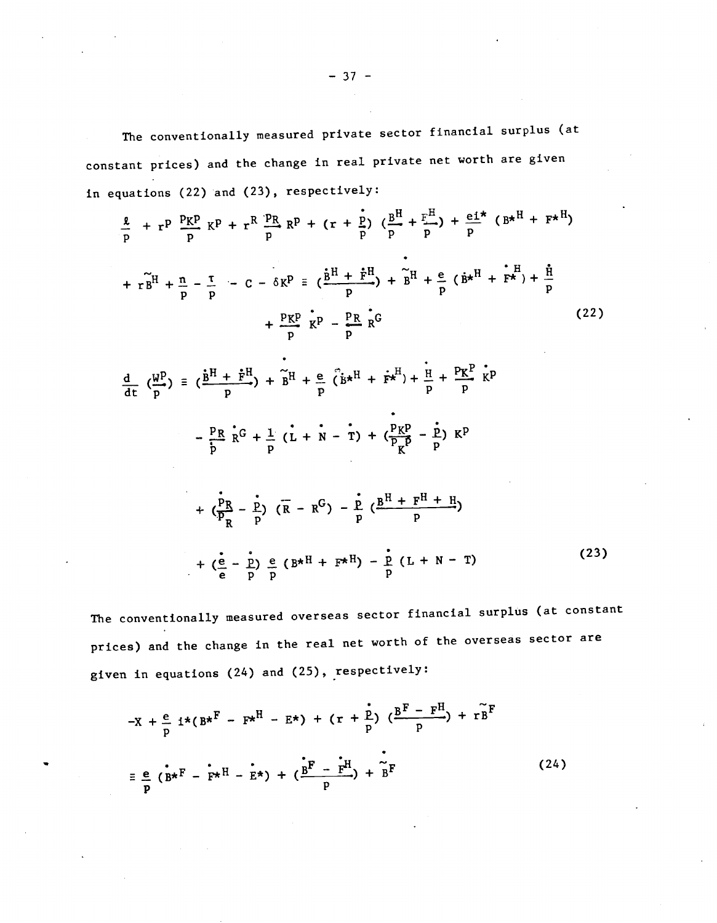The conventionally measured private sector financial surplus (at constant prices) and the change in real private net worth are given in equations (22) and (23), respectively:

$$
\frac{a}{p} + r^p \frac{p_K p}{p} K^p + r^R \frac{p_R}{p} R^p + (r + \frac{p}{p}) (\frac{B^H}{p} + \frac{r^H}{p}) + \frac{e i^*}{p} (B \star^H + F \star^H)
$$
  
+  $r \tilde{B}^H + \frac{n}{p} - \frac{\tau}{p} - C - \delta K^p \equiv (\frac{\tilde{B}^H + \tilde{F}^H}{p}) + \tilde{B}^H + \frac{e}{p} (\tilde{B} \star^H + \tilde{F} \star^H) + \frac{\tilde{H}}{p}$   
+  $\frac{p_K p}{p} K^p - \frac{p_R}{p} \tilde{K}^G$  (22)  
  

$$
\frac{d}{dt} (\frac{W^p}{p}) \equiv (\frac{\tilde{B}^H + \tilde{F}^H}{p}) + \tilde{B}^H + \frac{e}{p} (\tilde{B} \star^H + \tilde{F} \star^H) + \frac{\tilde{H}}{p} + \frac{P K^p}{p} K^p
$$
  
-  $\frac{p_R}{p} \tilde{R}^G + \frac{1}{p} (L + N - T) + (\frac{p_K p}{p_K} - \frac{\dot{p}}{p}) K^p$   
+  $(\frac{\dot{p}_R}{p} - \frac{\dot{p}}{p}) (\overline{R} - R^G) - \frac{\dot{p}}{p} (\frac{B^H + F^H + H}{p})$ 

$$
+ \left(\frac{e}{e} - \frac{p}{p}\right) \frac{e}{p} \left(B^{\star H} + F^{\star H}\right) - \frac{e}{p} \left(L + N - T\right)
$$
 (23)

The conventionally measured overseas sector financial surplus (at constant prices) and the change in the real net worth of the overseas sector are given in equations (24) and (25), respectively:

$$
-X + \frac{e}{p} i*(B*^{F} - F*^{H} - E*) + (r + \frac{e}{p}) (\frac{B^{F} - F^{H}}{p}) + r\tilde{B}^{F}
$$
  

$$
\equiv \frac{e}{p} (\tilde{B}*^{F} - F*^{H} - E*) + (\frac{B^{F} - F^{H}}{p}) + \tilde{B}^{F}
$$
 (24)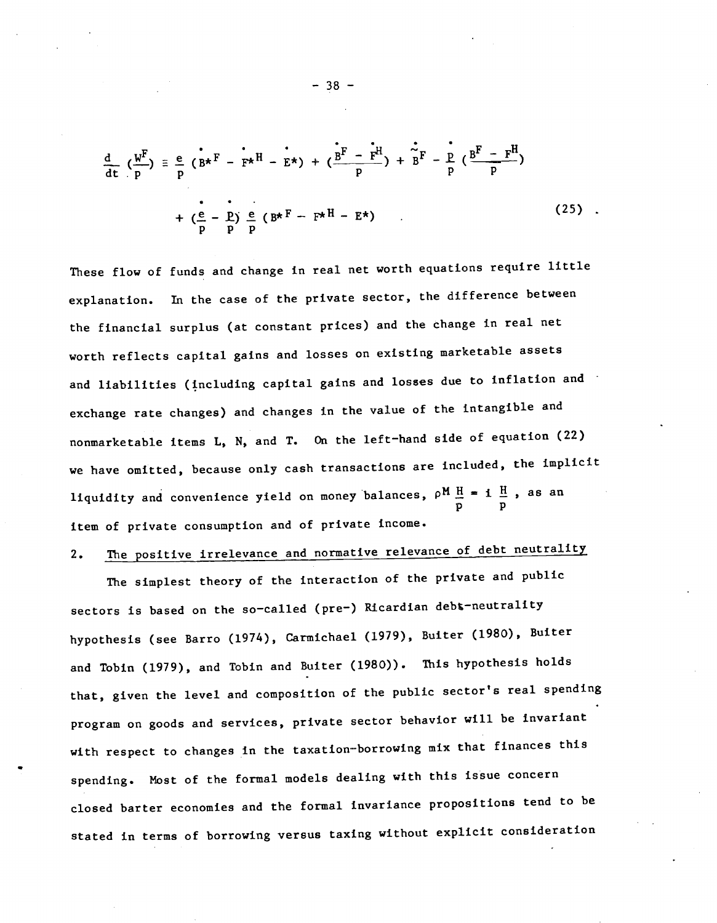$$
\frac{d}{dt} \left( \frac{w^F}{p} \right) = \frac{e}{p} \left( B^* - F^* - F^* - E^* \right) + \left( \frac{B^F - F^H}{p} \right) + \frac{e}{B} - \frac{p}{p} \left( \frac{B^F - F^H}{p} \right) + \left( \frac{e}{p} - \frac{p}{p} \right) \frac{e}{p} \left( B^* - F^* - F^* - E^* \right)
$$
\n(25)

These flow of funds and change in real net worth equations require little explanation. In the case of the private sector, the difference between the financial surplus (at constant prices) and the change in real net worth reflects capital gains and losses on existing marketable assets and liabilities (including capital gains and losses due to inflation and exchange rate changes) and changes In the value of the intangible and nonmarketable items L, N, and T. On the left—hand side of equation (22) we have omitted, because only cash transactions are included, the implicit we have omitted, because only seen example.<br>liquidity and convenience yield on money balances,  $\rho^M \frac{H}{a} = i \frac{H}{a}$ , as an p p item of private consumption and of private income.

# 2. The positive irrelevance and normative relevance of debt neutrality

The simplest theory of the interaction of the private and public sectors is based on the so-called (pre-) Ricardian debt-neutrality hypothesis (see Barro (1974), Carmichael (1979), Buiter (1980), Buiter and Tobin (1979), and Tobin and Buiter (1980)). This hypothesis holds that, given the level and composition of the public sector's real spending program on goods and services, private sector behavior will be invariant with respect to changes in the taxation—borrowing mix that finances this spending. Most of the formal models dealing with this issue concern closed barter economies and the formal invariance propositions tend to be stated in terms of borrowing versus taxing without explicit consideration

— 38 —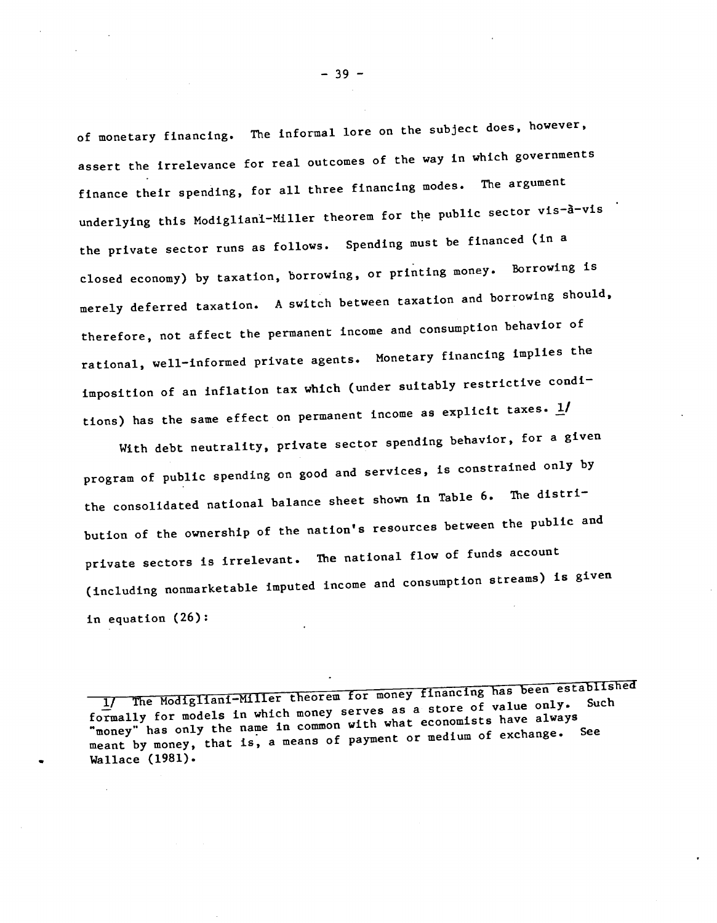of monetary financing. The informal lore on the subject does, however, assert the irrelevance for real outcomes of the way in which governments finance their spending, for all three financing modes. The argument underlying this Modigliani-Miller theorem for the public sector vis-à-vis the private sector runs as follows. Spending must be financed (in a closed economy) by taxation, borrowing, or printing money. Borrowing is merely deferred taxation. A switch between taxation and borrowing should, therefore, not affect the permanent income and consumption behavior of rational, well—informed private agents. Monetary financing implies the imposition of an inflation tax which (under suitably restrictive conditions) has the same effect on permanent income as explicit taxes.  $1/$ 

With debt neutrality, private sector spending behavior, for a given program of public spending on good and services, is constrained only by the consolidated national balance sheet shown in Table 6. The distribution of the ownership of the nation's resources between the public and private sectors is irrelevant. The national flow of funds account (including nonmarketable imputed income and consumption streams) is given in equation (26): of funds account<br>
mption streams) is given<br>
ancing has been established<br>
ore of value only. Such<br>
nomists have always

formally for models in which money serves as a store of value only. Modigliani-Miller theorem for money financing has been established<br>a store of value only. Such 'money" has only the name in common with what economists have always meant by money, that is, a means of payment or medium of exchange. See Wallace (1981).

— 39 —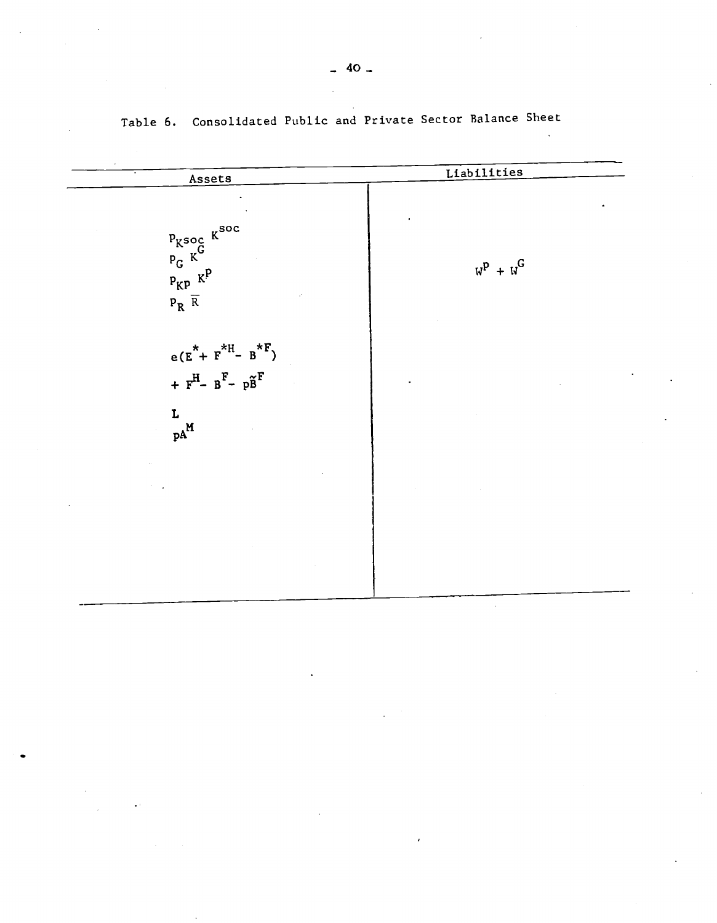| Assets                                                                                                               | Liabilities |
|----------------------------------------------------------------------------------------------------------------------|-------------|
| $P_{K^{\text{SOC}}}$ $K^{\text{SOC}}$<br>$P_{K}$ $R^{\text{P}}$<br>$\mathtt{P}_{\mathbf{R}}$ $\overline{\mathtt{R}}$ | $W^P + W^G$ |
| $e(E^* + F^{*H} - B^{*F})$<br>+ $F^H$ - $B^F$ - $p\tilde{B}^F$<br>L<br>$\mathbf{p}\text{A}^\text{M}$                 |             |
|                                                                                                                      |             |
|                                                                                                                      |             |

Table 6. Consolidated Public and Private Sector Balance Sheet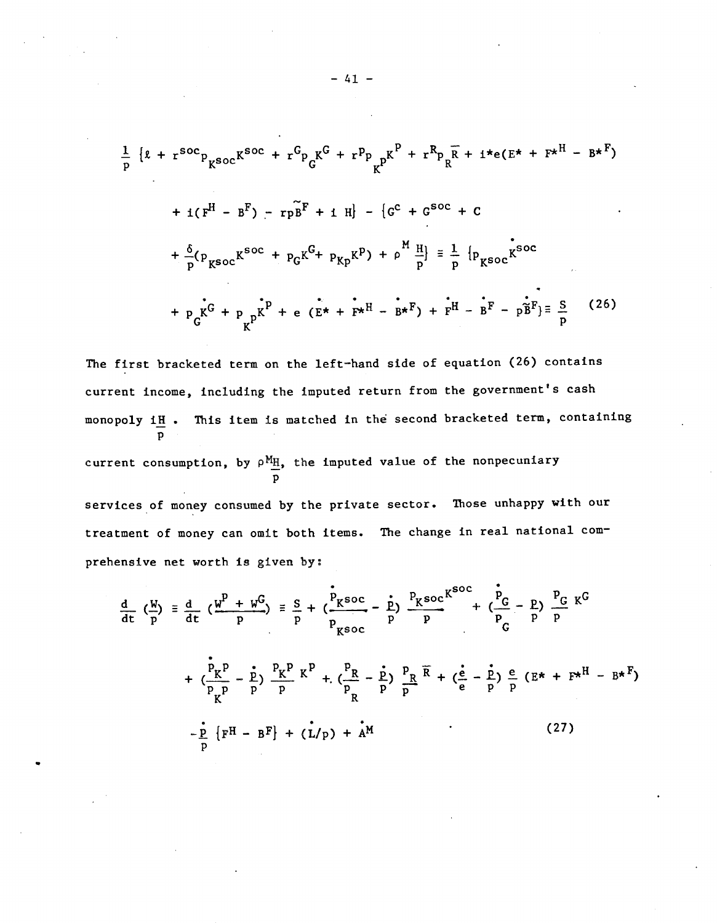$$
\frac{1}{p} \{x + r^{soc}p_{K^{soc}}K^{soc} + r^Gp_{G}K^G + r^pp_{K^p}K^P + r^Rp_{R^p} + i *e(E^* + F^*H - B^*F)
$$
  
+  $i(F^H - B^F) - r p B^F + i H \} - \{G^C + G^{soc} + C$   
+  $\frac{\delta}{p}(p_{K^{soc}}K^{soc} + p_{G}K^G + p_{Kp}K^P) + p \frac{H}{p} = \frac{1}{p} \{p_{K^{soc}}K^{soc}$   
+  $p_{G}K^G + p_{K^p}K^P + e(E^* + F^*H - B^*F) + F^H - B^F - p\tilde{B}^F\} = \frac{S}{p}$  (26)

The first bracketed term on the left—hand side of equation (26) contains current income, including the imputed return from the government's cash monopoly iH. This item is matched in the second bracketed term, containing p

current consumption, by  $\rho^{\text{M}}$ H, the imputed value of the nonpecuniary p

services of money consumed by the private sector. Those unhappy with our treatment of money can omit both items. The change in real national comprehensive net worth is given by:

$$
\frac{d}{dt} \left( \frac{W}{p} \right) = \frac{d}{dt} \left( \frac{W^P + W^G}{p} \right) = \frac{S}{p} + \left( \frac{P_{K} \text{soc}}{p} - \frac{P}{p} \right) \frac{P_{K} \text{soc}}{p} + \left( \frac{P}{p} - \frac{P}{p} \right) \frac{P_{G}}{p} K^G
$$
  
+ 
$$
\left( \frac{P_{K} p}{p} - \frac{P}{p} \right) \frac{P_{K} p}{p} K^P + \left( \frac{P_{R}}{p} - \frac{P}{p} \right) \frac{P_{R}}{p} \overline{R} + \left( \frac{e}{e} - \frac{P}{p} \right) \frac{e}{p} \left( E^* + F^* \right) - B^* F
$$
  
- 
$$
\frac{P}{p} \left\{ F^H - B^F \right\} + \left( L/p \right) + A^M
$$
 (27)

 $-41 -$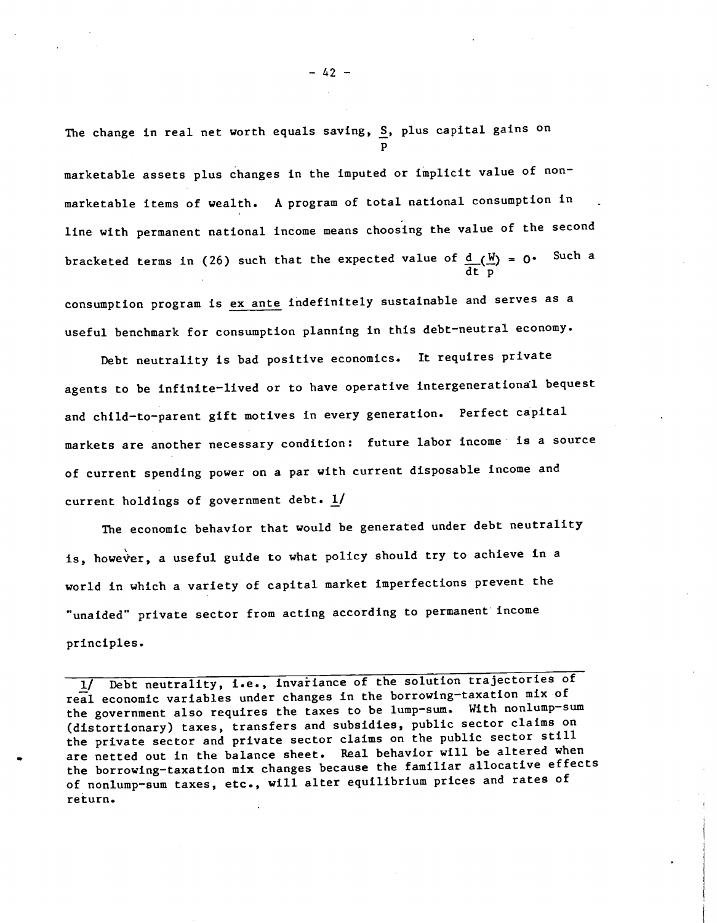The change in real net worth equals saving, S, plus capital gains on p

marketable assets plus changes in the imputed or implicit value of non marketable items of wealth. A program of total national consumption in line with permanent national income means choosing the value of the second bracketed terms in (26) such that the expected value of  $d$  ( $\frac{W}{A}$ ) = 0. Such a dt p

consumption program is ex ante indefinitely sustainable and serves as a useful benchmark for consumption planning in this debt—neutral economy.

Debt neutrality is bad positive economics. It requires private agents to be infinite—lived or to have operative intergenerational bequest and child-to-parent gift motives in every generation. Perfect capital markets are another necessary condition: future labor income is a source of current spending power on a par with current disposable income and current holdings of government debt.  $1/$ 

The economic behavior that would be generated under debt neutrality is, however, a useful guide to what policy should try to achieve in a world in which a variety of capital market imperfections prevent the "unaided" private sector from acting according to permanent income principles.

1/ Debt neutrality, i.e., invaiiance of the solution trajectories of real economic variables under changes in the borrowing—taxation mix of the government also requires the taxes to be lump-sum. With nonlump-sum (distortionary) taxes, transfers and subsidies, public sector claims on the private sector and private sector claims on the public sector still are netted out in the balance sheet. Real behavior will be altered when the borrowing—taxation mix changes because the familiar allocative effects of nonlump—sum taxes, etc., will alter equilibrium prices and rates of return.

 $-42 -$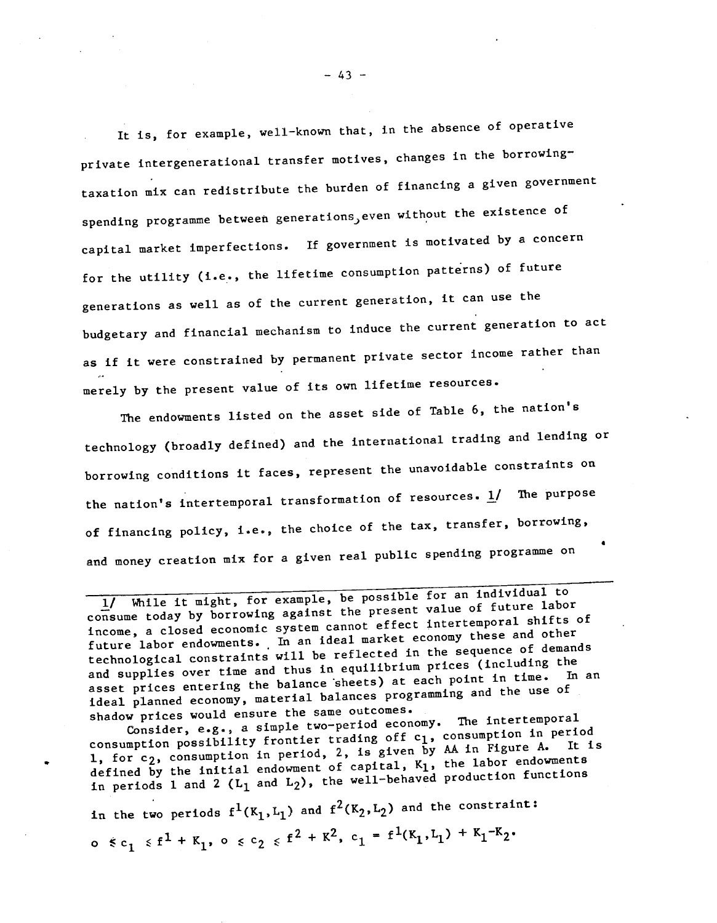It is, for example, well—known that, in the absence of operative private intergenerational transfer motives, changes in the borrowing<del>.</del> taxation mix can redistribute the burden of financing a given government spending programme between generations,even without the existence of capital market imperfections. If government is motivated by a concern for the utility (i.e., the lifetime consumption patterns) of future generations as well as of the current generation, it can use the budgetary and financial mechanism to induce the current generation to act as if it were constrained by permanent private sector income rather than merely by the present value of its own lifetime resources.

The endowments listed on the asset side of Table 6, the nation's technology (broadly defined) and the international trading and lending or borrowing conditions it faces, represent the unavoidable constraints on the nation's intertemporal transformation of resources.  $\underline{1}$ / The purpose of financing policy, i.e., the choice of the tax, transfer, borrowing, and money creation mix for a given real public spending programme on

I/ While it might, for example, be possess<br>consume today by borrowing against the present value of future labor<br>feet intertemporal shifts of income, a closed economic system cannot effect intertemporal shifts of future labor endowments. In an ideal market economy these and other technological constraints will be reflected in the sequence of demands and supplies over time and thus in equilibrium prices (including the<br>hand supplies over time and thus in equilibrium prices (including the asset prices entering the balance sheets) at each point in time. ideal planned economy, material balances programme programming and the use of shadow prices would ensure the same outcomes.<br>The intertemporal

Consider, e.g., a simple two-period economy. consumption possibility frontier trading off c<sub>1</sub>, consumption in period<br>consumption possibility frontier trading of civer by AA in Figure A. It is 1, for  $c_2$ , consumption in period, 2, is given by AA in Figure A. defined by the initial endowment of capital,  $K_1$ , the labor endowments in periods 1 and 2 ( $L_1$  and  $L_2$ ), the well-behaved production functions

in the two periods  $f^1(K_1,L_1)$  and  $f^2(K_2,L_2)$  and the constraint: o  $\leq c_1 \leq f^1 + K_1$ , o  $\leq c_2 \leq f^2 + K^2$ ,  $c_1 = f^1(K_1, L_1) + K_1 - K_2$ .

 $-43 -$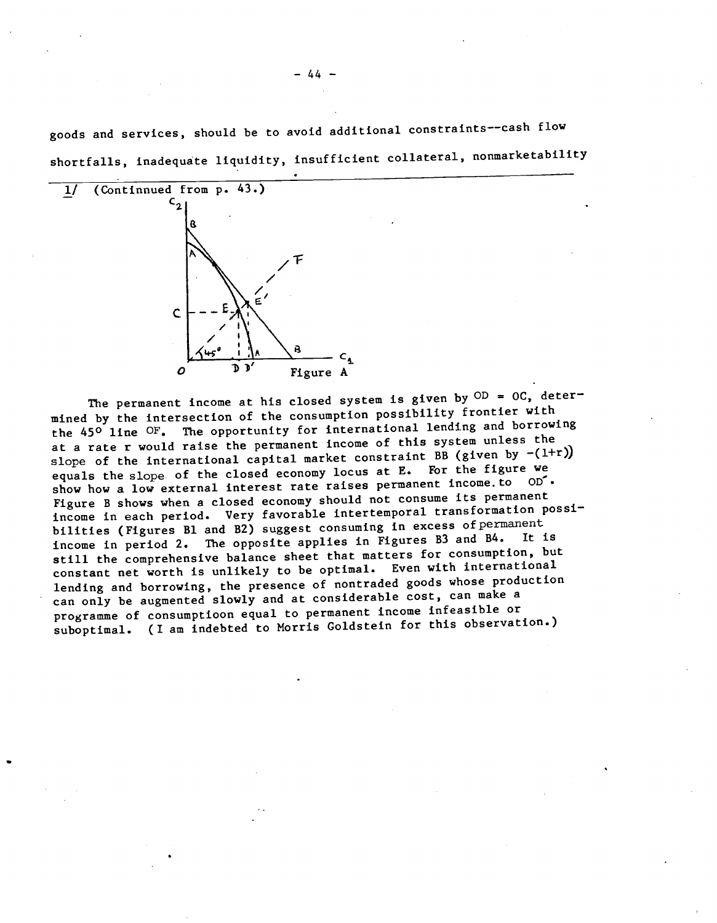goods and services, should be to avoid additional constraints——cash flow shortfalls, inadequate liquidity, insufficient collateral, nonmarketabilitY



The permanent income at his closed system is given by  $OD = OC$ , determined by the intersection of the consumption possibility frontier with the 450 line OF. The opportunity for international lending and borrowing at a rate r would raise the permanent income of this system unless the slope of the international capital market constraint BB (given by  $-(1+r)$ ) equals the slope- of the closed economy locus at E. For the figure we show how a low external interest rate raises permanent income. to  $OP$ . Figure B shows when a closed economy should not consume its permanent income in each period. Very favorable intertemporal transformation possibilities (Figures B1 and B2) suggest consuming in excess of permanent income in period 2. The opposite applies in Figures B3 and B4. still the comprehensive balance sheet that matters for consumption, but constant net worth is unlikely to be optimal. Even with international lending and borrowing, the presence of nontraded goods whose production can only be augmented slowly and at considerable cost, can make a programme of consumptioon equal to permanent income infeasible or suboptimal. (I am indebted to Morris Goldstein for this observation.)

— 44 —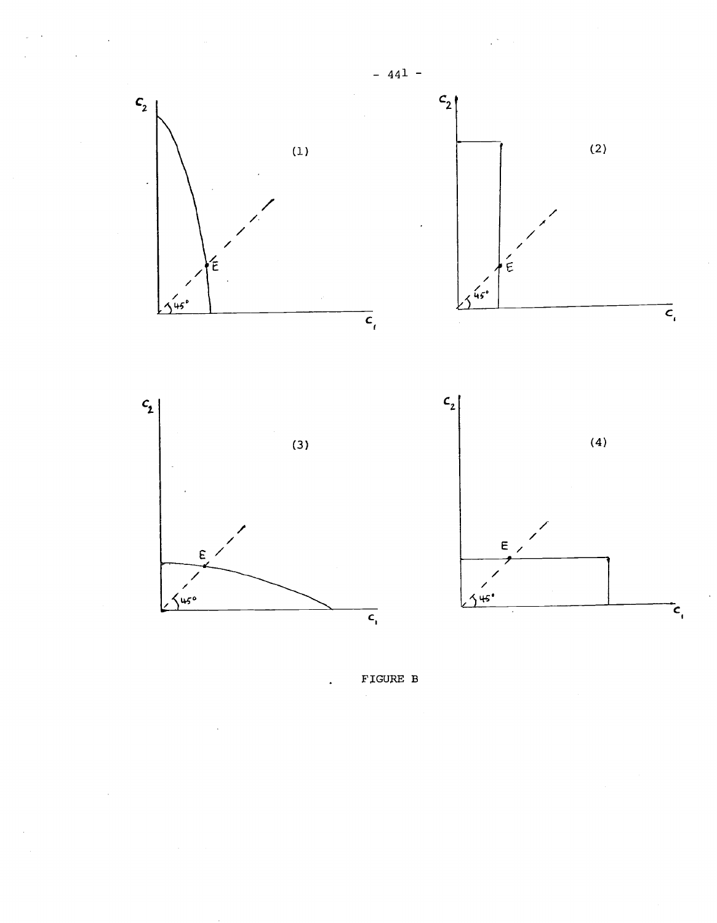





FIGURE B

 $\overline{a}$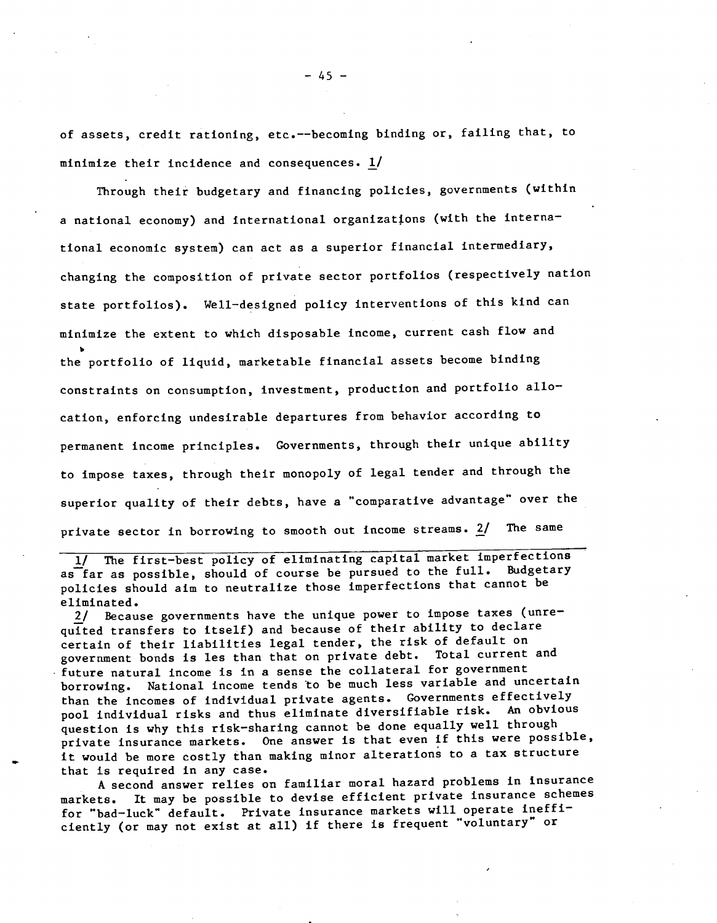of assets, credit rationing, etc.——becoming binding or, failing that, to minimize their incidence and consequences. 1/

Through their budgetary and financing policies, governments (within a national economy) and International organizations (with the international economic system) can act as a superior financial intermediary, changing the composition of private sector portfolios (respectively nation state portfolios). Well-designed policy interventions of this kind can minimize the extent to which disposable income, current cash flow and the portfolio of liquid, marketable financial assets become binding constraints on consumption, investment, production and portfolio allocation, enforcing undesirable departures from behavior according to permanent income principles. Governments, through their unique ability to impose taxes, through their monopoly of legal tender and through the superior quality of their debts, have a "comparative advantage" over the private sector in borrowing to smooth out income streams. 2/ The same

1/ The first—best policy of eliminating capital market imperfections as far as possible, should of course be pursued to the full. Budgetary policies should aim to neutralize those imperfections that cannot be eliminated.

2/ Because governments have the unique power to impose taxes (unrequited transfers to itself) and because of their ability to declare certain of their liabilities legal tender, the risk of default on government bonds is les than that on private debt. Total current and future natural income is in a sense the collateral for government borrowing. National income tends to be much less variable and uncertain than the incomes of individual private agents. Governments effectively pool individual risks and thus eliminate diversifiable risk. An obvious question is why this risk—sharing cannot be done equally well through private insurance markets. One answer is that even if this were possible, it would be more costly than making minor alterations to a tax structure that is required in any case.

A second answer relies on familiar moral hazard problems in insurance markets. It may be possible to devise efficient private insurance schemes for "bad—luck" default, Private insurance markets will operate inefficiently (or may not exist at all) if there Is frequent "voluntary" or

- 45 -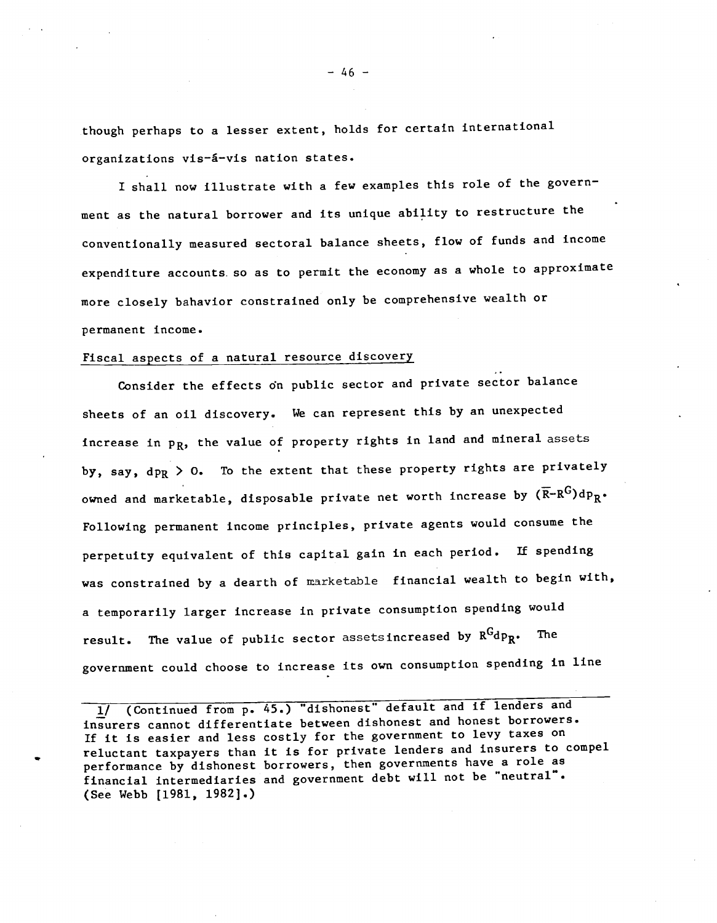though perhaps to a lesser extent, holds for certain international organizations vis-á-vis nation states.

I shall now illustrate with a few examples this role of the government as the natural borrower and its unique ability to restructure the conventionally measured sectoral balance sheets, flow of funds and income expenditure accounts. so as to permit the economy as a whole to approximate more closely bahavior constrained only be comprehensive wealth or permanent income.

# Fiscal aspects of a natural resource discovery

Consider the effects on public sector and private sector balance sheets of an oil discovery. We can represent this by an unexpected increase in  $p_R$ , the value of property rights in land and mineral assets by, say,  $dp_R > 0$ . To the extent that these property rights are privately owned and marketable, disposable private net worth increase by  $(\overline{R}-R^G)dp_R$ . Following permanent income principles, private agents would consume the perpetuity equivalent of this capital gain in each period. If spending was constrained by a dearth of marketable financial wealth to begin with, a temporarily larger increase in private consumption spending would result. The value of public sector assetsincreased by  $R^Gdp_R$ . The government could choose to Increase its own consumption spending in line

1/ (Continued from p. 45.) "dishonest" default and if lenders and insurers cannot differentiate between dishonest and honest borrowers. If it is easier and less costly for the government to levy taxes On reluctant taxpayers than it is for private lenders and insurers to compel performance by dishonest borrowers, then governments have a role as financial intermediaries and government debt will not be "neutral". (See Webb [1981, 1982].)

 $-46 -$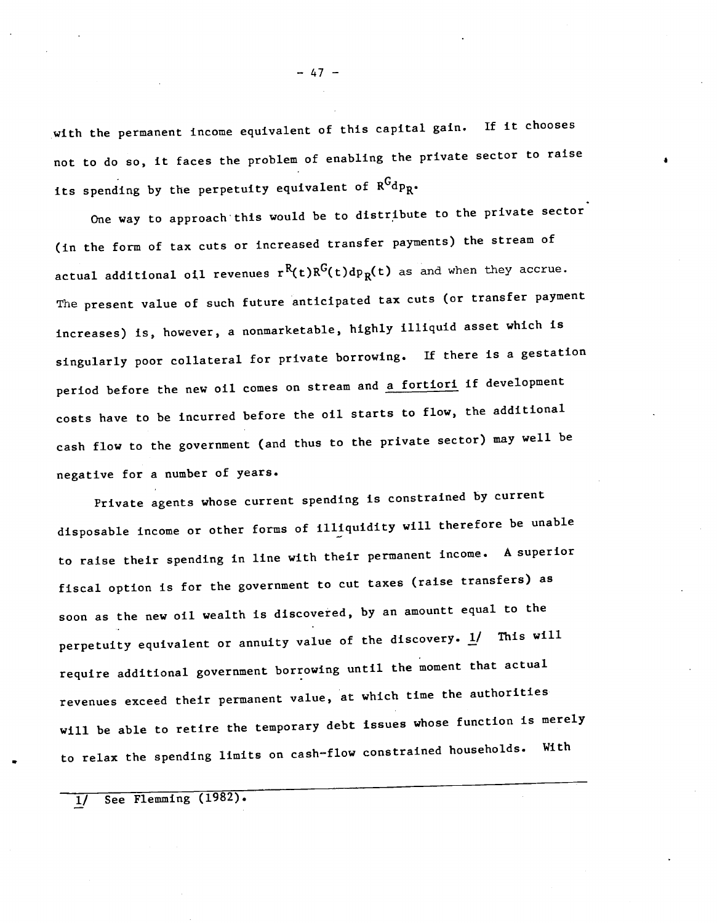with the permanent income equivalent of this capital gain. If it chooses not to do so, it faces the problem of enabling the private sector to raise its spending by the perpetuity equivalent of  $R^Gdp_R$ .

One way to approach this would be to distribute to the private sector (in the form of tax cuts or increased transfer payments) the stream of actual additional oil revenues  $r^{R}(t)R^{G}(t)dp_{R}(t)$  as and when they accrue. The present value of such future anticipated tax cuts (or transfer payment increases) is, however, a nonmarketable, highly illiquid asset which is singularly poor collateral for private borrowing. If there is a gestation period before the new oil comes on stream and a fortiori if development costs have to be incurred before the oil starts to flow, the additional cash flow to the government (and thus to the private sector) may well be negative for a number of years.

Private agents whose current spending is constrained by current disposable income or other forms of illiquidity will therefore be unable to raise their spending in line with their permanent income. A superior fiscal option is for the government to cut taxes (raise transfers) as soon as the new oil wealth is discovered, by an amountt equal to the perpetuity equivalent or annuity value of the discovery.  $\underline{1}$  This will require additional government borrowing until the moment that actual revenues exceed their permanent value, at which time the authorities will be able to retire the temporary debt issues whose function is merely to relax the spending limits on cash—flow constrained households. With

1/ See Flemming (1982).

— 47 —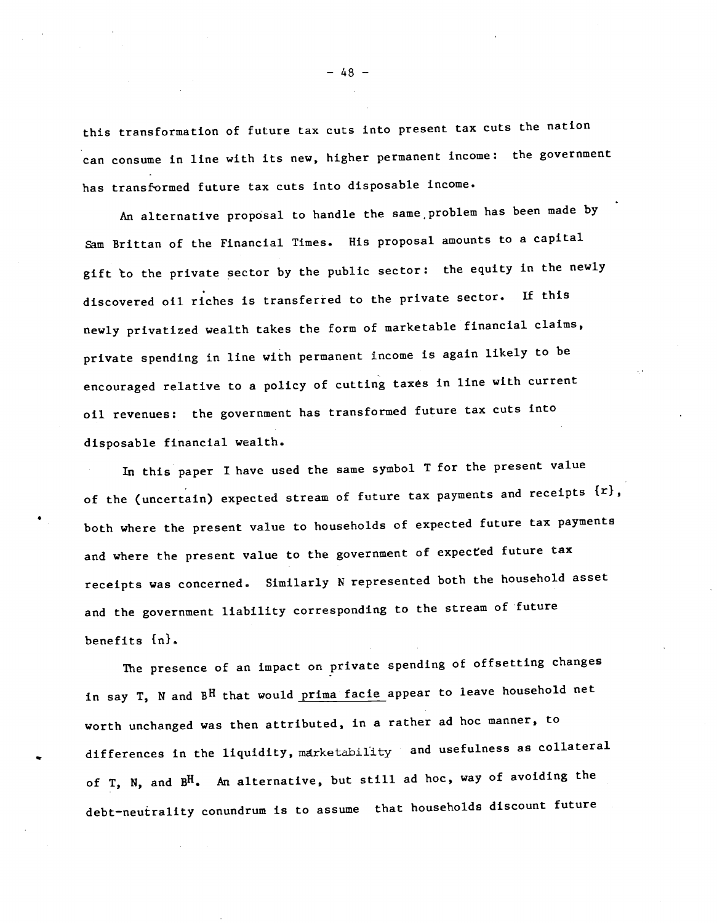this transformation of future tax cuts into present tax cuts the nation can consume in line with its new, higher permanent income: the government has transformed future tax cuts into disposable income.

An alternative proposal to handle the same problem has been made by Sam Brittan of the Financial Times. His proposal amounts to a capital gift to the private sector by the public sector: the equity in the newly discovered oil riches is transferred to the private sector. If this newly privatized wealth takes the form of marketable financial claims, private spending in line with permanent income is again likely to be encouraged relative to a policy of cutting taxes in line with current oil revenues: the government has transformed future tax cuts into disposable financial wealth.

In this paper I have used the same symbol T for the present value of the (uncertain) expected stream of future tax payments and receipts  $\{r\}$ , both where the present value to households of expected future tax payments and where the present value to the government of expected future tax receipts was concerned. Similarly N represented both the household asset and the government liability corresponding to the stream of future benefits  $\{n\}$ .

The presence of an impact on private spending of offsetting changes in say T, N and BH that would prima facie appear to leave household net worth unchanged was then attributed, in a rather ad hoc manner, to differences in the liquidity, marketability and usefulness as collateral of T, N, and B<sup>H</sup>. An alternative, but still ad hoc, way of avoiding the debt—neutrality conundrum is to assume that households discount future

— 48 —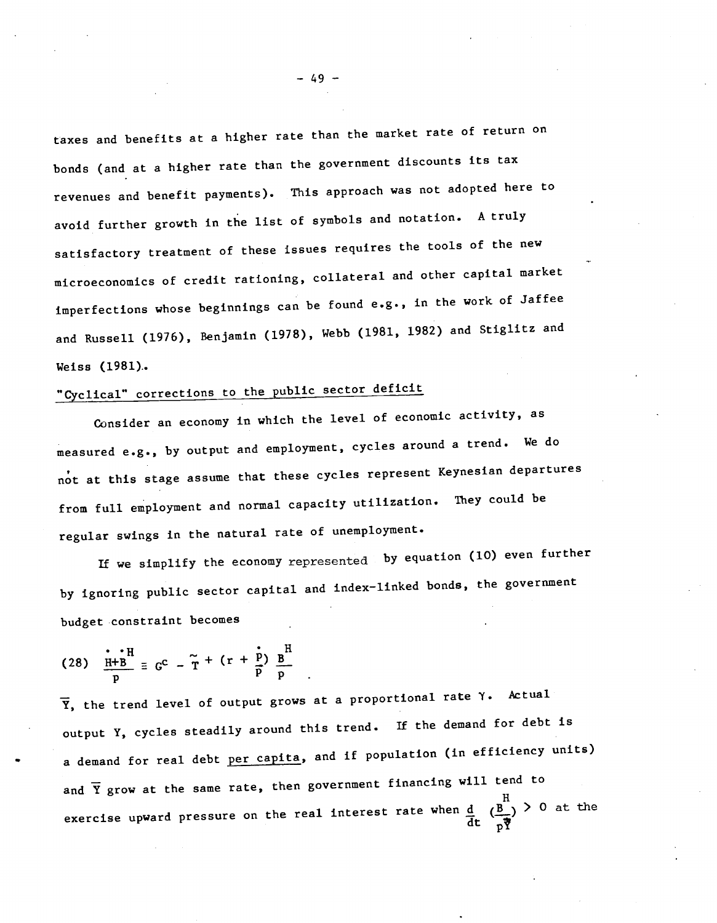taxes and benefits at a higher rate than the market rate of return on bonds (and at a higher rate than the government discounts its tax revenues and benefit payments). This approach was not adopted here to avoid further growth in the list of symbols and notation. A truly satisfactory treatment of these issues requires the tools of the new microeconomics of credit rationing, collateral and other capital market imperfections whose beginnings can be found e.g., in the work of Jaffee and Russell (1976), Benjamin (1978), Webb (1981, 1982) and Stiglitz and Weiss (1981)..

# "Cyclical" corrections to the public sector deficit

Consider an economy in which the level of economic activity, as measured e.g., by output and employment, cycles around a trend. We do not at this stage assume that these cycles represent Keynesian departures from full employment and normal capacity utilization. They could be regular swings in the natural rate of unemployment.

If we simplify the economy represented by equation (10) even further by ignoring public sector capital and index—linked bonds, the government budget constraint becomes

(28) 
$$
\frac{\mathbf{i} \cdot \mathbf{H}}{\mathbf{p}} = G^{C} - \tilde{\mathbf{T}} + (\mathbf{r} + \frac{\mathbf{i}}{\mathbf{p}}) \frac{\mathbf{B}}{\mathbf{p}}
$$

 $\overline{Y}$ , the trend level of output grows at a proportional rate  $Y$ . Actual output Y, cycles steadily around this trend. If the demand for debt is a demand for real debt per capita, and if population (in efficiency units) and  $\overline{Y}$  grow at the same rate, then government financing will tend to exercise upward pressure on the real interest rate when  $\frac{d}{dt}$   $(\frac{B}{p\overline{q}})^>0$  at the

— 49 —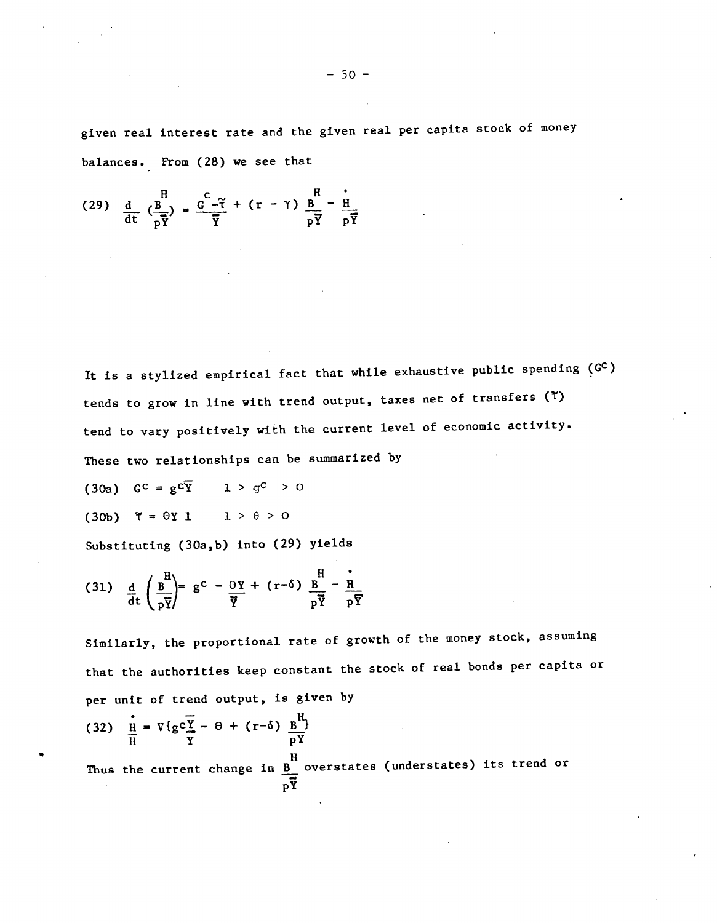given real interest rate and the given real per capita stock of money balances. From (28) we see that

$$
(29) \frac{d}{dt} \left(\frac{B}{p\overline{Y}}\right) = \frac{C}{\overline{Y}} - \overline{\tilde{Y}} + (r - \gamma) \frac{B}{p\overline{Y}} - \frac{i}{p\overline{Y}}
$$

It is a stylized empirical fact that while exhaustive public spending  $(G<sup>C</sup>)$ tends to grow in line with trend output, taxes net of transfers ( $\tilde{t}$ ) tend to vary positively with the current level of economic activity.

These two relationships can be summarized by

(30a)  $G^c = g^c \overline{Y}$   $1 > g^c > 0$ 

(30b)  $\Upsilon = \Theta Y \quad 1 \quad 1 > \theta > 0$ 

Substituting (30a,b) into (29) yields

(31) 
$$
\frac{d}{dt} \left( \frac{B}{p\overline{Y}} \right) = g^C - \frac{\Theta Y}{\overline{Y}} + (r - \delta) \frac{B}{p\overline{Y}} - \frac{H}{p\overline{Y}}
$$

Similarly, the proportional rate of growth of the money stock, assuming that the authorities keep constant the stock of real bonds per capita or per unit of trend output, is given by

(32) 
$$
\frac{1}{H} = V\{g\overline{Y} - \theta + (r-\delta) \frac{B}{pY}\}
$$
  
Thus the current change in  $\frac{B}{pY}$  overstates (understates) its trend or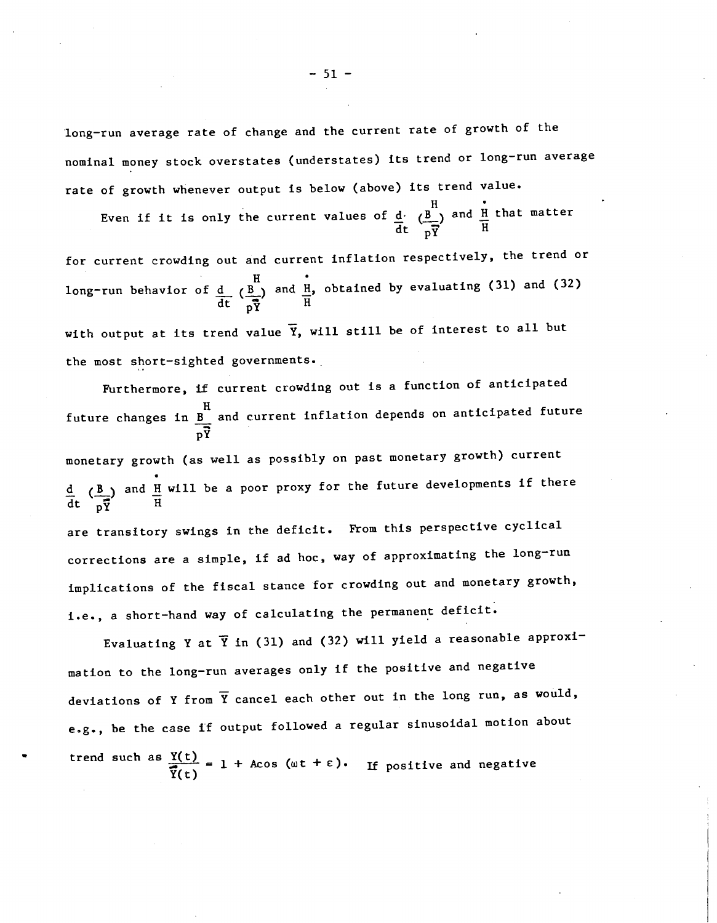long—run average rate of change and the current rate of growth of the nominal money stock overstates (understates) its trend or long—run average rate of growth whenever output is below (above) its trend value.

 $H \qquad \qquad \therefore$ Even if it is only the current values of  $\frac{d}{dx}$  ( $\frac{B}{dx}$ ) and  $\frac{H}{dx}$  that matter  $\det \overrightarrow{pY}$  H

for current crowding out and current inflation respectively, the trend or long-run behavior of d  $H$  and  $H$ , obtained by evaluating (31) and (32)  $dt = \frac{1}{nV}$  H with output at its trend value  $\bar{Y}$ , will still be of interest to all but

the most short—sighted governments..

Furthermore, if current crowding out is a function of anticipated H future changes in B and current inflation depends on anticipated future pY monetary growth (as well as possibly on past monetary growth) current d (B) and H will be a poor proxy for the future developments if there  $\det \overrightarrow{pY}$  H are transitory swings in the deficit. From this perspective cyclical corrections are a simple, if ad hoc, way of approximating the long—run implications of the fiscal stance for crowding out and monetary growth, i.e., a short—hand way of calculating the permanent deficit.

Evaluating Y at  $\bar{Y}$  in (31) and (32) will yield a reasonable approximation to the long—run averages only if the positive and negative deviations of Y from  $\overline{Y}$  cancel each other out in the long run, as would, e.g., be the case if output followed a regular sinusoidal motion about trend such as  $Y(t)$   $\longrightarrow$  1  $\rightarrow$  40  $\frac{Y(t)}{Y(t)} = 1 + A\cos(\omega t + \epsilon)$ . If positive and negative

 $-51 -$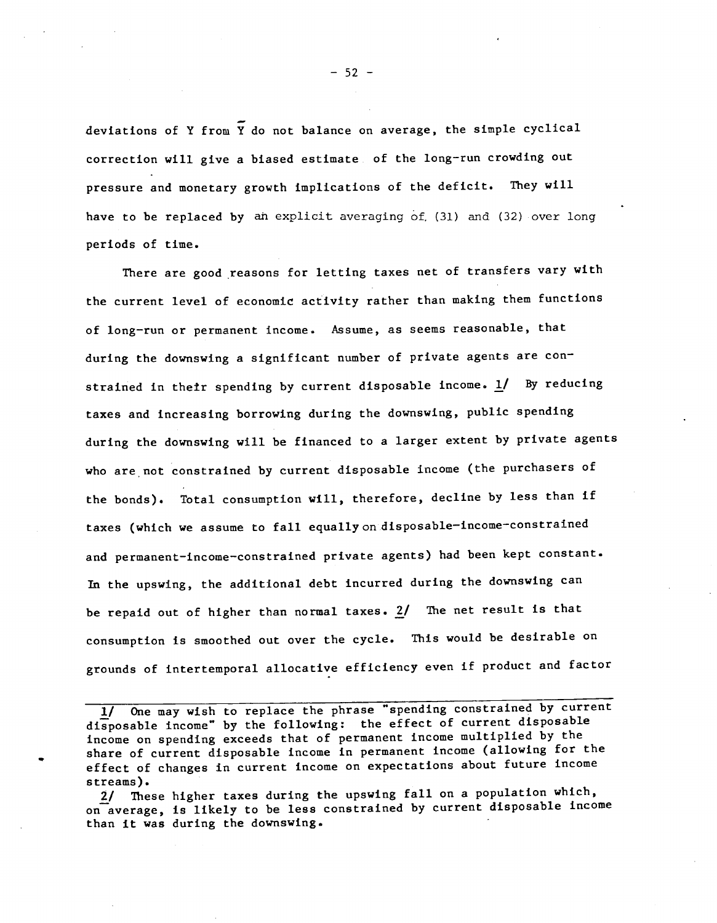deviations of Y from Y do not balance on average, the simple cyclical correction will give a biased estimate of the long—run crowding out pressure and monetary growth implications of the deficit. They will have to be replaced by an explicit averaging of, (31) and (32) over long periods of time.

There are good reasons for letting taxes net of transfers vary with the current level of economic activity rather than making them functions of long—run or permanent income. Assume, as seems reasonable, that during the downswing a significant number of private agents are constrained in their spending by current disposable income.  $\underline{1}$  By reducing taxes and increasing borrowing during the downswing, public spending during the downswing will be financed to a larger extent by private agents who are not constrained by current disposable income (the purchasers of the bonds). Total consumption will, therefore, decline by less than if taxes (which we assume to fall equally on disposable-income-constrained and permanent-income-constrained private agents) had been kept constant. In the upswing, the additional debt incurred during the downswing can be repaid out of higher than normal taxes. 2/ The net result is that consumption is smoothed out over the cycle. This would be desirable on grounds of intertemporal allocative efficiency even if product and factor

One may wish to replace the phrase "spending constrained by current disposable income" by the following: the effect of current disposable income on spending exceeds that of permanent income multiplied by the share of current disposable income in permanent income (allowing for the effect of changes in current income on expectations about future income streams).

2/ These higher taxes during the upswing fall on a population which, on average, is likely to be less constrained by current disposable income than it was during the downswing.

 $-52 -$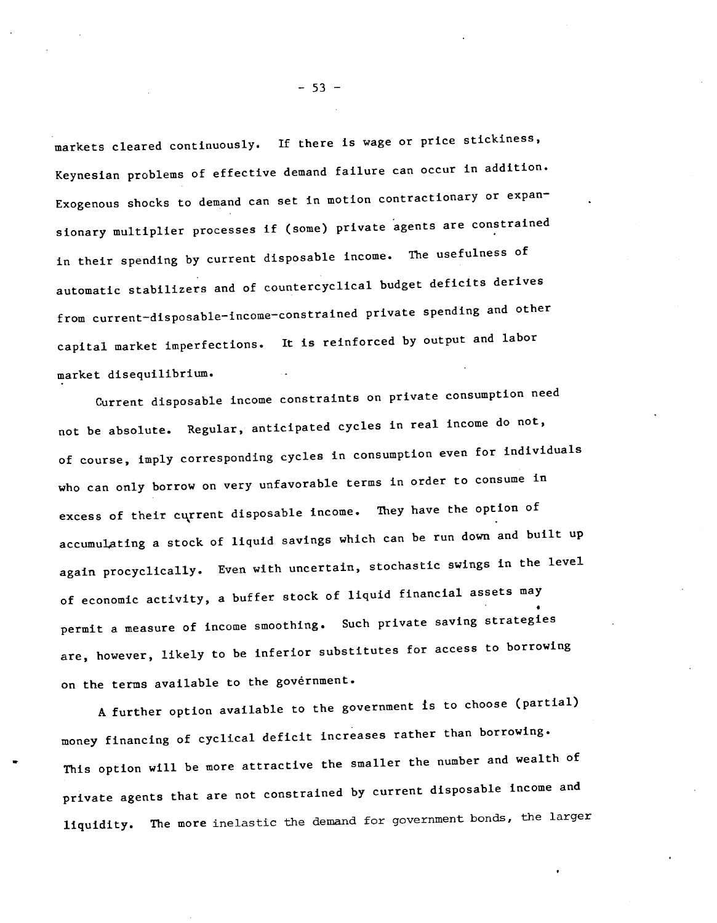markets cleared continuously. If there is wage or price stickiness, Keynesian problems of effective demand failure can occur in addition. Exogenous shocks to demand can set in motion contractionary or expansionary multiplier processes if (some) private agents are constrained in their spending by current disposable income. The usefulness of automatic stabilizers and of countercyclical budget deficits derives from current-disposable-income-constrained private spending and other capital market imperfections. It is reinforced by output and labor market disequilibrium.

Current disposable income constraints on private consumption need not be absolute. Regular, anticipated cycles in real income do not, of course, imply corresponding cycles in consumption even for individuals who can only borrow on very unfavorable terms in order to consume in excess of their current disposable income. They have the option of accumulating a stock of liquid savings which can be run down and built up again procyclically. Even with uncertain, stochastic swings in the level of economic activity, a buffer stock of liquid financial assets may 4 permit a measure of income smoothing. Such private saving strategies are, however, likely to be inferior substitutes for access to borrowing on the terms available to the government.

A further option available to the government is to choose (partial) money financing of cyclical deficit increases rather than borrowing. This option will be more attractive the smaller the number and wealth of private agents that are not constrained by current disposable income and liquidity. The more inelastic the demand for government bonds, the larger

 $-53 -$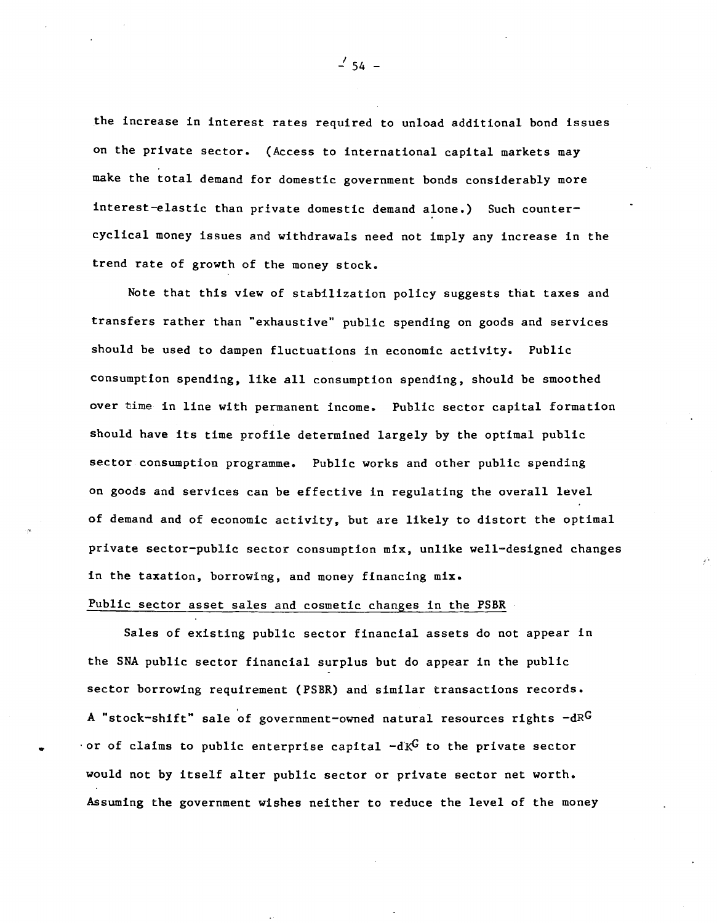the increase in interest rates required to unload additional bond issues on the private sector. (Access to international capital markets may make the total demand for domestic government bonds considerably more interest—elastic than private domestic demand alone.) Such counter cyclical money issues and withdrawals need not imply any increase in the trend rate of growth of the money stock.

Note that this view of stabilization policy suggests that taxes and transfers rather than "exhaustive" public spending on goods and services should be used to dampen fluctuations in economic activity. Public consumption spending, like all consumption spending, should be smoothed over time in line with permanent income. Public sector capital formation should have its time profile determined largely by the optimal public sector consumption programme, Public works and other public spending on goods and services can be effective in regulating the overall level of demand and of economic activity, but are likely to distort the optimal private sector—public sector consumption mix, unlike well—designed changes in the taxation, borrowing, and money financing mix.

## Public sector asset sales and cosmetic changes in the PSBR

Sales of existing public sector financial assets do not appear in the SNA public sector financial surplus but do appear in the public sector borrowing requirement (PSBR) and similar transactions records. A "stock-shift" sale of government-owned natural resources rights  $-dR<sup>G</sup>$ or of claims to public enterprise capital  $-dK^G$  to the private sector would not by itself alter public sector or private sector net worth. Assuming the government wishes neither to reduce the level of the money

 $1/54$  –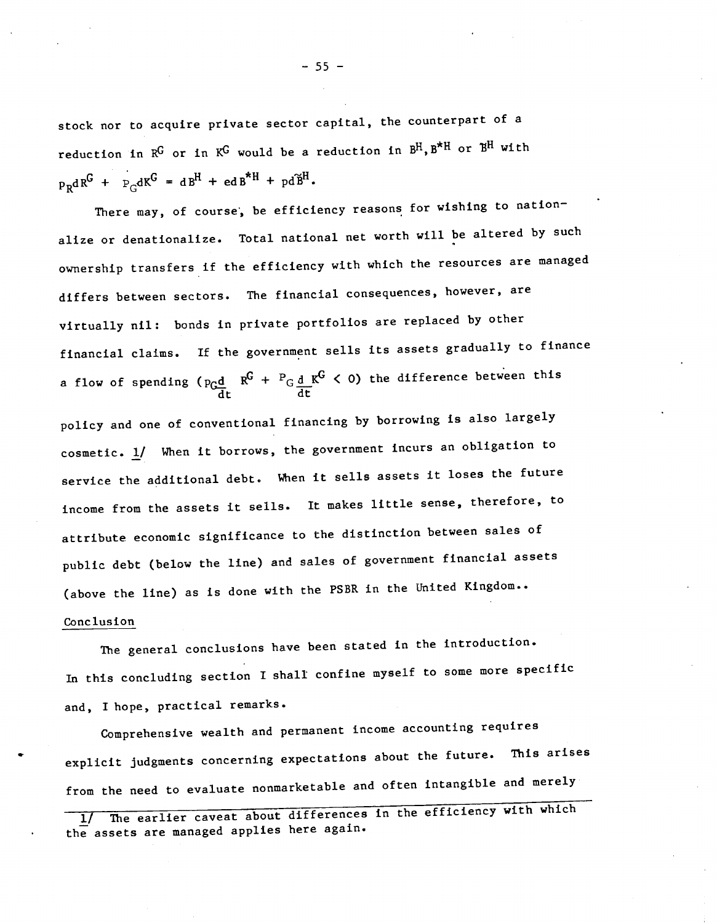stock nor to acquire private sector capital, the counterpart of a reduction in  $R^G$  or in  $K^G$  would be a reduction in  $B^H$ ,  $B^{\star H}$  or  $B^H$  with  $p_R dR^G$  +  $P_G dK^G$  =  $dB^H$  +  $ed B^{\star H}$  +  $pd\tilde{B}^H$ .

There may, of course, be efficiency reasons for wishing to nationalize or denationalize. Total national net worth will be altered by such ownership transfers If the efficiency with which the resources are managed differs between sectors. The financial consequences, however, are virtually nil: bonds in private portfolios are replaced by other financial claims. If the government sells its assets gradually to finance a flow of spending ( $p_Gd$   $R^G$  +  $P_Gd$   $K^G$  < 0) the difference between this dt dt

policy and one of conventional financing by borrowing is also largely cosmetic.  $1/$  When it borrows, the government incurs an obligation to service the additional debt. When it sells assets it loses the future income from the assets it sells. It makes little sense, therefore, to attribute economic significance to the distinction between sales of public debt (below the line) and sales of government financial assets (above the line) as is done with the PSBR in the United Kingdom.. Conclusion

The general conclusions have been stated in the introduction. In this concluding section I shall confine myself to some more specific and, I hope, practical remarks.

Comprehensive wealth and permanent income accounting requires explicit judgments concerning expectations about the future. This arises from the need to evaluate nonmarketable and often intangible and merely

 $-55 -$ 

The earlier caveat about differences in the efficiency with which the assets are managed applies here again.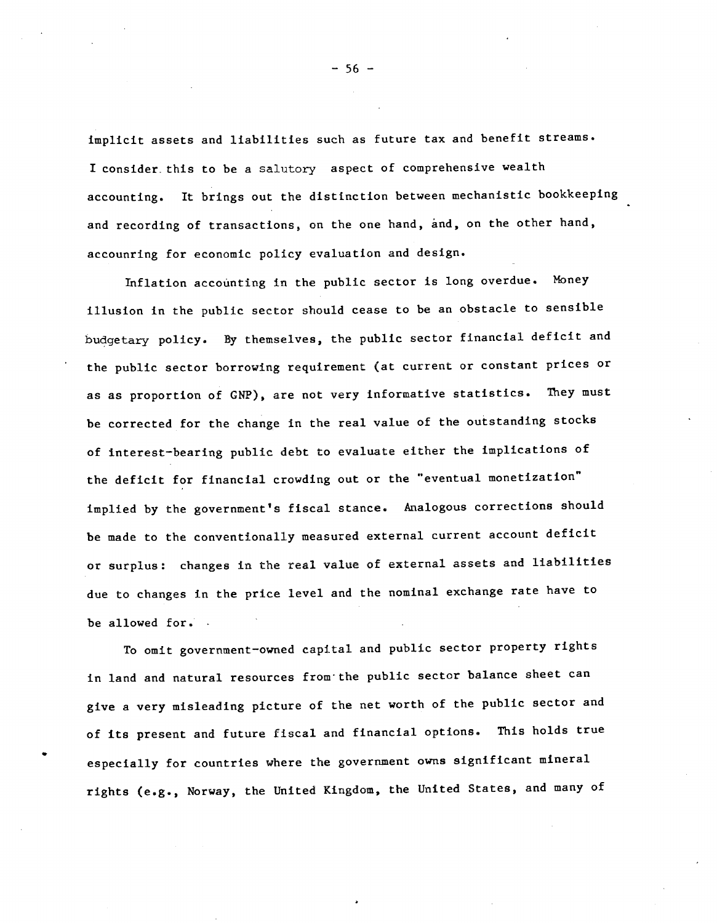implicit assets and liabilities such as future tax and benefit streams. I consider. this to be a salutory aspect of comprehensive wealth accounting. It brings out the distinction between mechanistic bookkeeping and recording of transactions, on the one hand, and, on the other hand, accounring for economic policy evaluation and design.

Inflation accounting in the public sector is long overdue. Money illusion in the public sector should cease to be an obstacle to sensible budgetary policy. By themselves, the public sector financial deficit and the public sector borrowing requirement (at current or constant prices or as as proportion of GNP), are not very informative statistics. They must be corrected for the change in the real value of the outstanding stocks of interest—bearing public debt to evaluate either the implications of the deficit for financial crowding out or the "eventual monetization" implied by the government's fiscal stance. Analogous corrections should be made to the conventionally measured external current account deficit or surplus: changes in the real value of external assets and liabilities due to changes in the price level and the nominal exchange rate have to be allowed for. .

To omit government—owned capital and public sector property rights in land and natural resources from' the public sector balance sheet can give a very misleading picture of the net worth of the public sector and of its present and future fiscal and financial options. This holds true especially for countries where the government owns significant mineral rights (e.g., Norway, the United Kingdom, the United States, and many of

 $-56 -$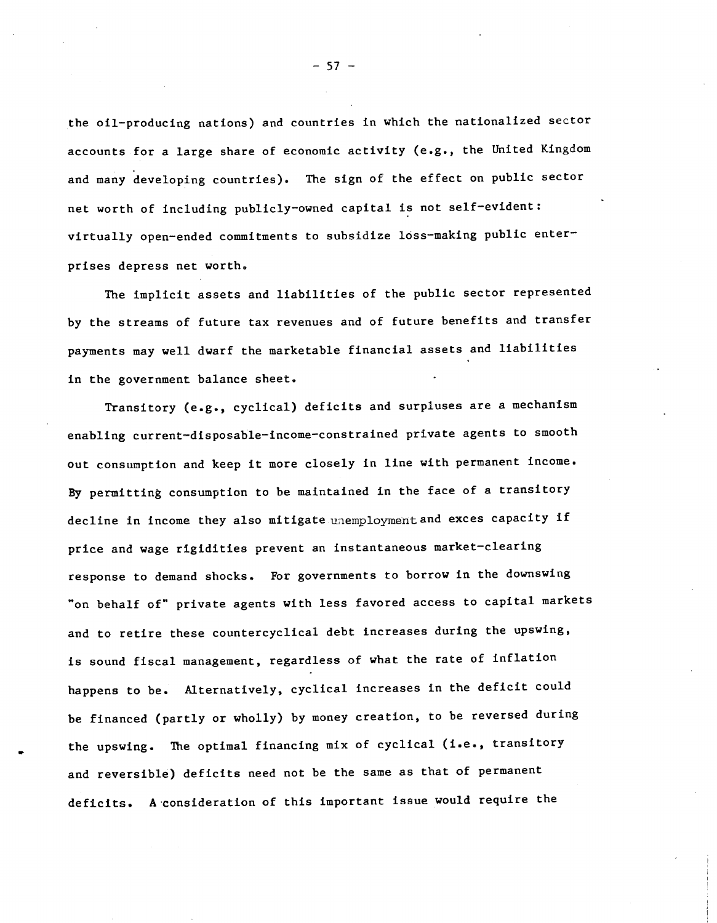the oil—producing nations) and countries in which the nationalized sector accounts for a large share of economic activity (e.g., the United Kingdom and many developing countries). The sign of the effect on public sector net worth of including publicly—owned capital is not self—evident: virtually open-ended commitments to subsidize loss-making public enterprises depress net worth.

The implicit assets and liabilities of the public sector represented by the streams of future tax revenues and of future benefits and transfer payments may well dwarf the marketable financial assets and liabilities in the government balance sheet.

Transitory (e.g., cyclical) deficits and surpluses are a mechanism enabling current—disposable—income—constrained private agents to smooth out consumption and keep it more closely in line with permanent income. By permitting consumption to be maintained in the face of a transitory decline in income they also mitigate unemployment and exces capacity if price and wage rigidities prevent an instantaneous market—clearing response to demand shocks, For governments to borrow in the downswing on behalf of" private agents with less favored access to capital markets and to retire these countercyclical debt increases during the upswing, is sound fiscal management, regardless of what the rate of inflation happens to be. Alternatively, cyclical increases in the deficit could be financed (partly or wholly) by money creation, to be reversed during the upswing. The optimal financing mix of cyclical (i.e., transitory and reversible) deficits need not be the same as that of permanent deficits. A consideration of this important issue would require the

 $-57 -$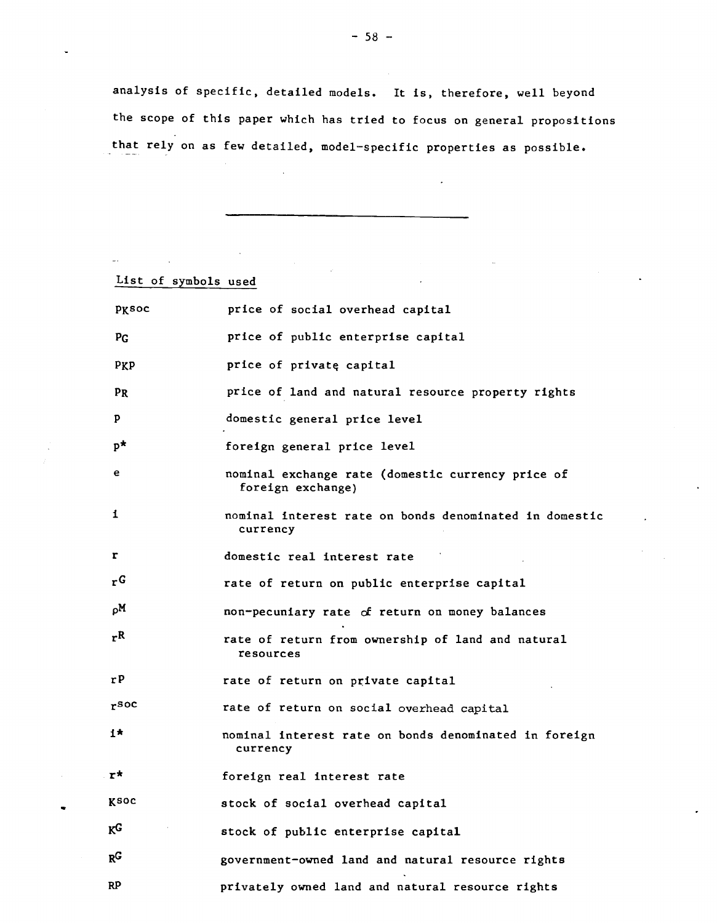analysis of specific, detailed models. It is, therefore, well beyond the scope of this paper which has tried to focus on general propositions that rely on as few detailed, model—specific properties as possible.

 $\mathbb{Z}^{2}$ 

 $\ddot{\phantom{a}}$ 

| List of symbols used |                                                                        |
|----------------------|------------------------------------------------------------------------|
|                      |                                                                        |
| pksoc                | price of social overhead capital                                       |
| PG                   | price of public enterprise capital                                     |
| PKP                  | price of private capital                                               |
| PR                   | price of land and natural resource property rights                     |
| P                    | domestic general price level                                           |
| $p^{\star}$          | foreign general price level                                            |
| е                    | nominal exchange rate (domestic currency price of<br>foreign exchange) |
| 1                    | nominal interest rate on bonds denominated in domestic<br>currency     |
| r                    | domestic real interest rate                                            |
| r <sub>G</sub>       | rate of return on public enterprise capital                            |
| ρM                   | non-pecuniary rate of return on money balances                         |
| r <sup>R</sup>       | rate of return from ownership of land and natural<br>resources         |
| rP                   | rate of return on private capital                                      |
| $r^{\text{SOC}}$     | rate of return on social overhead capital                              |
| 1*                   | nominal interest rate on bonds denominated in foreign<br>currency      |
| r*                   | foreign real interest rate                                             |
| Ksoc                 | stock of social overhead capital                                       |
| K <sub>G</sub>       | stock of public enterprise capital                                     |
| $R^G$                | government-owned land and natural resource rights                      |
| RP                   | privately owned land and natural resource rights                       |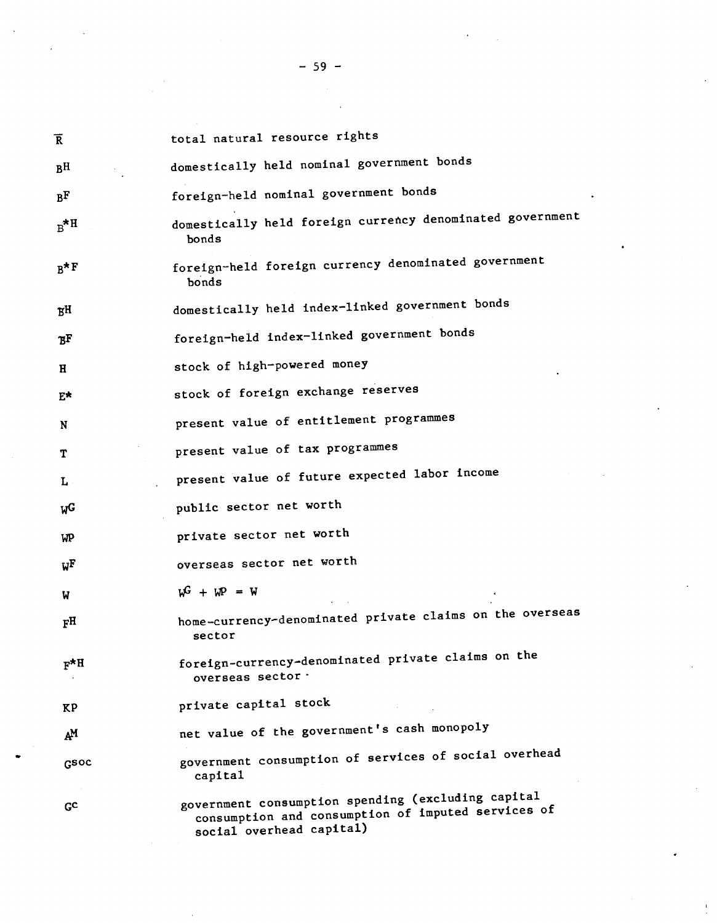| $\overline{\text{R}}$ | total natural resource rights                                                                            |
|-----------------------|----------------------------------------------------------------------------------------------------------|
| B <sub>H</sub>        | domestically held nominal government bonds                                                               |
| B <sub>F</sub>        | foreign-held nominal government bonds                                                                    |
| $R^*$ H               | domestically held foreign currency denominated government<br>bonds                                       |
| $B^{\star F}$         | foreign-held foreign currency denominated government<br>bonds                                            |
| ŖН                    | domestically held index-linked government bonds                                                          |
| ъF                    | foreign-held index-linked government bonds                                                               |
| H                     | stock of high-powered money                                                                              |
| E∗                    | stock of foreign exchange reserves                                                                       |
| N                     | present value of entitlement programmes                                                                  |
| т                     | present value of tax programmes                                                                          |
| L                     | present value of future expected labor income                                                            |
| W <sub>G</sub>        | public sector net worth                                                                                  |
| WP                    | private sector net worth                                                                                 |
| $W^{\rm F}$           | overseas sector net worth                                                                                |
| W                     | $W^G + W^D = W$                                                                                          |
| F <sub>H</sub>        | home-currency-denominated private claims on the overseas<br>sector                                       |
| $F^*H$                | foreign-currency-denominated private claims on the<br>overseas sector ·                                  |
| ΚP                    | private capital stock                                                                                    |
| ĄМ                    | net value of the government's cash monopoly                                                              |
| GSOC                  | government consumption of services of social overhead<br>capital                                         |
| GС                    | government consumption spending (excluding capital<br>consumption and consumption of imputed services of |

social overhead capital)

— 59 —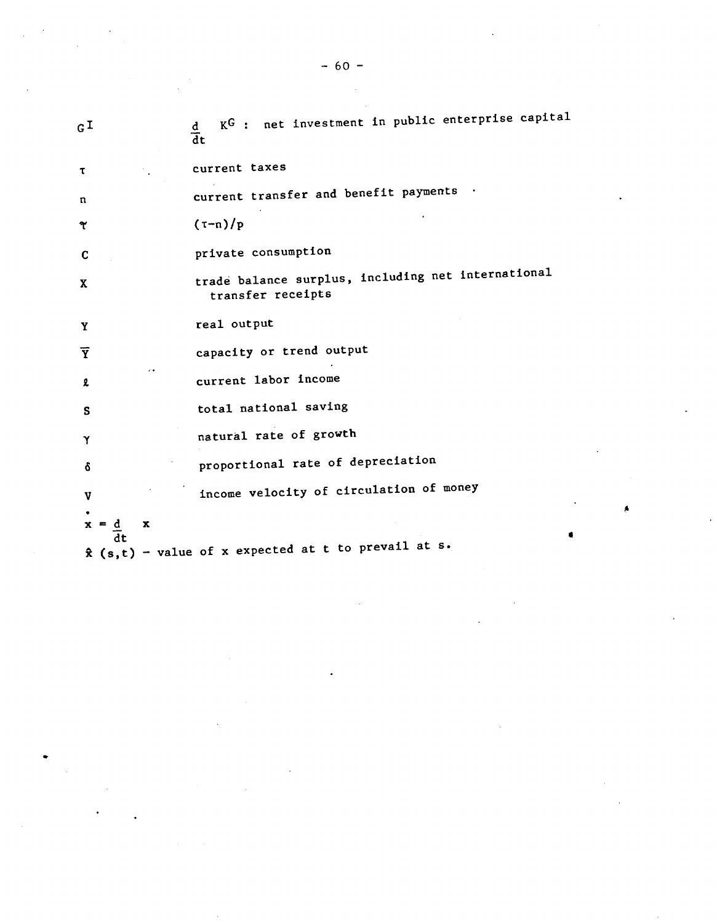|                         |    |   | $-60 -$                                                                 |
|-------------------------|----|---|-------------------------------------------------------------------------|
|                         |    |   |                                                                         |
| $G^{\mathbf{I}}$        |    |   | KG : net investment in public enterprise capital<br>$rac{d}{dt}$        |
| τ                       |    |   | current taxes                                                           |
| n                       |    |   | current transfer and benefit payments                                   |
| Y                       |    |   | $(\tau - n)/p$                                                          |
| C                       |    |   | private consumption                                                     |
| X                       |    |   | trade balance surplus, including net international<br>transfer receipts |
| Y                       |    |   | real output                                                             |
| $\overline{\textbf{Y}}$ |    |   | capacity or trend output                                                |
| l                       |    |   | current labor income                                                    |
| s                       |    |   | total national saving                                                   |
| Υ                       |    |   | natural rate of growth                                                  |
| δ                       |    |   | proportional rate of depreciation                                       |
| $\mathbf{v}$            |    |   | income velocity of circulation of money                                 |
|                         |    | x |                                                                         |
|                         | dt |   | $\hat{x}$ (s,t) - value of x expected at t to prevail at s.             |

 $\label{eq:2.1} \mathcal{L}(\mathcal{L}^{\mathcal{L}}_{\mathcal{L}}(\mathcal{L}^{\mathcal{L}}_{\mathcal{L}})) = \mathcal{L}(\mathcal{L}^{\mathcal{L}}_{\mathcal{L}}(\mathcal{L}^{\mathcal{L}}_{\mathcal{L}})) = \mathcal{L}(\mathcal{L}^{\mathcal{L}}_{\mathcal{L}}(\mathcal{L}^{\mathcal{L}}_{\mathcal{L}}))$ 

 $\mathcal{L}^{\text{max}}_{\text{max}}$  and  $\mathcal{L}^{\text{max}}_{\text{max}}$ 

 $\sim$   $\sim$ 

 $\label{eq:2.1} \frac{1}{\sqrt{2}}\int_{\mathbb{R}^3}\frac{1}{\sqrt{2}}\left(\frac{1}{\sqrt{2}}\right)^2\frac{1}{\sqrt{2}}\left(\frac{1}{\sqrt{2}}\right)^2\frac{1}{\sqrt{2}}\left(\frac{1}{\sqrt{2}}\right)^2\frac{1}{\sqrt{2}}\left(\frac{1}{\sqrt{2}}\right)^2\frac{1}{\sqrt{2}}\left(\frac{1}{\sqrt{2}}\right)^2\frac{1}{\sqrt{2}}\frac{1}{\sqrt{2}}\frac{1}{\sqrt{2}}\frac{1}{\sqrt{2}}\frac{1}{\sqrt{2}}\frac{1}{\sqrt{2}}$ 

 $\mathcal{L}^{\text{max}}_{\text{max}}$  and  $\mathcal{L}^{\text{max}}_{\text{max}}$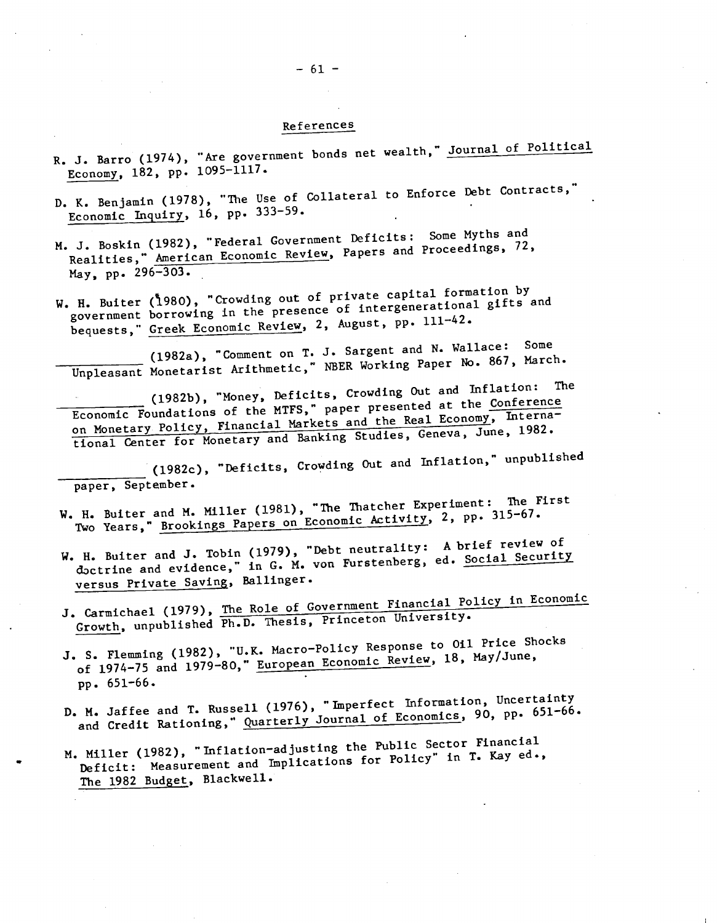#### References

- R. J. Barro (1974), "Are government bonds net wealth," Journal of Political Economy, 182, pp. 1095—1117.
- D. K. Benjamin (1978), "The Use of Collateral to Enforce Debt Contracts," Economic Inquiry, 16, pp. 333-59.
- M. J. Boskin (1982), "Federal Government Deficits: Some Myths and Realities," American Economic Review, Papers and Proceedings, 72, May, pp. 296—303.
- W. H. Buiter (1980), "Crowding out of private capital formation by government borrowing In the presence of intergenerational gifts and bequests," Greek Economic Review, 2, August, pp. 111-42.

(1982a), "Comment on T. J. Sargent and N. Wallace: Some Unpleasant Monetarist Arithmetic," NBER Working Paper No. 867, March.

(1982b), "Money, Deficits, Crowding Out and Inflation: The Economic Foundations of the MTFS," paper presented at the Conference on Monetary Policy, Financial Markets and the Real Economy, Interna-Economic Foundations of the MTFS," paper presented at the Conference tional Center for Monetary and Banking Studies, Geneva, June, 1982.

(1982c), "Deficits, Crowding Out and Inflation," unpublished paper, September.

- W. H. Buiter and M. Miller (1981), "The Thatcher Experiment: The First Two Years," Brookings Papers on Economic Activity, 2, pp. 315-67.
- W. H. Buiter and J. Tobin (1979), "Debt neutrality: A brief review of doctrine and evidence," in G. M. von Furstenberg, ed. Social Security versus Private Saving, Ballinger.
- J. Carmichael (1979), The Role of Government Financial Policy in Economic<br>Growth, unpublished Ph.D. Thesis, Princeton University.
- J. S. Flemming (1982), "U.K. Macro-Policy Response to Oil Price Shocks<br>Essential Beyiew, 18, May/June, of 1974—75 and 1979—80," European Economic Review, 18, May/June, pp. 651—66.
- D. M. Jaffee and T. Russell (1976), "Imperfect Information, Uncertainty M. Jaffee and T. Russell (1970), imposed of Economics, 90, pp. 651-66.<br>and Credit Rationing," Quarterly Journal of Economics, 90, pp. 651-66.
- M. Miller (1982), "Inflation-adjusting the Public Sector Financial<br>discreption for Policy" in T. Kay ed., Miller (1962), initiation degrees to replicy" in T. Kay ed.,<br>Deficit: Measurement and Implications for Policy" in T. Kay ed., The 1982 Budget, Blackwell.